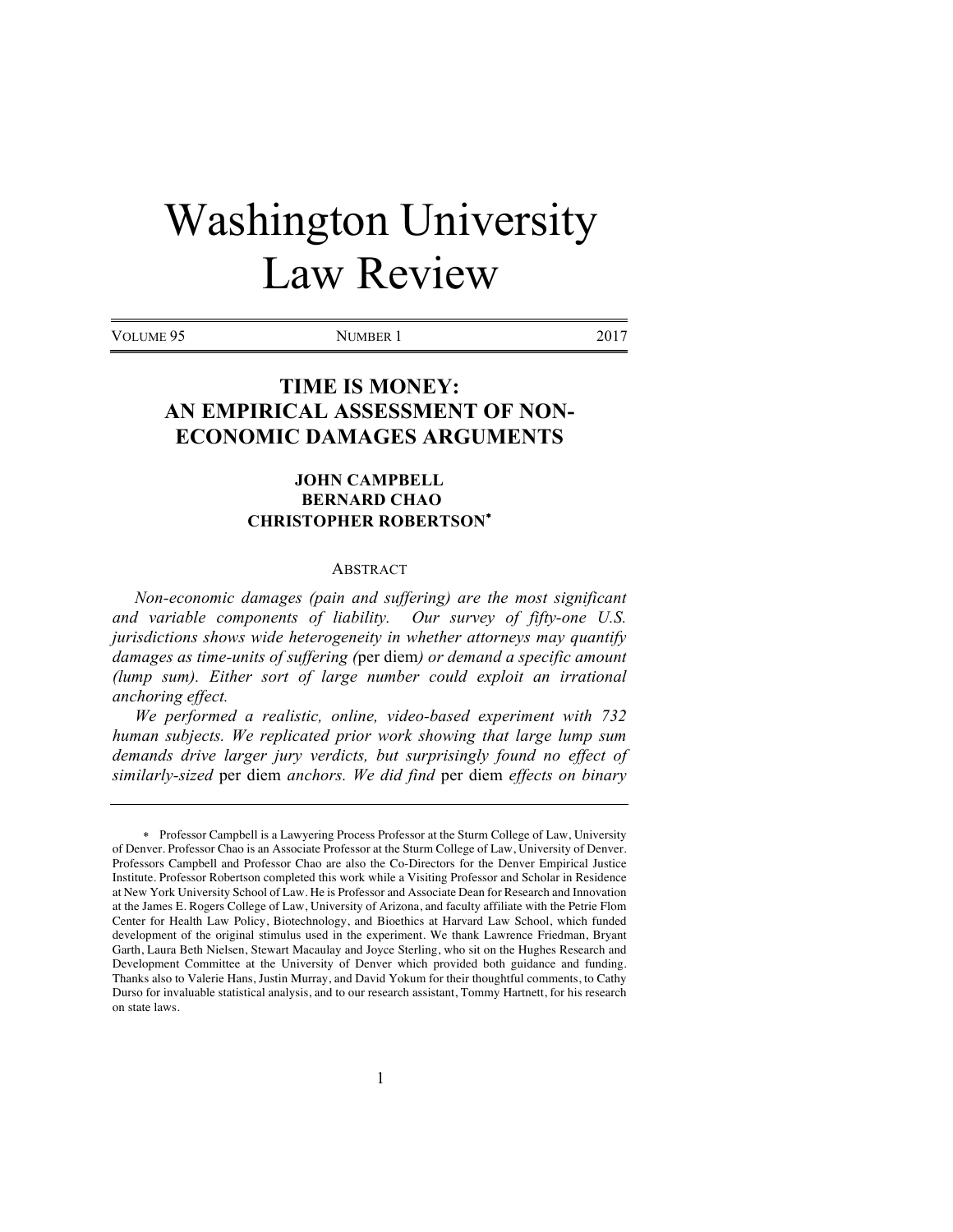# Washington University Law Review

VOLUME 95 NUMBER 1 2017

# **TIME IS MONEY: AN EMPIRICAL ASSESSMENT OF NON-ECONOMIC DAMAGES ARGUMENTS**

# **JOHN CAMPBELL BERNARD CHAO CHRISTOPHER ROBERTSON**\*

#### **ABSTRACT**

*Non-economic damages (pain and suffering) are the most significant and variable components of liability. Our survey of fifty-one U.S. jurisdictions shows wide heterogeneity in whether attorneys may quantify damages as time-units of suffering (*per diem*) or demand a specific amount (lump sum). Either sort of large number could exploit an irrational anchoring effect.* 

*We performed a realistic, online, video-based experiment with 732 human subjects. We replicated prior work showing that large lump sum demands drive larger jury verdicts, but surprisingly found no effect of similarly-sized* per diem *anchors. We did find* per diem *effects on binary* 

<sup>\*</sup> Professor Campbell is a Lawyering Process Professor at the Sturm College of Law, University of Denver. Professor Chao is an Associate Professor at the Sturm College of Law, University of Denver. Professors Campbell and Professor Chao are also the Co-Directors for the Denver Empirical Justice Institute. Professor Robertson completed this work while a Visiting Professor and Scholar in Residence at New York University School of Law. He is Professor and Associate Dean for Research and Innovation at the James E. Rogers College of Law, University of Arizona, and faculty affiliate with the Petrie Flom Center for Health Law Policy, Biotechnology, and Bioethics at Harvard Law School, which funded development of the original stimulus used in the experiment. We thank Lawrence Friedman, Bryant Garth, Laura Beth Nielsen, Stewart Macaulay and Joyce Sterling, who sit on the Hughes Research and Development Committee at the University of Denver which provided both guidance and funding. Thanks also to Valerie Hans, Justin Murray, and David Yokum for their thoughtful comments, to Cathy Durso for invaluable statistical analysis, and to our research assistant, Tommy Hartnett, for his research on state laws.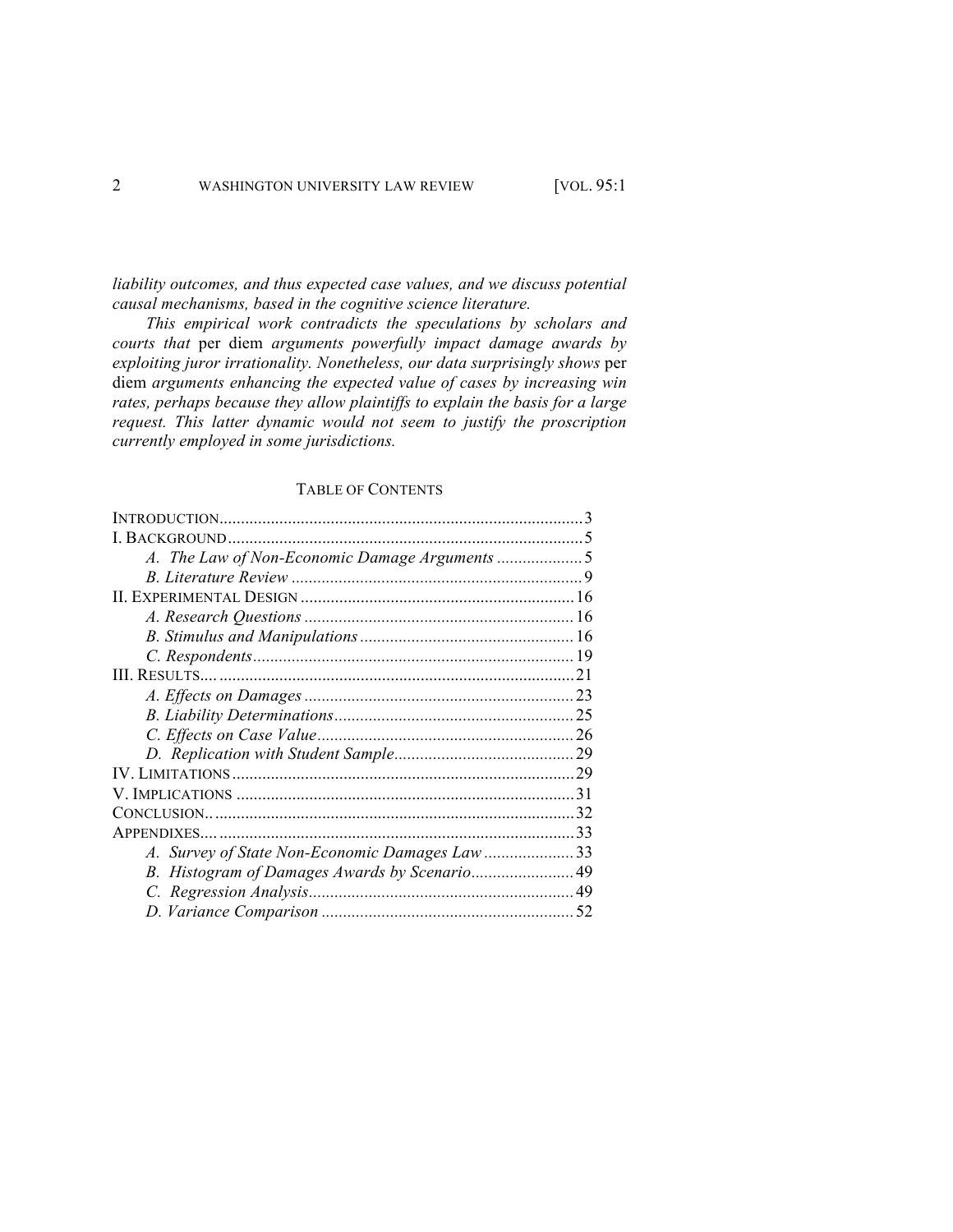*liability outcomes, and thus expected case values, and we discuss potential causal mechanisms, based in the cognitive science literature.* 

*This empirical work contradicts the speculations by scholars and courts that* per diem *arguments powerfully impact damage awards by exploiting juror irrationality. Nonetheless, our data surprisingly shows* per diem *arguments enhancing the expected value of cases by increasing win rates, perhaps because they allow plaintiffs to explain the basis for a large request. This latter dynamic would not seem to justify the proscription currently employed in some jurisdictions.* 

#### TABLE OF CONTENTS

| A. Survey of State Non-Economic Damages Law 33 |  |
|------------------------------------------------|--|
|                                                |  |
|                                                |  |
|                                                |  |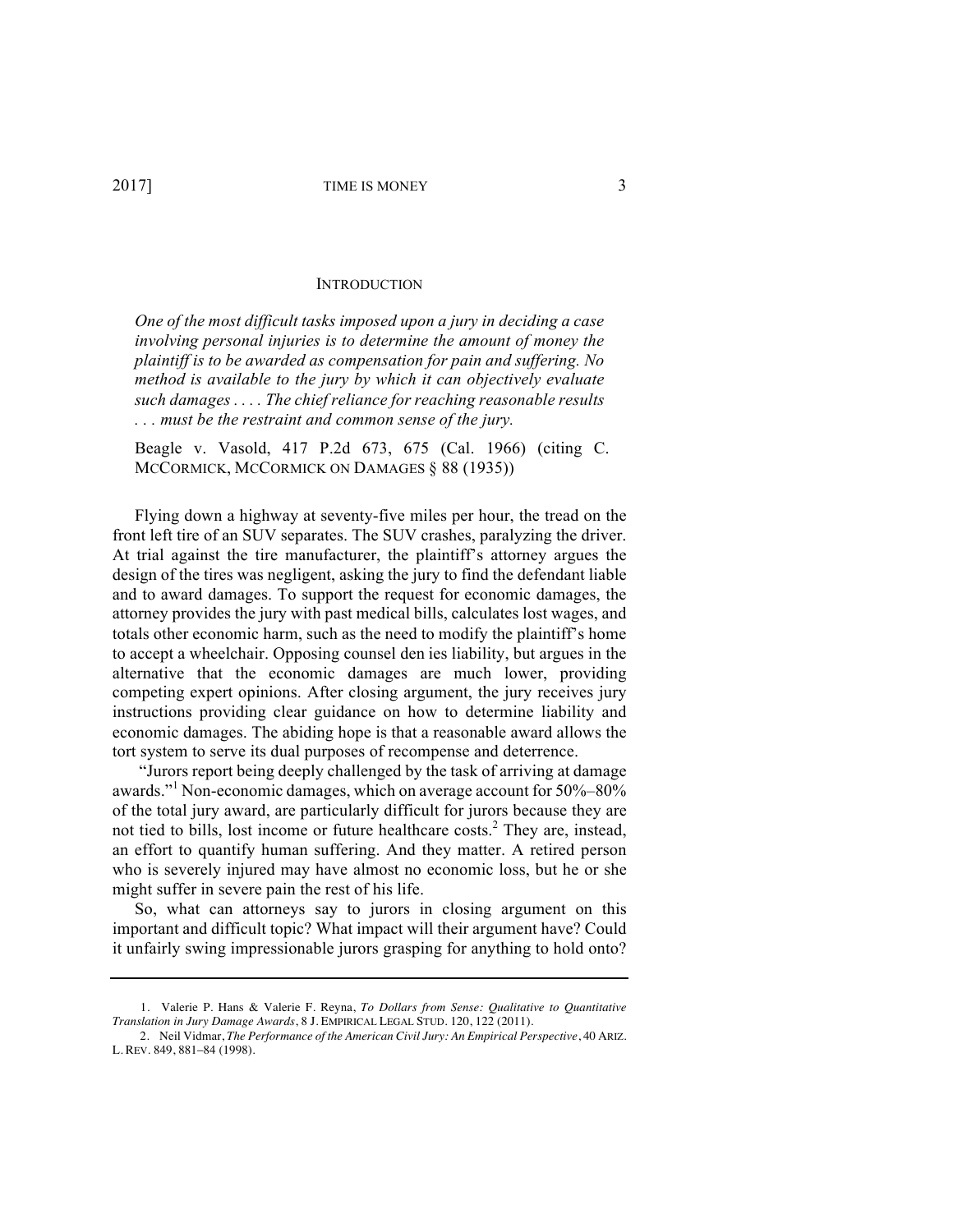#### **INTRODUCTION**

*One of the most difficult tasks imposed upon a jury in deciding a case involving personal injuries is to determine the amount of money the plaintiff is to be awarded as compensation for pain and suffering. No method is available to the jury by which it can objectively evaluate such damages . . . . The chief reliance for reaching reasonable results . . . must be the restraint and common sense of the jury.*

Beagle v. Vasold, 417 P.2d 673, 675 (Cal. 1966) (citing C. MCCORMICK, MCCORMICK ON DAMAGES § 88 (1935))

Flying down a highway at seventy-five miles per hour, the tread on the front left tire of an SUV separates. The SUV crashes, paralyzing the driver. At trial against the tire manufacturer, the plaintiff's attorney argues the design of the tires was negligent, asking the jury to find the defendant liable and to award damages. To support the request for economic damages, the attorney provides the jury with past medical bills, calculates lost wages, and totals other economic harm, such as the need to modify the plaintiff's home to accept a wheelchair. Opposing counsel den ies liability, but argues in the alternative that the economic damages are much lower, providing competing expert opinions. After closing argument, the jury receives jury instructions providing clear guidance on how to determine liability and economic damages. The abiding hope is that a reasonable award allows the tort system to serve its dual purposes of recompense and deterrence.

"Jurors report being deeply challenged by the task of arriving at damage awards."<sup>1</sup> Non-economic damages, which on average account for 50%–80% of the total jury award, are particularly difficult for jurors because they are not tied to bills, lost income or future healthcare costs.<sup>2</sup> They are, instead, an effort to quantify human suffering. And they matter. A retired person who is severely injured may have almost no economic loss, but he or she might suffer in severe pain the rest of his life.

So, what can attorneys say to jurors in closing argument on this important and difficult topic? What impact will their argument have? Could it unfairly swing impressionable jurors grasping for anything to hold onto?

<sup>1.</sup> Valerie P. Hans & Valerie F. Reyna, *To Dollars from Sense: Qualitative to Quantitative Translation in Jury Damage Awards*, 8 J. EMPIRICAL LEGAL STUD. 120, 122 (2011).

<sup>2.</sup> Neil Vidmar, *The Performance of the American Civil Jury: An Empirical Perspective*, 40 ARIZ. L. REV. 849, 881–84 (1998).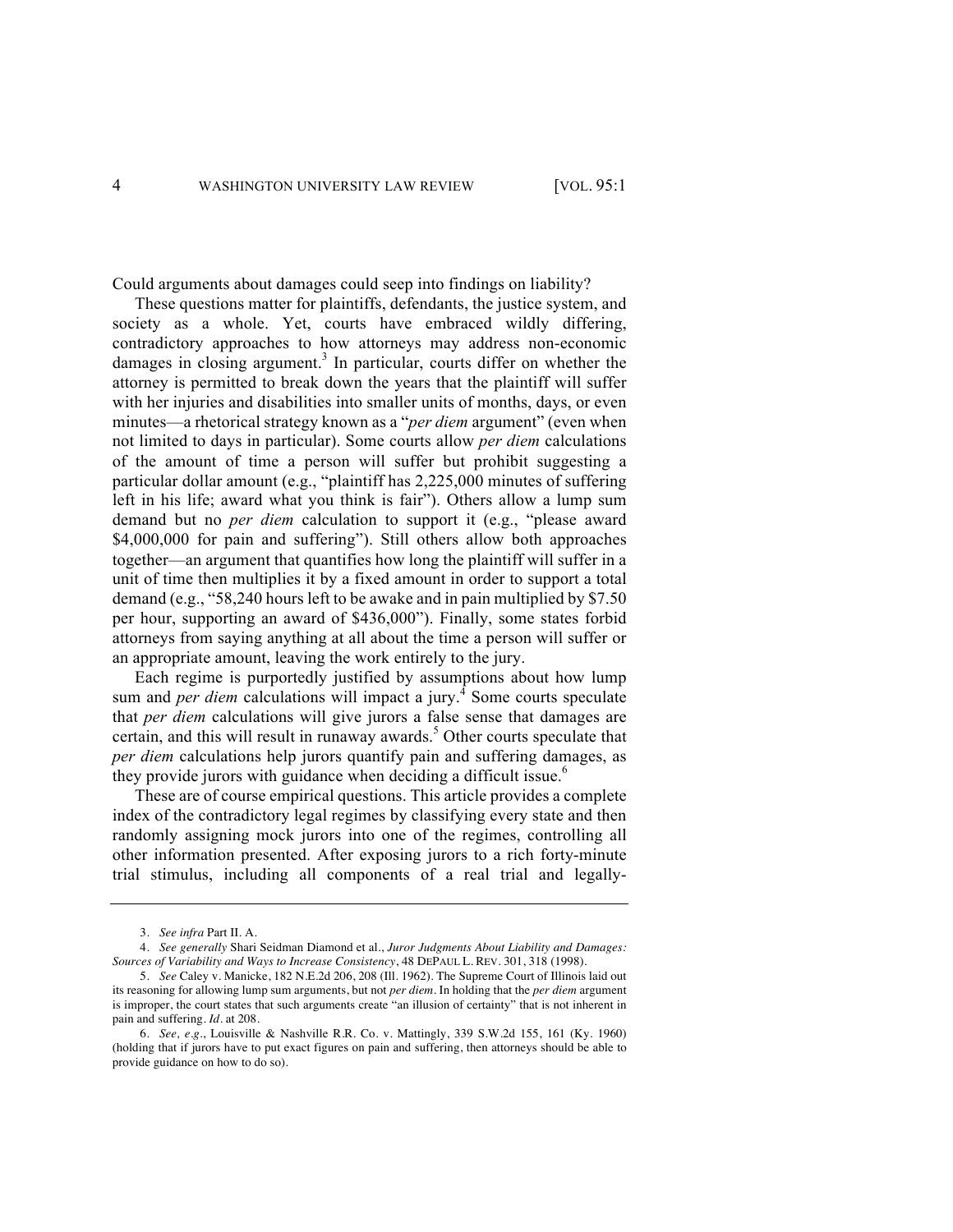Could arguments about damages could seep into findings on liability?

These questions matter for plaintiffs, defendants, the justice system, and society as a whole. Yet, courts have embraced wildly differing, contradictory approaches to how attorneys may address non-economic damages in closing argument.<sup>3</sup> In particular, courts differ on whether the attorney is permitted to break down the years that the plaintiff will suffer with her injuries and disabilities into smaller units of months, days, or even minutes—a rhetorical strategy known as a "*per diem* argument" (even when not limited to days in particular). Some courts allow *per diem* calculations of the amount of time a person will suffer but prohibit suggesting a particular dollar amount (e.g., "plaintiff has 2,225,000 minutes of suffering left in his life; award what you think is fair"). Others allow a lump sum demand but no *per diem* calculation to support it (e.g., "please award \$4,000,000 for pain and suffering"). Still others allow both approaches together—an argument that quantifies how long the plaintiff will suffer in a unit of time then multiplies it by a fixed amount in order to support a total demand (e.g., "58,240 hours left to be awake and in pain multiplied by \$7.50 per hour, supporting an award of \$436,000"). Finally, some states forbid attorneys from saying anything at all about the time a person will suffer or an appropriate amount, leaving the work entirely to the jury.

Each regime is purportedly justified by assumptions about how lump sum and *per diem* calculations will impact a jury.<sup>4</sup> Some courts speculate that *per diem* calculations will give jurors a false sense that damages are certain, and this will result in runaway awards. $5$  Other courts speculate that *per diem* calculations help jurors quantify pain and suffering damages, as they provide jurors with guidance when deciding a difficult issue.<sup>6</sup>

These are of course empirical questions. This article provides a complete index of the contradictory legal regimes by classifying every state and then randomly assigning mock jurors into one of the regimes, controlling all other information presented. After exposing jurors to a rich forty-minute trial stimulus, including all components of a real trial and legally-

<sup>3.</sup> *See infra* Part II. A.

<sup>4.</sup> *See generally* Shari Seidman Diamond et al., *Juror Judgments About Liability and Damages: Sources of Variability and Ways to Increase Consistency*, 48 DEPAUL L. REV. 301, 318 (1998).

<sup>5.</sup> *See* Caley v. Manicke, 182 N.E.2d 206, 208 (Ill. 1962). The Supreme Court of Illinois laid out its reasoning for allowing lump sum arguments, but not *per diem*. In holding that the *per diem* argument is improper, the court states that such arguments create "an illusion of certainty" that is not inherent in pain and suffering. *Id.* at 208.

<sup>6.</sup> *See, e.g.*, Louisville & Nashville R.R. Co. v. Mattingly, 339 S.W.2d 155, 161 (Ky. 1960) (holding that if jurors have to put exact figures on pain and suffering, then attorneys should be able to provide guidance on how to do so).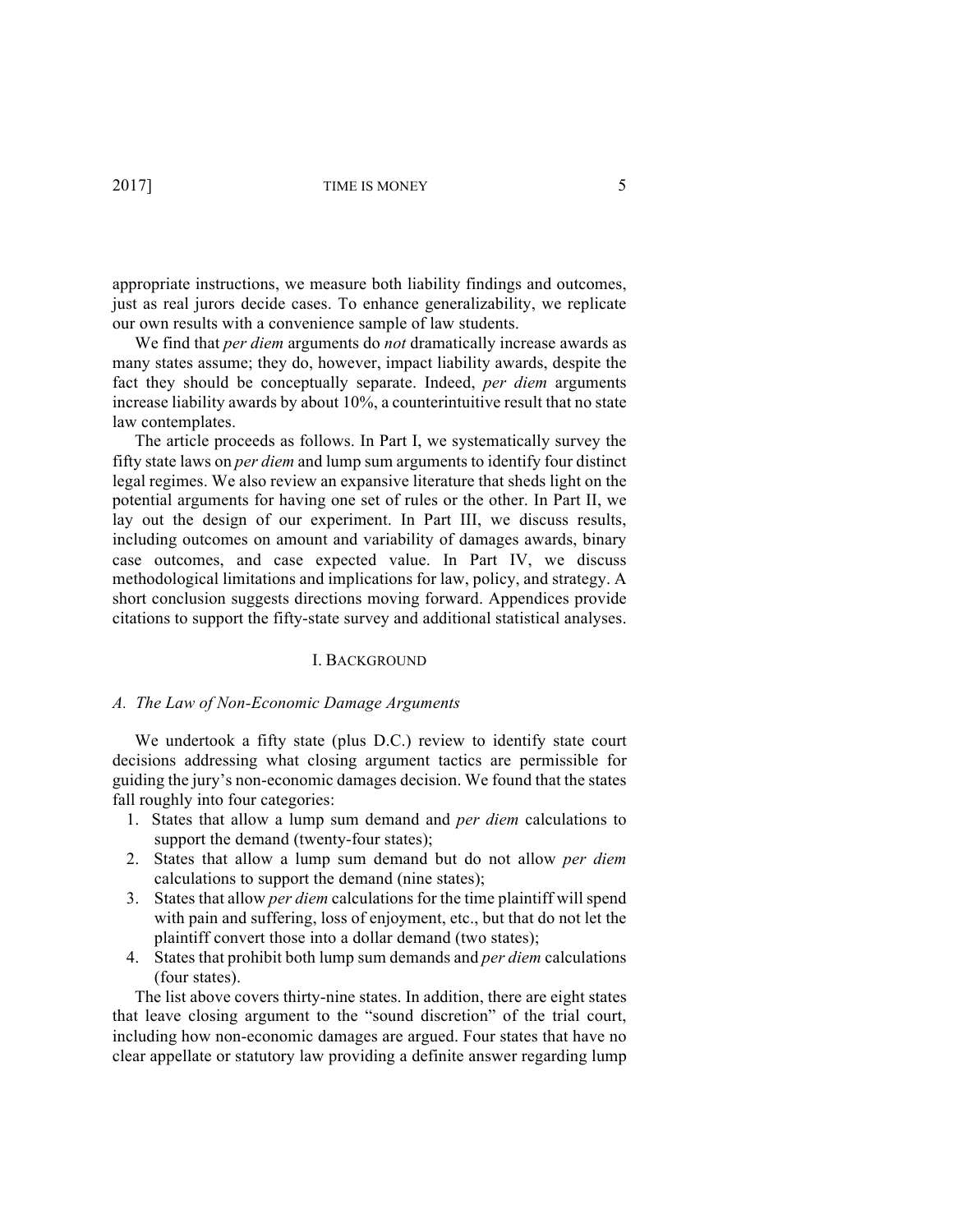appropriate instructions, we measure both liability findings and outcomes, just as real jurors decide cases. To enhance generalizability, we replicate our own results with a convenience sample of law students.

We find that *per diem* arguments do *not* dramatically increase awards as many states assume; they do, however, impact liability awards, despite the fact they should be conceptually separate. Indeed, *per diem* arguments increase liability awards by about 10%, a counterintuitive result that no state law contemplates.

The article proceeds as follows. In Part I, we systematically survey the fifty state laws on *per diem* and lump sum arguments to identify four distinct legal regimes. We also review an expansive literature that sheds light on the potential arguments for having one set of rules or the other. In Part II, we lay out the design of our experiment. In Part III, we discuss results, including outcomes on amount and variability of damages awards, binary case outcomes, and case expected value. In Part IV, we discuss methodological limitations and implications for law, policy, and strategy. A short conclusion suggests directions moving forward. Appendices provide citations to support the fifty-state survey and additional statistical analyses.

#### I. BACKGROUND

#### *A. The Law of Non-Economic Damage Arguments*

We undertook a fifty state (plus D.C.) review to identify state court decisions addressing what closing argument tactics are permissible for guiding the jury's non-economic damages decision. We found that the states fall roughly into four categories:

- 1. States that allow a lump sum demand and *per diem* calculations to support the demand (twenty-four states);
- 2. States that allow a lump sum demand but do not allow *per diem* calculations to support the demand (nine states);
- 3. States that allow *per diem* calculations for the time plaintiff will spend with pain and suffering, loss of enjoyment, etc., but that do not let the plaintiff convert those into a dollar demand (two states);
- 4. States that prohibit both lump sum demands and *per diem* calculations (four states).

The list above covers thirty-nine states. In addition, there are eight states that leave closing argument to the "sound discretion" of the trial court, including how non-economic damages are argued. Four states that have no clear appellate or statutory law providing a definite answer regarding lump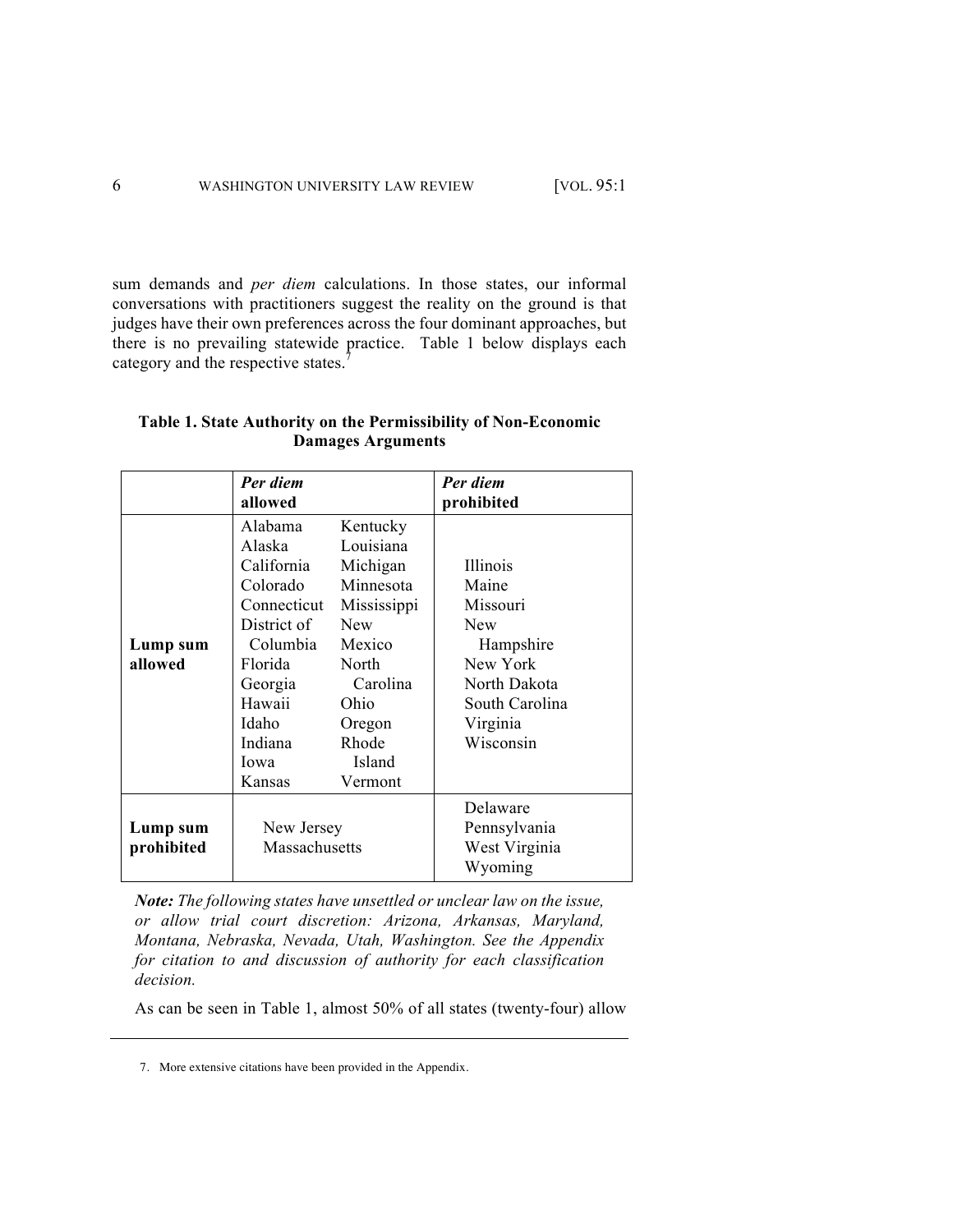sum demands and *per diem* calculations. In those states, our informal conversations with practitioners suggest the reality on the ground is that judges have their own preferences across the four dominant approaches, but there is no prevailing statewide practice. Table 1 below displays each category and the respective states. $\frac{7}{1}$ 

|                        | Per diem<br>allowed                                                                                                                                         |                                                                                                                                                            | Per diem<br>prohibited                                                                                                          |
|------------------------|-------------------------------------------------------------------------------------------------------------------------------------------------------------|------------------------------------------------------------------------------------------------------------------------------------------------------------|---------------------------------------------------------------------------------------------------------------------------------|
| Lump sum<br>allowed    | Alabama<br>Alaska<br>California<br>Colorado<br>Connecticut<br>District of<br>Columbia<br>Florida<br>Georgia<br>Hawaii<br>Idaho<br>Indiana<br>Iowa<br>Kansas | Kentucky<br>Louisiana<br>Michigan<br>Minnesota<br>Mississippi<br><b>New</b><br>Mexico<br>North<br>Carolina<br>Ohio<br>Oregon<br>Rhode<br>Island<br>Vermont | Illinois<br>Maine<br>Missouri<br><b>New</b><br>Hampshire<br>New York<br>North Dakota<br>South Carolina<br>Virginia<br>Wisconsin |
| Lump sum<br>prohibited | New Jersey<br>Massachusetts                                                                                                                                 |                                                                                                                                                            | Delaware<br>Pennsylvania<br>West Virginia                                                                                       |

# **Table 1. State Authority on the Permissibility of Non-Economic Damages Arguments**

*Note: The following states have unsettled or unclear law on the issue, or allow trial court discretion: Arizona, Arkansas, Maryland, Montana, Nebraska, Nevada, Utah, Washington. See the Appendix for citation to and discussion of authority for each classification decision.*

Wyoming

As can be seen in Table 1, almost 50% of all states (twenty-four) allow

<sup>7.</sup> More extensive citations have been provided in the Appendix.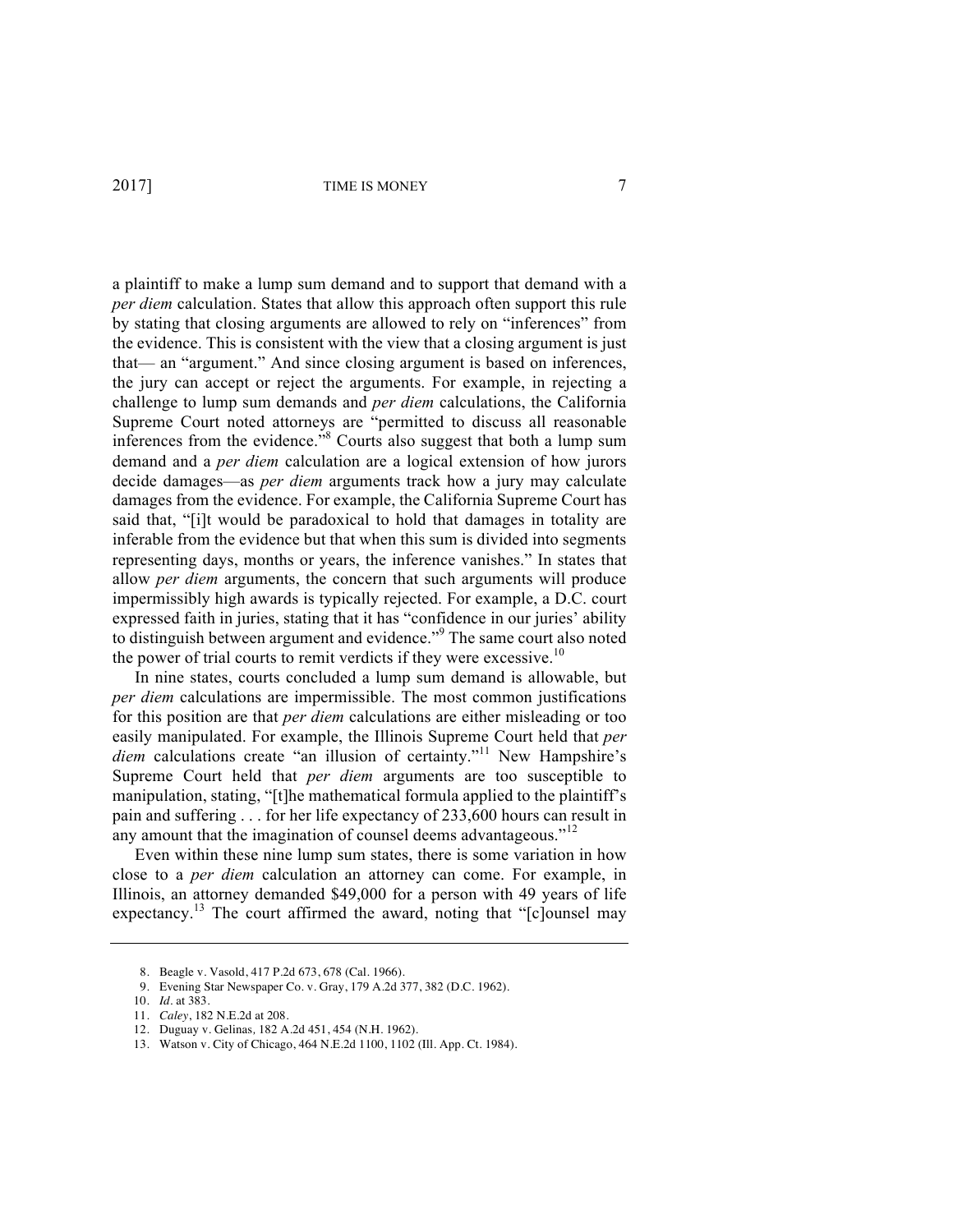a plaintiff to make a lump sum demand and to support that demand with a *per diem* calculation. States that allow this approach often support this rule by stating that closing arguments are allowed to rely on "inferences" from the evidence. This is consistent with the view that a closing argument is just that— an "argument." And since closing argument is based on inferences, the jury can accept or reject the arguments. For example, in rejecting a challenge to lump sum demands and *per diem* calculations, the California Supreme Court noted attorneys are "permitted to discuss all reasonable inferences from the evidence.<sup>"8</sup> Courts also suggest that both a lump sum demand and a *per diem* calculation are a logical extension of how jurors decide damages—as *per diem* arguments track how a jury may calculate damages from the evidence. For example, the California Supreme Court has said that, "[i]t would be paradoxical to hold that damages in totality are inferable from the evidence but that when this sum is divided into segments representing days, months or years, the inference vanishes." In states that allow *per diem* arguments, the concern that such arguments will produce impermissibly high awards is typically rejected. For example, a D.C. court expressed faith in juries, stating that it has "confidence in our juries' ability to distinguish between argument and evidence."<sup>9</sup> The same court also noted the power of trial courts to remit verdicts if they were excessive.<sup>10</sup>

In nine states, courts concluded a lump sum demand is allowable, but *per diem* calculations are impermissible. The most common justifications for this position are that *per diem* calculations are either misleading or too easily manipulated. For example, the Illinois Supreme Court held that *per*  diem calculations create "an illusion of certainty."<sup>11</sup> New Hampshire's Supreme Court held that *per diem* arguments are too susceptible to manipulation, stating, "[t]he mathematical formula applied to the plaintiff's pain and suffering . . . for her life expectancy of 233,600 hours can result in any amount that the imagination of counsel deems advantageous."<sup>12</sup>

Even within these nine lump sum states, there is some variation in how close to a *per diem* calculation an attorney can come. For example, in Illinois, an attorney demanded \$49,000 for a person with 49 years of life expectancy.<sup>13</sup> The court affirmed the award, noting that " $[c]$ ounsel may

<sup>8.</sup> Beagle v. Vasold, 417 P.2d 673, 678 (Cal. 1966).

<sup>9.</sup> Evening Star Newspaper Co. v. Gray, 179 A.2d 377, 382 (D.C. 1962).

<sup>10.</sup> *Id.* at 383.

<sup>11.</sup> *Caley*, 182 N.E.2d at 208.

<sup>12.</sup> Duguay v. Gelinas*,* 182 A.2d 451, 454 (N.H. 1962).

<sup>13.</sup> Watson v. City of Chicago, 464 N.E.2d 1100, 1102 (Ill. App. Ct. 1984).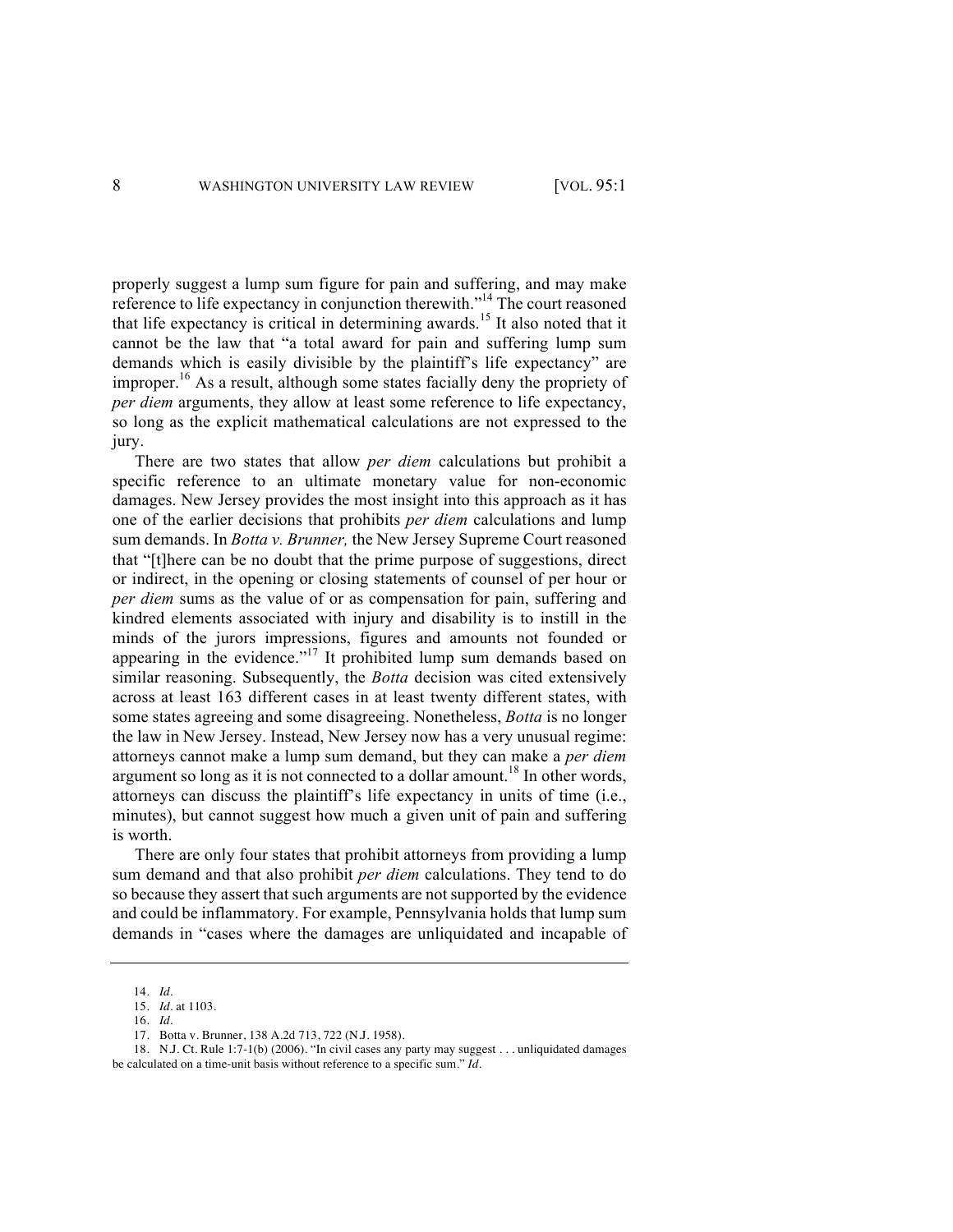properly suggest a lump sum figure for pain and suffering, and may make reference to life expectancy in conjunction therewith."<sup>14</sup> The court reasoned that life expectancy is critical in determining awards.<sup>15</sup> It also noted that it cannot be the law that "a total award for pain and suffering lump sum demands which is easily divisible by the plaintiff's life expectancy" are improper.<sup>16</sup> As a result, although some states facially deny the propriety of *per diem* arguments, they allow at least some reference to life expectancy, so long as the explicit mathematical calculations are not expressed to the jury.

There are two states that allow *per diem* calculations but prohibit a specific reference to an ultimate monetary value for non-economic damages. New Jersey provides the most insight into this approach as it has one of the earlier decisions that prohibits *per diem* calculations and lump sum demands. In *Botta v. Brunner,* the New Jersey Supreme Court reasoned that "[t]here can be no doubt that the prime purpose of suggestions, direct or indirect, in the opening or closing statements of counsel of per hour or *per diem* sums as the value of or as compensation for pain, suffering and kindred elements associated with injury and disability is to instill in the minds of the jurors impressions, figures and amounts not founded or appearing in the evidence."<sup>17</sup> It prohibited lump sum demands based on similar reasoning. Subsequently, the *Botta* decision was cited extensively across at least 163 different cases in at least twenty different states, with some states agreeing and some disagreeing. Nonetheless, *Botta* is no longer the law in New Jersey. Instead, New Jersey now has a very unusual regime: attorneys cannot make a lump sum demand, but they can make a *per diem* argument so long as it is not connected to a dollar amount.<sup>18</sup> In other words, attorneys can discuss the plaintiff's life expectancy in units of time (i.e., minutes), but cannot suggest how much a given unit of pain and suffering is worth.

There are only four states that prohibit attorneys from providing a lump sum demand and that also prohibit *per diem* calculations. They tend to do so because they assert that such arguments are not supported by the evidence and could be inflammatory. For example, Pennsylvania holds that lump sum demands in "cases where the damages are unliquidated and incapable of

<sup>14.</sup> *Id.*

<sup>15.</sup> *Id.* at 1103.

<sup>16.</sup> *Id.*

<sup>17.</sup> Botta v. Brunner, 138 A.2d 713, 722 (N.J. 1958).

<sup>18.</sup> N.J. Ct. Rule 1:7-1(b) (2006). "In civil cases any party may suggest . . . unliquidated damages be calculated on a time-unit basis without reference to a specific sum." *Id.*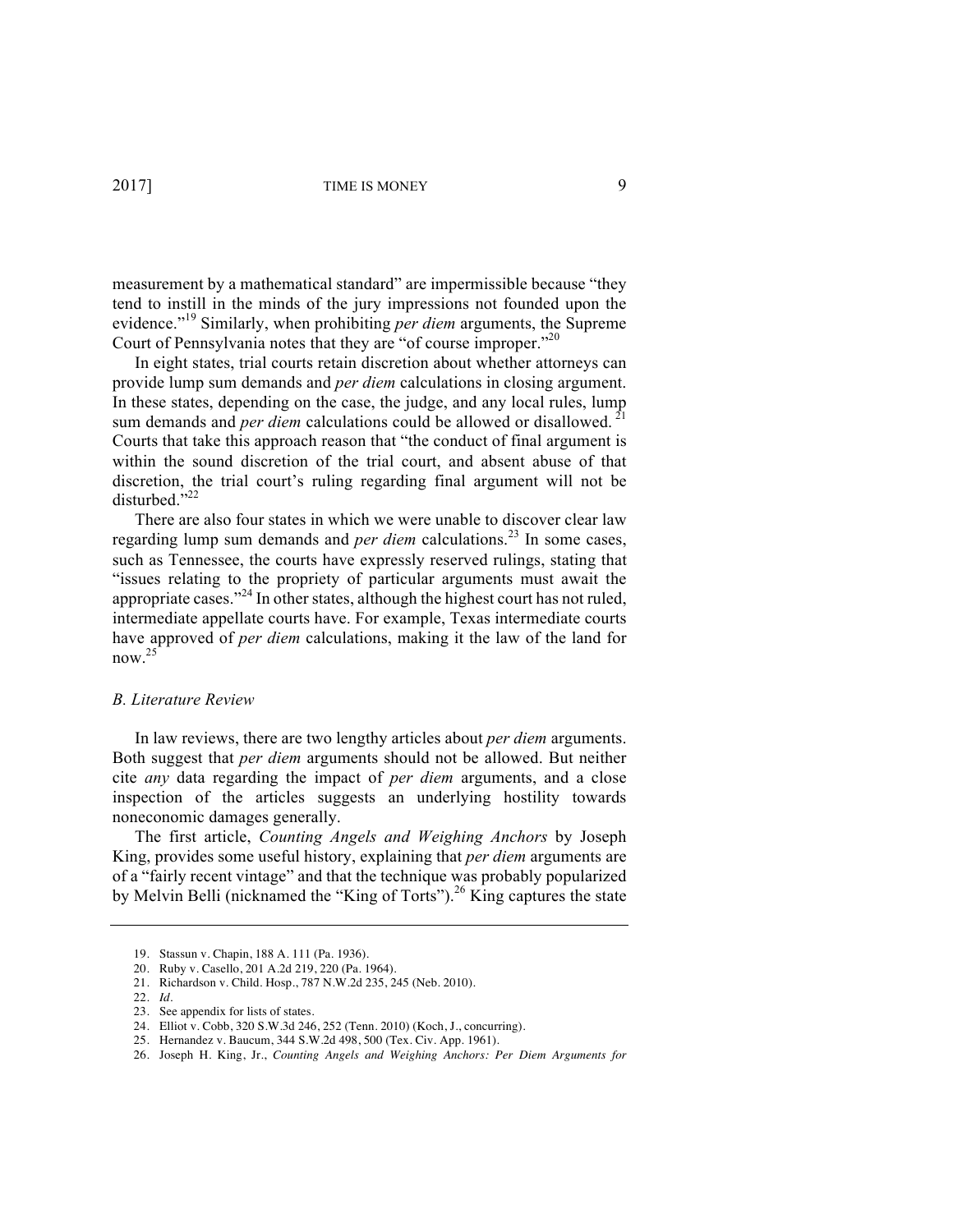measurement by a mathematical standard" are impermissible because "they tend to instill in the minds of the jury impressions not founded upon the evidence." <sup>19</sup> Similarly, when prohibiting *per diem* arguments, the Supreme Court of Pennsylvania notes that they are "of course improper."<sup>20</sup>

In eight states, trial courts retain discretion about whether attorneys can provide lump sum demands and *per diem* calculations in closing argument. In these states, depending on the case, the judge, and any local rules, lump sum demands and *per diem* calculations could be allowed or disallowed.<sup>21</sup> Courts that take this approach reason that "the conduct of final argument is within the sound discretion of the trial court, and absent abuse of that discretion, the trial court's ruling regarding final argument will not be disturbed."22

There are also four states in which we were unable to discover clear law regarding lump sum demands and *per diem* calculations.<sup>23</sup> In some cases, such as Tennessee, the courts have expressly reserved rulings, stating that "issues relating to the propriety of particular arguments must await the appropriate cases."<sup>24</sup> In other states, although the highest court has not ruled, intermediate appellate courts have. For example, Texas intermediate courts have approved of *per diem* calculations, making it the law of the land for now.25

#### *B. Literature Review*

In law reviews, there are two lengthy articles about *per diem* arguments. Both suggest that *per diem* arguments should not be allowed. But neither cite *any* data regarding the impact of *per diem* arguments, and a close inspection of the articles suggests an underlying hostility towards noneconomic damages generally.

The first article, *Counting Angels and Weighing Anchors* by Joseph King, provides some useful history, explaining that *per diem* arguments are of a "fairly recent vintage" and that the technique was probably popularized by Melvin Belli (nicknamed the "King of Torts").<sup>26</sup> King captures the state

<sup>19.</sup> Stassun v. Chapin, 188 A. 111 (Pa. 1936).

<sup>20.</sup> Ruby v. Casello, 201 A.2d 219, 220 (Pa. 1964).

<sup>21.</sup> Richardson v. Child. Hosp*.*, 787 N.W.2d 235, 245 (Neb. 2010).

<sup>22.</sup> *Id.* 

<sup>23.</sup> See appendix for lists of states.

<sup>24.</sup> Elliot v. Cobb, 320 S.W.3d 246, 252 (Tenn. 2010) (Koch, J., concurring).

<sup>25.</sup> Hernandez v. Baucum, 344 S.W.2d 498, 500 (Tex. Civ. App. 1961).

<sup>26.</sup> Joseph H. King, Jr., *Counting Angels and Weighing Anchors: Per Diem Arguments for*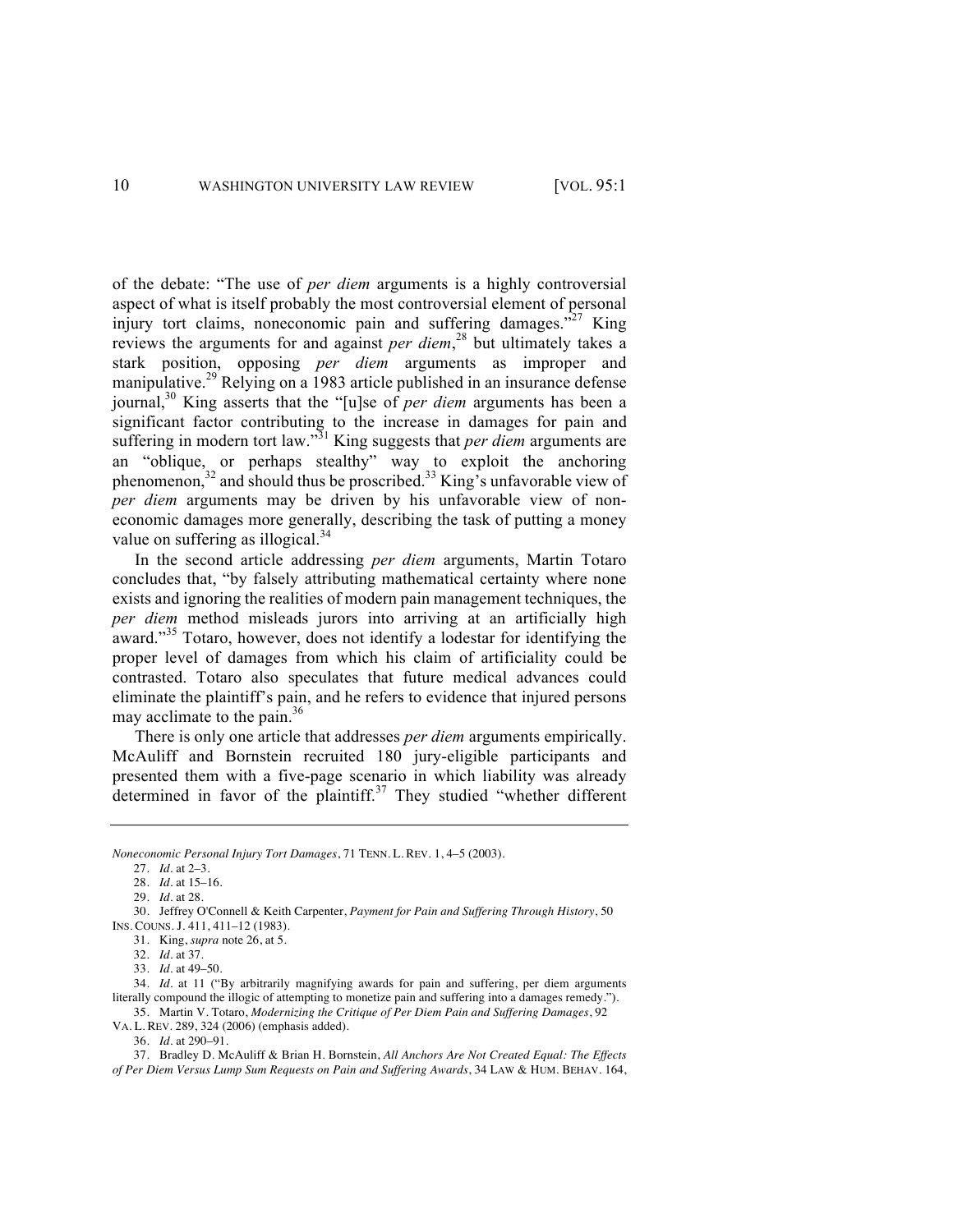of the debate: "The use of *per diem* arguments is a highly controversial aspect of what is itself probably the most controversial element of personal injury tort claims, noneconomic pain and suffering damages. $\frac{1}{27}$  King reviews the arguments for and against *per diem*, <sup>28</sup> but ultimately takes a stark position, opposing *per diem* arguments as improper and manipulative.<sup>29</sup> Relying on a 1983 article published in an insurance defense journal,30 King asserts that the "[u]se of *per diem* arguments has been a significant factor contributing to the increase in damages for pain and suffering in modern tort law."<sup>31</sup> King suggests that *per diem* arguments are an "oblique, or perhaps stealthy" way to exploit the anchoring phenomenon,32 and should thus be proscribed.33 King's unfavorable view of *per diem* arguments may be driven by his unfavorable view of noneconomic damages more generally, describing the task of putting a money value on suffering as illogical.<sup>34</sup>

In the second article addressing *per diem* arguments, Martin Totaro concludes that, "by falsely attributing mathematical certainty where none exists and ignoring the realities of modern pain management techniques, the *per diem* method misleads jurors into arriving at an artificially high award."<sup>35</sup> Totaro, however, does not identify a lodestar for identifying the proper level of damages from which his claim of artificiality could be contrasted. Totaro also speculates that future medical advances could eliminate the plaintiff's pain, and he refers to evidence that injured persons may acclimate to the pain. $36$ 

There is only one article that addresses *per diem* arguments empirically. McAuliff and Bornstein recruited 180 jury-eligible participants and presented them with a five-page scenario in which liability was already determined in favor of the plaintiff.<sup>37</sup> They studied "whether different

36. *Id.* at 290–91.

37. Bradley D. McAuliff & Brian H. Bornstein, *All Anchors Are Not Created Equal: The Effects of Per Diem Versus Lump Sum Requests on Pain and Suffering Awards*, 34 LAW & HUM. BEHAV. 164,

*Noneconomic Personal Injury Tort Damages*, 71 TENN. L. REV. 1, 4–5 (2003).

<sup>27.</sup> *Id.* at 2–3.

<sup>28.</sup> *Id.* at 15–16.

<sup>29.</sup> *Id.* at 28.

<sup>30.</sup> Jeffrey O'Connell & Keith Carpenter, *Payment for Pain and Suffering Through History*, 50 INS. COUNS. J. 411, 411–12 (1983).

<sup>31.</sup> King, *supra* note 26, at 5.

<sup>32.</sup> *Id.* at 37.

<sup>33.</sup> *Id.* at 49–50.

<sup>34.</sup> *Id.* at 11 ("By arbitrarily magnifying awards for pain and suffering, per diem arguments literally compound the illogic of attempting to monetize pain and suffering into a damages remedy."). 35. Martin V. Totaro, *Modernizing the Critique of Per Diem Pain and Suffering Damages*, 92

VA. L. REV. 289, 324 (2006) (emphasis added).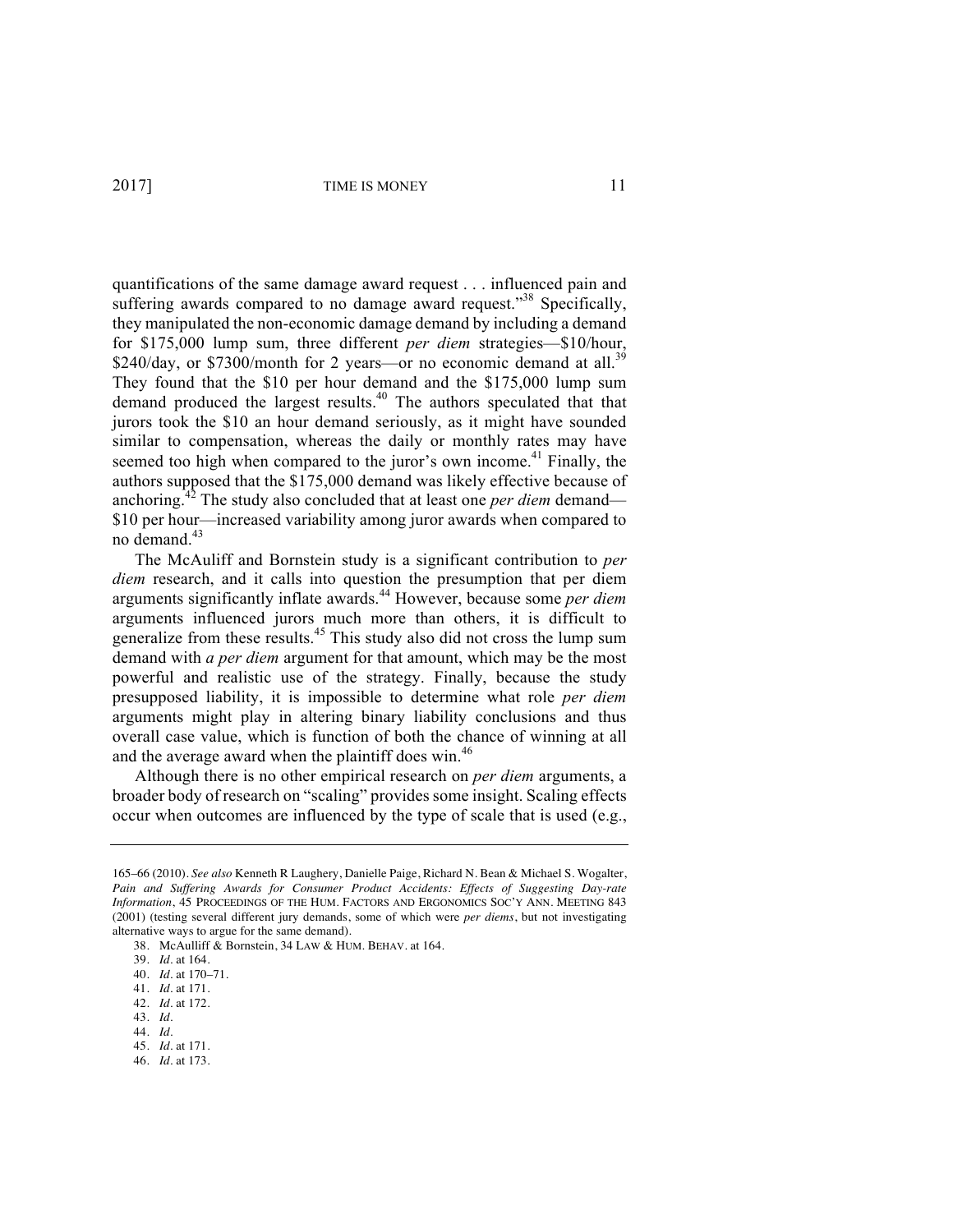quantifications of the same damage award request . . . influenced pain and suffering awards compared to no damage award request."<sup>38</sup> Specifically, they manipulated the non-economic damage demand by including a demand for \$175,000 lump sum, three different *per diem* strategies—\$10/hour, \$240/day, or \$7300/month for 2 years—or no economic demand at all.<sup>39</sup> They found that the \$10 per hour demand and the \$175,000 lump sum demand produced the largest results.<sup>40</sup> The authors speculated that that jurors took the \$10 an hour demand seriously, as it might have sounded similar to compensation, whereas the daily or monthly rates may have seemed too high when compared to the juror's own income.<sup>41</sup> Finally, the authors supposed that the \$175,000 demand was likely effective because of anchoring.<sup>42</sup> The study also concluded that at least one *per diem* demand— \$10 per hour—increased variability among juror awards when compared to no demand.43

The McAuliff and Bornstein study is a significant contribution to *per diem* research, and it calls into question the presumption that per diem arguments significantly inflate awards.<sup>44</sup> However, because some *per diem* arguments influenced jurors much more than others, it is difficult to generalize from these results. $45$  This study also did not cross the lump sum demand with *a per diem* argument for that amount, which may be the most powerful and realistic use of the strategy. Finally, because the study presupposed liability, it is impossible to determine what role *per diem* arguments might play in altering binary liability conclusions and thus overall case value, which is function of both the chance of winning at all and the average award when the plaintiff does win.<sup>46</sup>

Although there is no other empirical research on *per diem* arguments, a broader body of research on "scaling" provides some insight. Scaling effects occur when outcomes are influenced by the type of scale that is used (e.g.,

44. *Id.* 

<sup>165–66 (2010).</sup> *See also* Kenneth R Laughery, Danielle Paige, Richard N. Bean & Michael S. Wogalter, *Pain and Suffering Awards for Consumer Product Accidents: Effects of Suggesting Day-rate Information*, 45 PROCEEDINGS OF THE HUM. FACTORS AND ERGONOMICS SOC'Y ANN. MEETING 843 (2001) (testing several different jury demands, some of which were *per diems*, but not investigating alternative ways to argue for the same demand).

<sup>38.</sup> McAulliff & Bornstein, 34 LAW & HUM. BEHAV. at 164.

<sup>39.</sup> *Id.* at 164.

<sup>40.</sup> *Id.* at 170–71.

<sup>41.</sup> *Id.* at 171.

<sup>42.</sup> *Id.* at 172.

<sup>43.</sup> *Id.*

<sup>45.</sup> *Id.* at 171.

<sup>46.</sup> *Id.* at 173.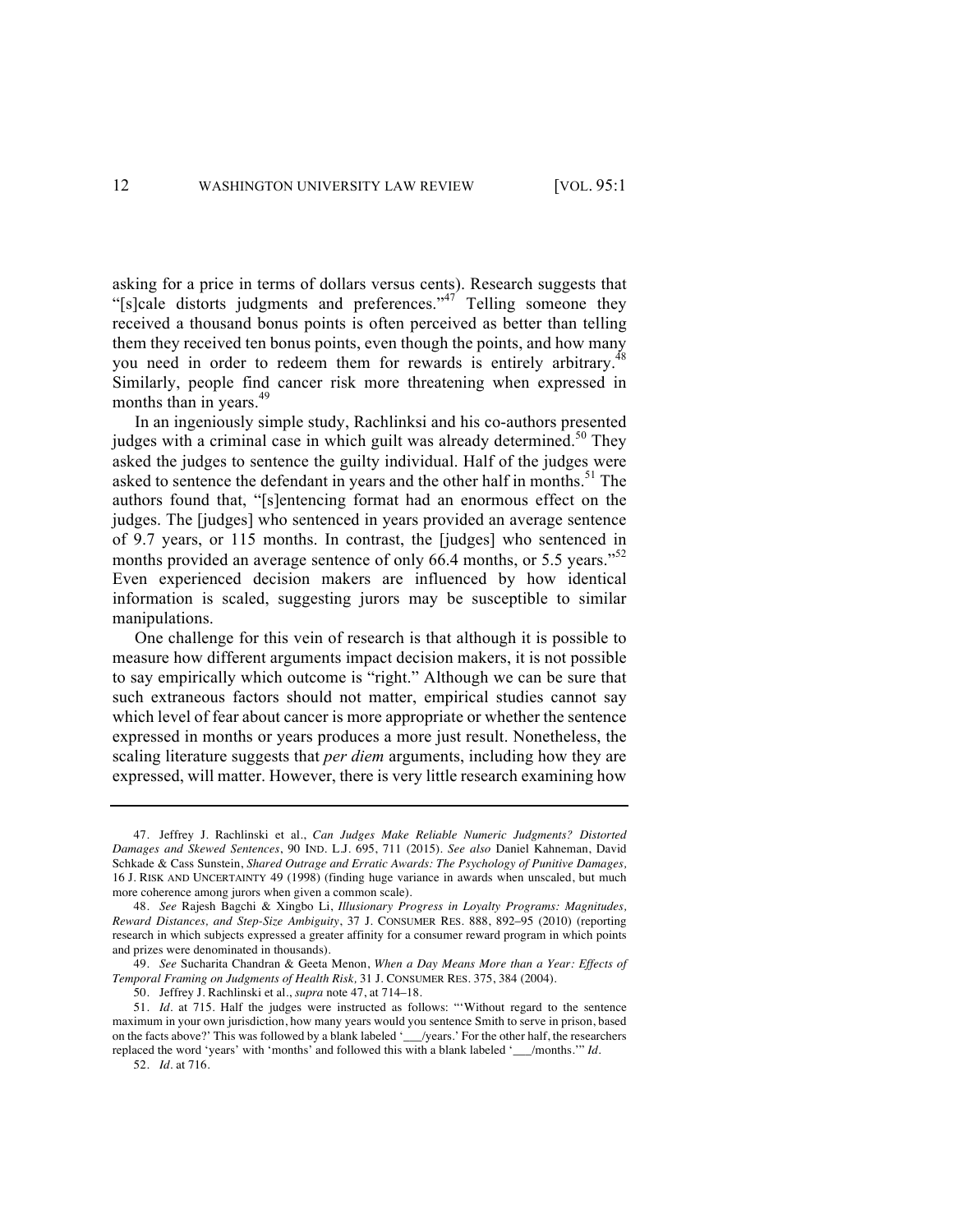asking for a price in terms of dollars versus cents). Research suggests that "[s]cale distorts judgments and preferences."<sup>47</sup> Telling someone they received a thousand bonus points is often perceived as better than telling them they received ten bonus points, even though the points, and how many you need in order to redeem them for rewards is entirely arbitrary.<sup>4</sup> Similarly, people find cancer risk more threatening when expressed in months than in years.<sup>49</sup>

In an ingeniously simple study, Rachlinksi and his co-authors presented judges with a criminal case in which guilt was already determined.<sup>50</sup> They asked the judges to sentence the guilty individual. Half of the judges were asked to sentence the defendant in years and the other half in months.<sup>51</sup> The authors found that, "[s]entencing format had an enormous effect on the judges. The [judges] who sentenced in years provided an average sentence of 9.7 years, or 115 months. In contrast, the [judges] who sentenced in months provided an average sentence of only 66.4 months, or 5.5 years."<sup>52</sup> Even experienced decision makers are influenced by how identical information is scaled, suggesting jurors may be susceptible to similar manipulations.

One challenge for this vein of research is that although it is possible to measure how different arguments impact decision makers, it is not possible to say empirically which outcome is "right." Although we can be sure that such extraneous factors should not matter, empirical studies cannot say which level of fear about cancer is more appropriate or whether the sentence expressed in months or years produces a more just result. Nonetheless, the scaling literature suggests that *per diem* arguments, including how they are expressed, will matter. However, there is very little research examining how

<sup>47.</sup> Jeffrey J. Rachlinski et al., *Can Judges Make Reliable Numeric Judgments? Distorted Damages and Skewed Sentences*, 90 IND. L.J. 695, 711 (2015). *See also* Daniel Kahneman, David Schkade & Cass Sunstein, *Shared Outrage and Erratic Awards: The Psychology of Punitive Damages,*  16 J. RISK AND UNCERTAINTY 49 (1998) (finding huge variance in awards when unscaled, but much more coherence among jurors when given a common scale).

<sup>48.</sup> *See* Rajesh Bagchi & Xingbo Li, *Illusionary Progress in Loyalty Programs: Magnitudes, Reward Distances, and Step-Size Ambiguity*, 37 J. CONSUMER RES. 888, 892–95 (2010) (reporting research in which subjects expressed a greater affinity for a consumer reward program in which points and prizes were denominated in thousands).

<sup>49.</sup> *See* Sucharita Chandran & Geeta Menon, *When a Day Means More than a Year: Effects of Temporal Framing on Judgments of Health Risk,* 31 J. CONSUMER RES. 375, 384 (2004).

<sup>50.</sup> Jeffrey J. Rachlinski et al., *supra* note 47, at 714–18.

<sup>51.</sup> *Id.* at 715. Half the judges were instructed as follows: "'Without regard to the sentence maximum in your own jurisdiction, how many years would you sentence Smith to serve in prison, based on the facts above?' This was followed by a blank labeled '\_\_\_/years.' For the other half, the researchers replaced the word 'years' with 'months' and followed this with a blank labeled '\_\_\_/months.'" *Id.*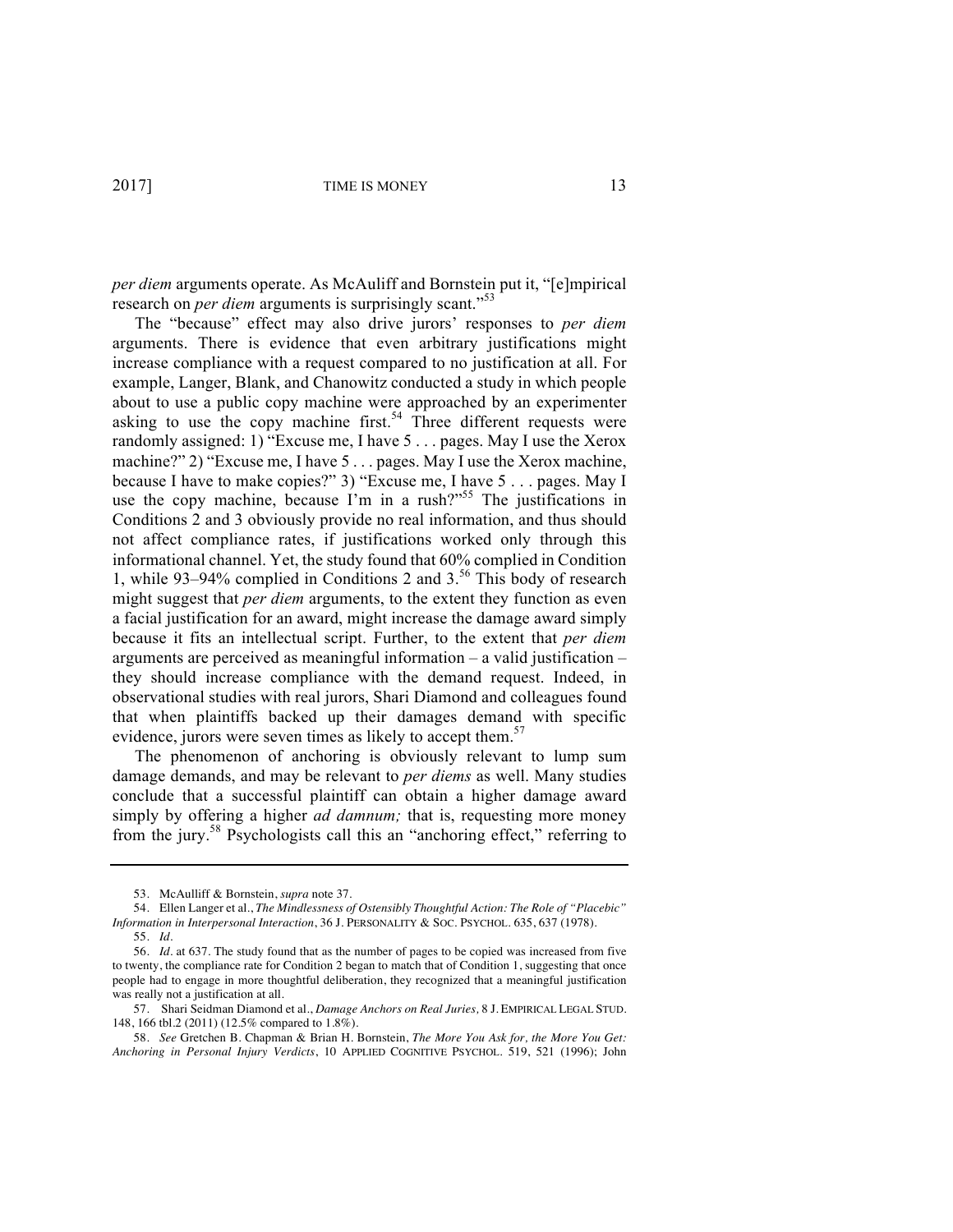*per diem* arguments operate. As McAuliff and Bornstein put it, "[e]mpirical research on *per diem* arguments is surprisingly scant."<sup>53</sup>

The "because" effect may also drive jurors' responses to *per diem* arguments. There is evidence that even arbitrary justifications might increase compliance with a request compared to no justification at all. For example, Langer, Blank, and Chanowitz conducted a study in which people about to use a public copy machine were approached by an experimenter asking to use the copy machine first.<sup>54</sup> Three different requests were randomly assigned: 1) "Excuse me, I have 5 . . . pages. May I use the Xerox machine?" 2) "Excuse me, I have 5 . . . pages. May I use the Xerox machine, because I have to make copies?" 3) "Excuse me, I have 5 . . . pages. May I use the copy machine, because I'm in a rush?"<sup>55</sup> The justifications in Conditions 2 and 3 obviously provide no real information, and thus should not affect compliance rates, if justifications worked only through this informational channel. Yet, the study found that 60% complied in Condition 1, while 93–94% complied in Conditions 2 and 3.<sup>56</sup> This body of research might suggest that *per diem* arguments, to the extent they function as even a facial justification for an award, might increase the damage award simply because it fits an intellectual script. Further, to the extent that *per diem* arguments are perceived as meaningful information – a valid justification – they should increase compliance with the demand request. Indeed, in observational studies with real jurors, Shari Diamond and colleagues found that when plaintiffs backed up their damages demand with specific evidence, jurors were seven times as likely to accept them.<sup>57</sup>

The phenomenon of anchoring is obviously relevant to lump sum damage demands, and may be relevant to *per diems* as well. Many studies conclude that a successful plaintiff can obtain a higher damage award simply by offering a higher *ad damnum;* that is, requesting more money from the jury.<sup>58</sup> Psychologists call this an "anchoring effect," referring to

<sup>53.</sup> McAulliff & Bornstein, *supra* note 37.

<sup>54.</sup> Ellen Langer et al., *The Mindlessness of Ostensibly Thoughtful Action: The Role of "Placebic" Information in Interpersonal Interaction*, 36 J. PERSONALITY & SOC. PSYCHOL. 635, 637 (1978).

<sup>55.</sup> *Id.*

<sup>56.</sup> *Id.* at 637. The study found that as the number of pages to be copied was increased from five to twenty, the compliance rate for Condition 2 began to match that of Condition 1, suggesting that once people had to engage in more thoughtful deliberation, they recognized that a meaningful justification was really not a justification at all.

<sup>57.</sup> Shari Seidman Diamond et al., *Damage Anchors on Real Juries,* 8 J. EMPIRICAL LEGAL STUD. 148, 166 tbl.2 (2011) (12.5% compared to 1.8%).

<sup>58.</sup> *See* Gretchen B. Chapman & Brian H. Bornstein, *The More You Ask for, the More You Get: Anchoring in Personal Injury Verdicts*, 10 APPLIED COGNITIVE PSYCHOL. 519, 521 (1996); John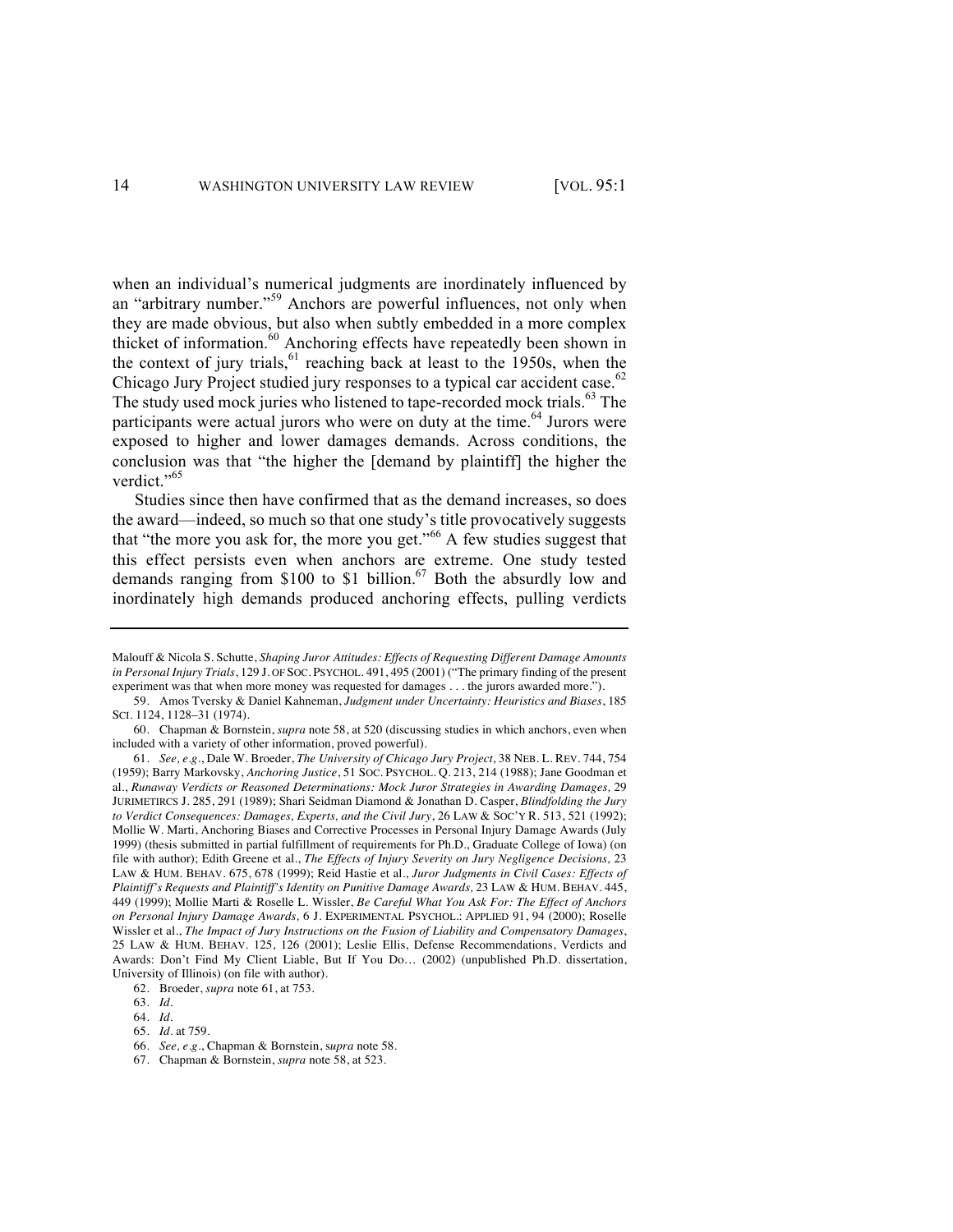when an individual's numerical judgments are inordinately influenced by an "arbitrary number."<sup>59</sup> Anchors are powerful influences, not only when they are made obvious, but also when subtly embedded in a more complex thicket of information.<sup>60</sup> Anchoring effects have repeatedly been shown in the context of jury trials,  $61$  reaching back at least to the 1950s, when the Chicago Jury Project studied jury responses to a typical car accident case.<sup>62</sup> The study used mock juries who listened to tape-recorded mock trials.<sup>63</sup> The participants were actual jurors who were on duty at the time.<sup>64</sup> Jurors were exposed to higher and lower damages demands. Across conditions, the conclusion was that "the higher the [demand by plaintiff] the higher the verdict."<sup>65</sup>

Studies since then have confirmed that as the demand increases, so does the award—indeed, so much so that one study's title provocatively suggests that "the more you ask for, the more you get."<sup>66</sup> A few studies suggest that this effect persists even when anchors are extreme. One study tested demands ranging from \$100 to \$1 billion.<sup>67</sup> Both the absurdly low and inordinately high demands produced anchoring effects, pulling verdicts

62. Broeder, *supra* note 61, at 753.

Malouff & Nicola S. Schutte, *Shaping Juror Attitudes: Effects of Requesting Different Damage Amounts in Personal Injury Trials*, 129 J. OF SOC. PSYCHOL. 491, 495 (2001) ("The primary finding of the present experiment was that when more money was requested for damages . . . the jurors awarded more.").

<sup>59.</sup> Amos Tversky & Daniel Kahneman, *Judgment under Uncertainty: Heuristics and Biases*, 185 SCI. 1124, 1128–31 (1974).

<sup>60.</sup> Chapman & Bornstein, *supra* note 58, at 520 (discussing studies in which anchors, even when included with a variety of other information, proved powerful).

<sup>61.</sup> *See, e.g.*, Dale W. Broeder, *The University of Chicago Jury Project*, 38 NEB. L. REV. 744, 754 (1959); Barry Markovsky, *Anchoring Justice*, 51 SOC. PSYCHOL. Q. 213, 214 (1988); Jane Goodman et al., *Runaway Verdicts or Reasoned Determinations: Mock Juror Strategies in Awarding Damages,* 29 JURIMETIRCS J. 285, 291 (1989); Shari Seidman Diamond & Jonathan D. Casper, *Blindfolding the Jury to Verdict Consequences: Damages, Experts, and the Civil Jury*, 26 LAW & SOC'Y R. 513, 521 (1992); Mollie W. Marti, Anchoring Biases and Corrective Processes in Personal Injury Damage Awards (July 1999) (thesis submitted in partial fulfillment of requirements for Ph.D., Graduate College of Iowa) (on file with author); Edith Greene et al., *The Effects of Injury Severity on Jury Negligence Decisions,* 23 LAW & HUM. BEHAV. 675, 678 (1999); Reid Hastie et al., *Juror Judgments in Civil Cases: Effects of Plaintiff's Requests and Plaintiff's Identity on Punitive Damage Awards,* 23 LAW & HUM. BEHAV. 445, 449 (1999); Mollie Marti & Roselle L. Wissler, *Be Careful What You Ask For: The Effect of Anchors on Personal Injury Damage Awards,* 6 J. EXPERIMENTAL PSYCHOL.: APPLIED 91, 94 (2000); Roselle Wissler et al., *The Impact of Jury Instructions on the Fusion of Liability and Compensatory Damages*, 25 LAW & HUM. BEHAV. 125, 126 (2001); Leslie Ellis, Defense Recommendations, Verdicts and Awards: Don't Find My Client Liable, But If You Do… (2002) (unpublished Ph.D. dissertation, University of Illinois) (on file with author).

<sup>63.</sup> *Id.* 

<sup>64.</sup> *Id.* 

<sup>65.</sup> *Id.* at 759.

<sup>66.</sup> *See, e.g.*, Chapman & Bornstein, s*upra* note 58.

<sup>67.</sup> Chapman & Bornstein, *supra* note 58, at 523.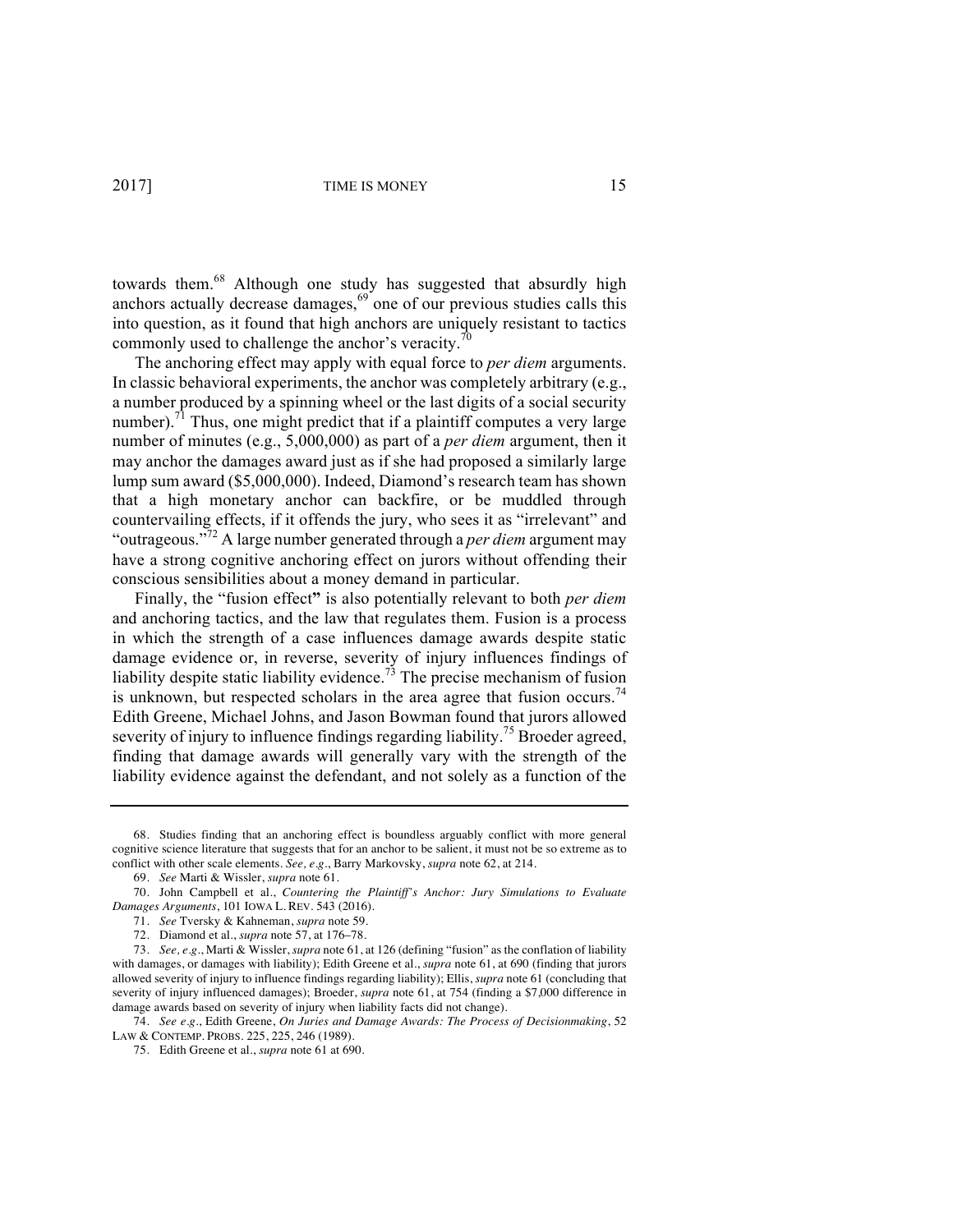towards them.<sup>68</sup> Although one study has suggested that absurdly high anchors actually decrease damages, $69$  one of our previous studies calls this into question, as it found that high anchors are uniquely resistant to tactics commonly used to challenge the anchor's veracity.<sup>70</sup>

The anchoring effect may apply with equal force to *per diem* arguments. In classic behavioral experiments, the anchor was completely arbitrary (e.g., a number produced by a spinning wheel or the last digits of a social security number).<sup>71</sup> Thus, one might predict that if a plaintiff computes a very large number of minutes (e.g., 5,000,000) as part of a *per diem* argument, then it may anchor the damages award just as if she had proposed a similarly large lump sum award (\$5,000,000). Indeed, Diamond's research team has shown that a high monetary anchor can backfire, or be muddled through countervailing effects, if it offends the jury, who sees it as "irrelevant" and "outrageous."<sup>72</sup> A large number generated through a *per diem* argument may have a strong cognitive anchoring effect on jurors without offending their conscious sensibilities about a money demand in particular.

Finally, the "fusion effect**"** is also potentially relevant to both *per diem* and anchoring tactics, and the law that regulates them. Fusion is a process in which the strength of a case influences damage awards despite static damage evidence or, in reverse, severity of injury influences findings of liability despite static liability evidence.<sup>73</sup> The precise mechanism of fusion is unknown, but respected scholars in the area agree that fusion occurs.<sup>74</sup> Edith Greene, Michael Johns, and Jason Bowman found that jurors allowed severity of injury to influence findings regarding liability.<sup>75</sup> Broeder agreed, finding that damage awards will generally vary with the strength of the liability evidence against the defendant, and not solely as a function of the

<sup>68.</sup> Studies finding that an anchoring effect is boundless arguably conflict with more general cognitive science literature that suggests that for an anchor to be salient, it must not be so extreme as to conflict with other scale elements. *See, e.g*., Barry Markovsky, *supra* note 62, at 214.

<sup>69.</sup> *See* Marti & Wissler, *supra* note 61.

<sup>70.</sup> John Campbell et al., *Countering the Plaintiff's Anchor: Jury Simulations to Evaluate Damages Arguments*, 101 IOWA L. REV. 543 (2016).

<sup>71.</sup> *See* Tversky & Kahneman, *supra* note 59.

<sup>72.</sup> Diamond et al., *supra* note 57, at 176–78.

<sup>73.</sup> *See, e.g.*, Marti & Wissler, *supra* note 61, at 126 (defining "fusion" as the conflation of liability with damages, or damages with liability); Edith Greene et al., *supra* note 61, at 690 (finding that jurors allowed severity of injury to influence findings regarding liability); Ellis, *supra* note 61 (concluding that severity of injury influenced damages); Broeder, *supra* note 61, at 754 (finding a \$7,000 difference in damage awards based on severity of injury when liability facts did not change).

<sup>74.</sup> *See e.g.*, Edith Greene, *On Juries and Damage Awards: The Process of Decisionmaking*, 52 LAW & CONTEMP. PROBS. 225, 225, 246 (1989).

<sup>75.</sup> Edith Greene et al., *supra* note 61 at 690.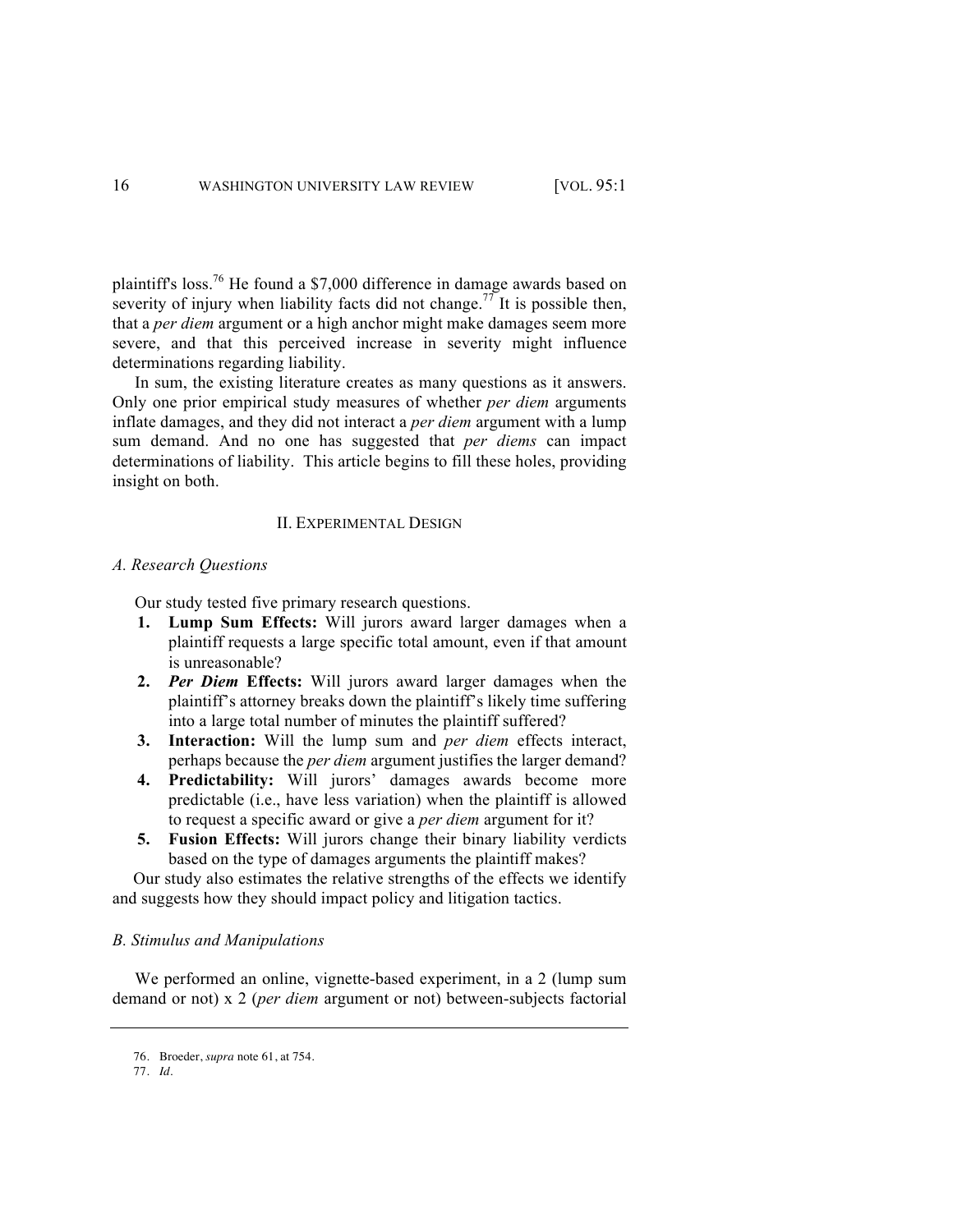plaintiff's loss.76 He found a \$7,000 difference in damage awards based on severity of injury when liability facts did not change.<sup>77</sup> It is possible then, that a *per diem* argument or a high anchor might make damages seem more severe, and that this perceived increase in severity might influence determinations regarding liability.

In sum, the existing literature creates as many questions as it answers. Only one prior empirical study measures of whether *per diem* arguments inflate damages, and they did not interact a *per diem* argument with a lump sum demand. And no one has suggested that *per diems* can impact determinations of liability. This article begins to fill these holes, providing insight on both.

#### II. EXPERIMENTAL DESIGN

#### *A. Research Questions*

Our study tested five primary research questions.

- **1. Lump Sum Effects:** Will jurors award larger damages when a plaintiff requests a large specific total amount, even if that amount is unreasonable?
- **2.** *Per Diem* **Effects:** Will jurors award larger damages when the plaintiff's attorney breaks down the plaintiff's likely time suffering into a large total number of minutes the plaintiff suffered?
- **3. Interaction:** Will the lump sum and *per diem* effects interact, perhaps because the *per diem* argument justifies the larger demand?
- **4. Predictability:** Will jurors' damages awards become more predictable (i.e., have less variation) when the plaintiff is allowed to request a specific award or give a *per diem* argument for it?
- **5. Fusion Effects:** Will jurors change their binary liability verdicts based on the type of damages arguments the plaintiff makes?

Our study also estimates the relative strengths of the effects we identify and suggests how they should impact policy and litigation tactics.

#### *B. Stimulus and Manipulations*

We performed an online, vignette-based experiment, in a 2 (lump sum demand or not) x 2 (*per diem* argument or not) between-subjects factorial

<sup>76.</sup> Broeder, *supra* note 61, at 754.

<sup>77.</sup> *Id*.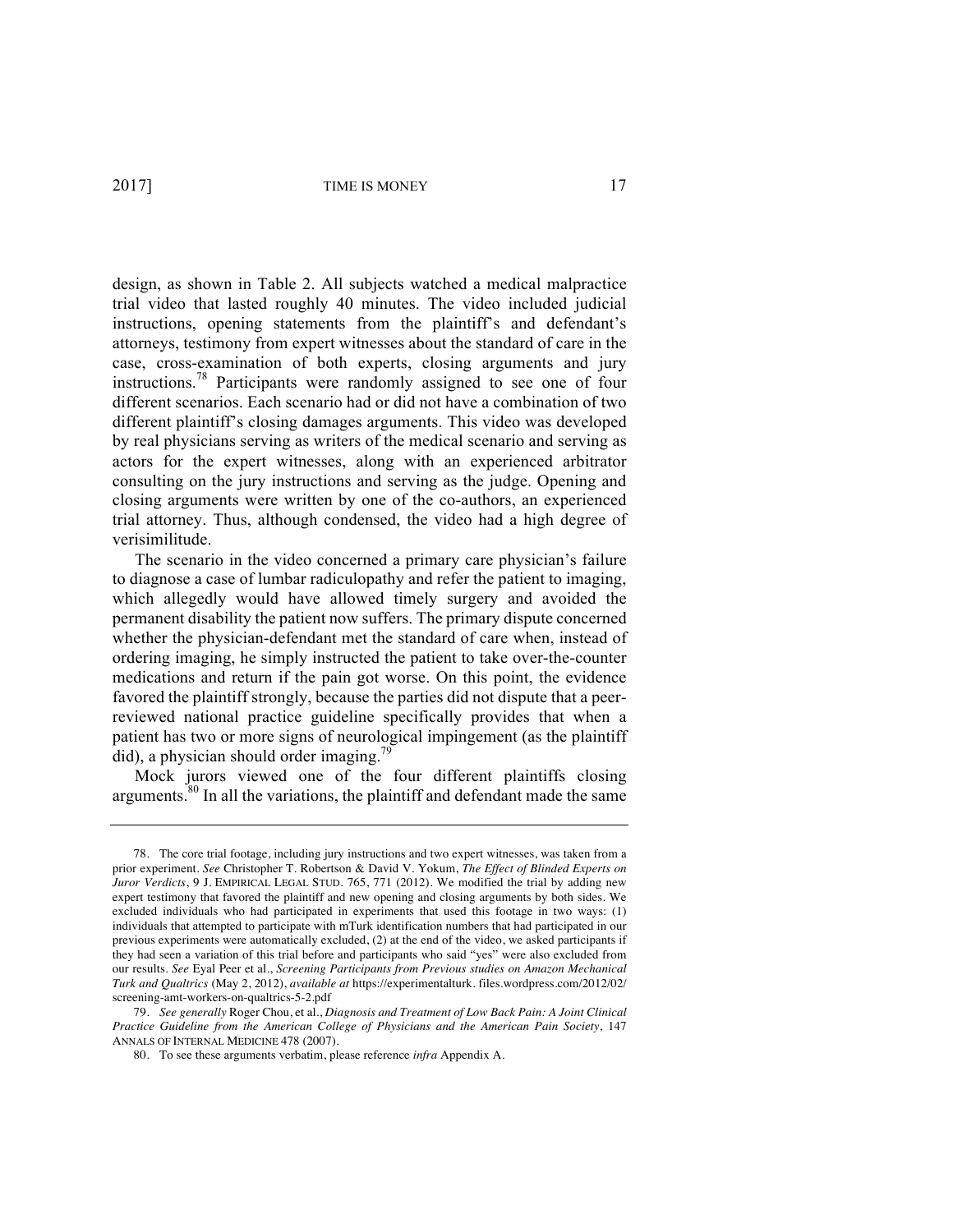design, as shown in Table 2. All subjects watched a medical malpractice trial video that lasted roughly 40 minutes. The video included judicial instructions, opening statements from the plaintiff's and defendant's attorneys, testimony from expert witnesses about the standard of care in the case, cross-examination of both experts, closing arguments and jury instructions.78 Participants were randomly assigned to see one of four different scenarios. Each scenario had or did not have a combination of two different plaintiff's closing damages arguments. This video was developed by real physicians serving as writers of the medical scenario and serving as actors for the expert witnesses, along with an experienced arbitrator consulting on the jury instructions and serving as the judge. Opening and closing arguments were written by one of the co-authors, an experienced trial attorney. Thus, although condensed, the video had a high degree of verisimilitude.

The scenario in the video concerned a primary care physician's failure to diagnose a case of lumbar radiculopathy and refer the patient to imaging, which allegedly would have allowed timely surgery and avoided the permanent disability the patient now suffers. The primary dispute concerned whether the physician-defendant met the standard of care when, instead of ordering imaging, he simply instructed the patient to take over-the-counter medications and return if the pain got worse. On this point, the evidence favored the plaintiff strongly, because the parties did not dispute that a peerreviewed national practice guideline specifically provides that when a patient has two or more signs of neurological impingement (as the plaintiff did), a physician should order imaging.<sup>79</sup>

Mock jurors viewed one of the four different plaintiffs closing arguments.<sup>80</sup> In all the variations, the plaintiff and defendant made the same

<sup>78.</sup> The core trial footage, including jury instructions and two expert witnesses, was taken from a prior experiment. *See* Christopher T. Robertson & David V. Yokum, *The Effect of Blinded Experts on Juror Verdicts*, 9 J. EMPIRICAL LEGAL STUD. 765, 771 (2012). We modified the trial by adding new expert testimony that favored the plaintiff and new opening and closing arguments by both sides. We excluded individuals who had participated in experiments that used this footage in two ways: (1) individuals that attempted to participate with mTurk identification numbers that had participated in our previous experiments were automatically excluded, (2) at the end of the video, we asked participants if they had seen a variation of this trial before and participants who said "yes" were also excluded from our results. *See* Eyal Peer et al., *Screening Participants from Previous studies on Amazon Mechanical Turk and Qualtrics* (May 2, 2012), *available at* https://experimentalturk. files.wordpress.com/2012/02/ screening-amt-workers-on-qualtrics-5-2.pdf

<sup>79.</sup> *See generally* Roger Chou, et al., *Diagnosis and Treatment of Low Back Pain: A Joint Clinical Practice Guideline from the American College of Physicians and the American Pain Society*, 147 ANNALS OF INTERNAL MEDICINE 478 (2007).

<sup>80.</sup> To see these arguments verbatim, please reference *infra* Appendix A.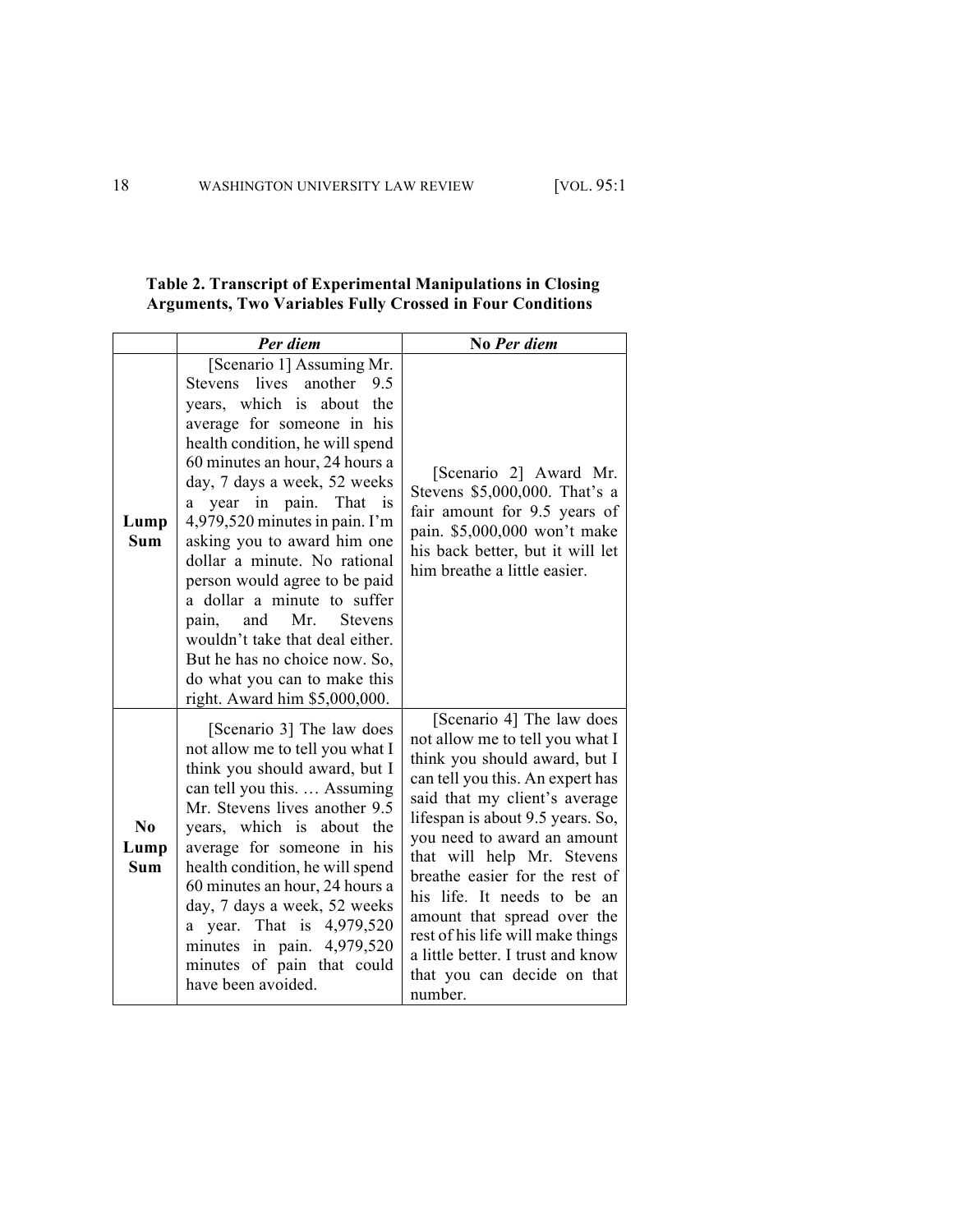| Table 2. Transcript of Experimental Manipulations in Closing     |
|------------------------------------------------------------------|
| <b>Arguments, Two Variables Fully Crossed in Four Conditions</b> |

|                          | Per diem                                                                                                                                                                                                                                                                                                                                                                                                                                                                                                                                                                                                 | No Per diem                                                                                                                                                                                                                                                                                                                                                                                                                                                                             |
|--------------------------|----------------------------------------------------------------------------------------------------------------------------------------------------------------------------------------------------------------------------------------------------------------------------------------------------------------------------------------------------------------------------------------------------------------------------------------------------------------------------------------------------------------------------------------------------------------------------------------------------------|-----------------------------------------------------------------------------------------------------------------------------------------------------------------------------------------------------------------------------------------------------------------------------------------------------------------------------------------------------------------------------------------------------------------------------------------------------------------------------------------|
| Lump<br><b>Sum</b>       | [Scenario 1] Assuming Mr.<br>Stevens lives another<br>9.5<br>years, which is about<br>the<br>average for someone in his<br>health condition, he will spend<br>60 minutes an hour, 24 hours a<br>day, 7 days a week, 52 weeks<br>a year in pain. That is<br>$4,979,520$ minutes in pain. I'm<br>asking you to award him one<br>dollar a minute. No rational<br>person would agree to be paid<br>a dollar a minute to suffer<br>Mr.<br>and<br><b>Stevens</b><br>pain,<br>wouldn't take that deal either.<br>But he has no choice now. So,<br>do what you can to make this<br>right. Award him \$5,000,000. | [Scenario 2] Award Mr.<br>Stevens \$5,000,000. That's a<br>fair amount for 9.5 years of<br>pain. \$5,000,000 won't make<br>his back better, but it will let<br>him breathe a little easier.                                                                                                                                                                                                                                                                                             |
| No<br>Lump<br><b>Sum</b> | [Scenario 3] The law does<br>not allow me to tell you what I<br>think you should award, but I<br>can tell you this.  Assuming<br>Mr. Stevens lives another 9.5<br>years, which is about the<br>average for someone in his<br>health condition, he will spend<br>60 minutes an hour, 24 hours a<br>day, 7 days a week, 52 weeks<br>a year. That is 4,979,520<br>minutes in pain. 4,979,520<br>minutes of pain that could<br>have been avoided.                                                                                                                                                            | [Scenario 4] The law does<br>not allow me to tell you what I<br>think you should award, but I<br>can tell you this. An expert has<br>said that my client's average<br>lifespan is about 9.5 years. So,<br>you need to award an amount<br>that will help Mr. Stevens<br>breathe easier for the rest of<br>his life. It needs to be an<br>amount that spread over the<br>rest of his life will make things<br>a little better. I trust and know<br>that you can decide on that<br>number. |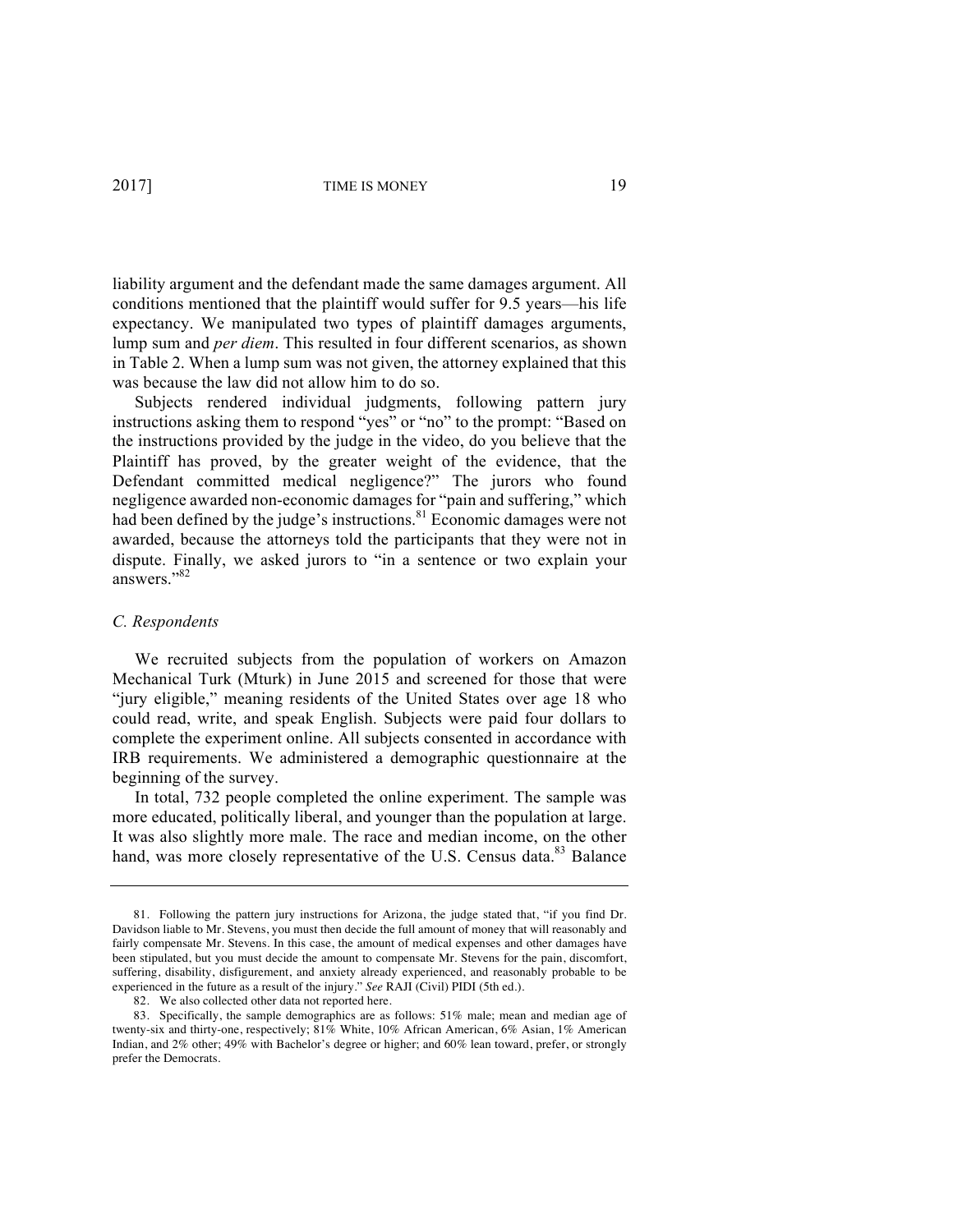liability argument and the defendant made the same damages argument. All conditions mentioned that the plaintiff would suffer for 9.5 years—his life expectancy. We manipulated two types of plaintiff damages arguments, lump sum and *per diem*. This resulted in four different scenarios, as shown in Table 2. When a lump sum was not given, the attorney explained that this was because the law did not allow him to do so.

Subjects rendered individual judgments, following pattern jury instructions asking them to respond "yes" or "no" to the prompt: "Based on the instructions provided by the judge in the video, do you believe that the Plaintiff has proved, by the greater weight of the evidence, that the Defendant committed medical negligence?" The jurors who found negligence awarded non-economic damages for "pain and suffering," which had been defined by the judge's instructions.<sup>81</sup> Economic damages were not awarded, because the attorneys told the participants that they were not in dispute. Finally, we asked jurors to "in a sentence or two explain your answers."82

#### *C. Respondents*

We recruited subjects from the population of workers on Amazon Mechanical Turk (Mturk) in June 2015 and screened for those that were "jury eligible," meaning residents of the United States over age 18 who could read, write, and speak English. Subjects were paid four dollars to complete the experiment online. All subjects consented in accordance with IRB requirements. We administered a demographic questionnaire at the beginning of the survey.

In total, 732 people completed the online experiment. The sample was more educated, politically liberal, and younger than the population at large. It was also slightly more male. The race and median income, on the other hand, was more closely representative of the U.S. Census data.<sup>83</sup> Balance

<sup>81.</sup> Following the pattern jury instructions for Arizona, the judge stated that, "if you find Dr. Davidson liable to Mr. Stevens, you must then decide the full amount of money that will reasonably and fairly compensate Mr. Stevens. In this case, the amount of medical expenses and other damages have been stipulated, but you must decide the amount to compensate Mr. Stevens for the pain, discomfort, suffering, disability, disfigurement, and anxiety already experienced, and reasonably probable to be experienced in the future as a result of the injury." *See* RAJI (Civil) PIDI (5th ed.).

<sup>82.</sup> We also collected other data not reported here.

<sup>83.</sup> Specifically, the sample demographics are as follows: 51% male; mean and median age of twenty-six and thirty-one, respectively; 81% White, 10% African American, 6% Asian, 1% American Indian, and 2% other; 49% with Bachelor's degree or higher; and 60% lean toward, prefer, or strongly prefer the Democrats.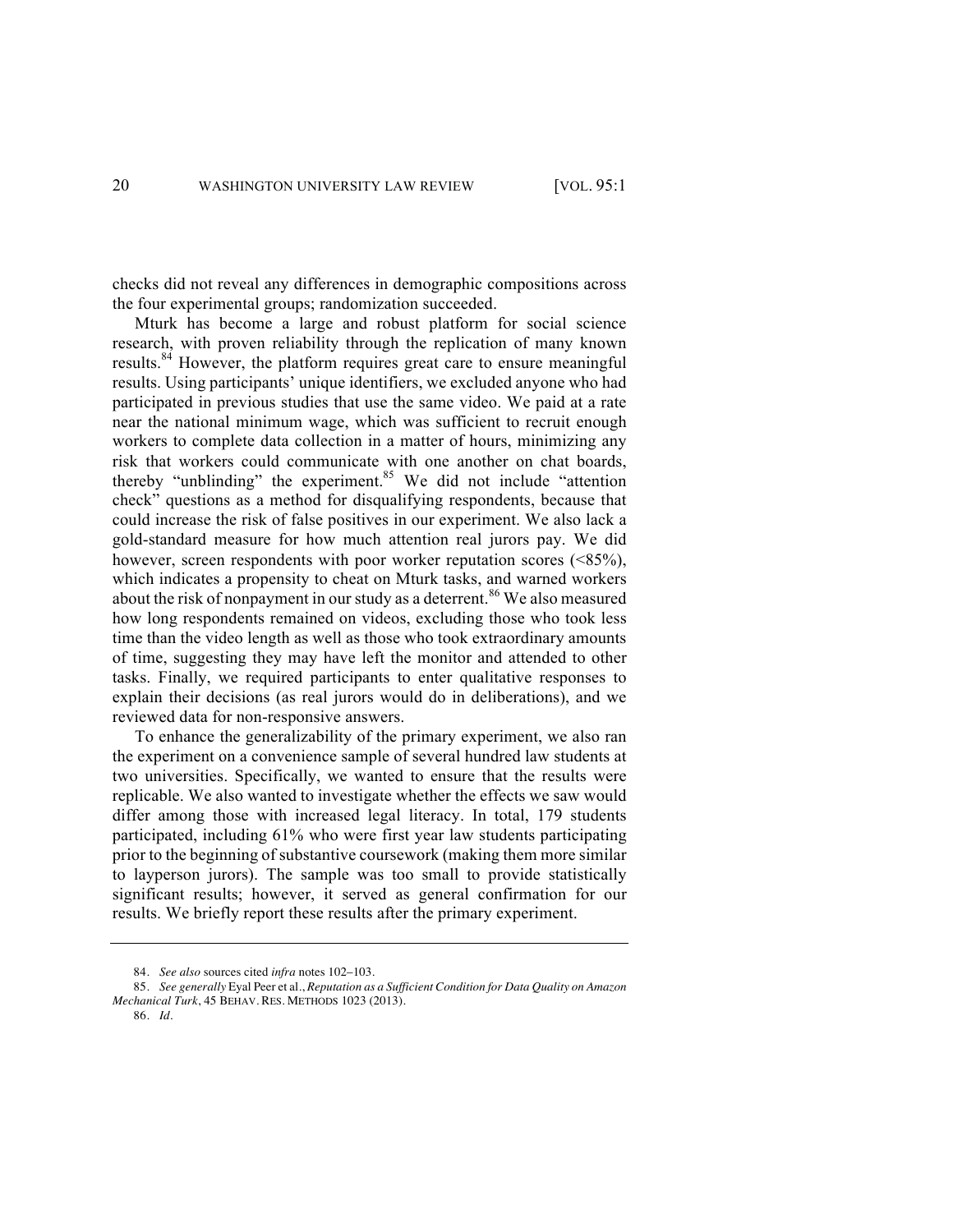checks did not reveal any differences in demographic compositions across the four experimental groups; randomization succeeded.

Mturk has become a large and robust platform for social science research, with proven reliability through the replication of many known results.<sup>84</sup> However, the platform requires great care to ensure meaningful results. Using participants' unique identifiers, we excluded anyone who had participated in previous studies that use the same video. We paid at a rate near the national minimum wage, which was sufficient to recruit enough workers to complete data collection in a matter of hours, minimizing any risk that workers could communicate with one another on chat boards, thereby "unblinding" the experiment. <sup>85</sup> We did not include "attention" check" questions as a method for disqualifying respondents, because that could increase the risk of false positives in our experiment. We also lack a gold-standard measure for how much attention real jurors pay. We did however, screen respondents with poor worker reputation scores (<85%), which indicates a propensity to cheat on Mturk tasks, and warned workers about the risk of nonpayment in our study as a deterrent. <sup>86</sup> We also measured how long respondents remained on videos, excluding those who took less time than the video length as well as those who took extraordinary amounts of time, suggesting they may have left the monitor and attended to other tasks. Finally, we required participants to enter qualitative responses to explain their decisions (as real jurors would do in deliberations), and we reviewed data for non-responsive answers.

To enhance the generalizability of the primary experiment, we also ran the experiment on a convenience sample of several hundred law students at two universities. Specifically, we wanted to ensure that the results were replicable. We also wanted to investigate whether the effects we saw would differ among those with increased legal literacy. In total, 179 students participated, including 61% who were first year law students participating prior to the beginning of substantive coursework (making them more similar to layperson jurors). The sample was too small to provide statistically significant results; however, it served as general confirmation for our results. We briefly report these results after the primary experiment.

<sup>84.</sup> *See also* sources cited *infra* notes 102–103.

<sup>85.</sup> *See generally* Eyal Peer et al., *Reputation as a Sufficient Condition for Data Quality on Amazon Mechanical Turk*, 45 BEHAV. RES. METHODS 1023 (2013).

<sup>86.</sup> *Id.*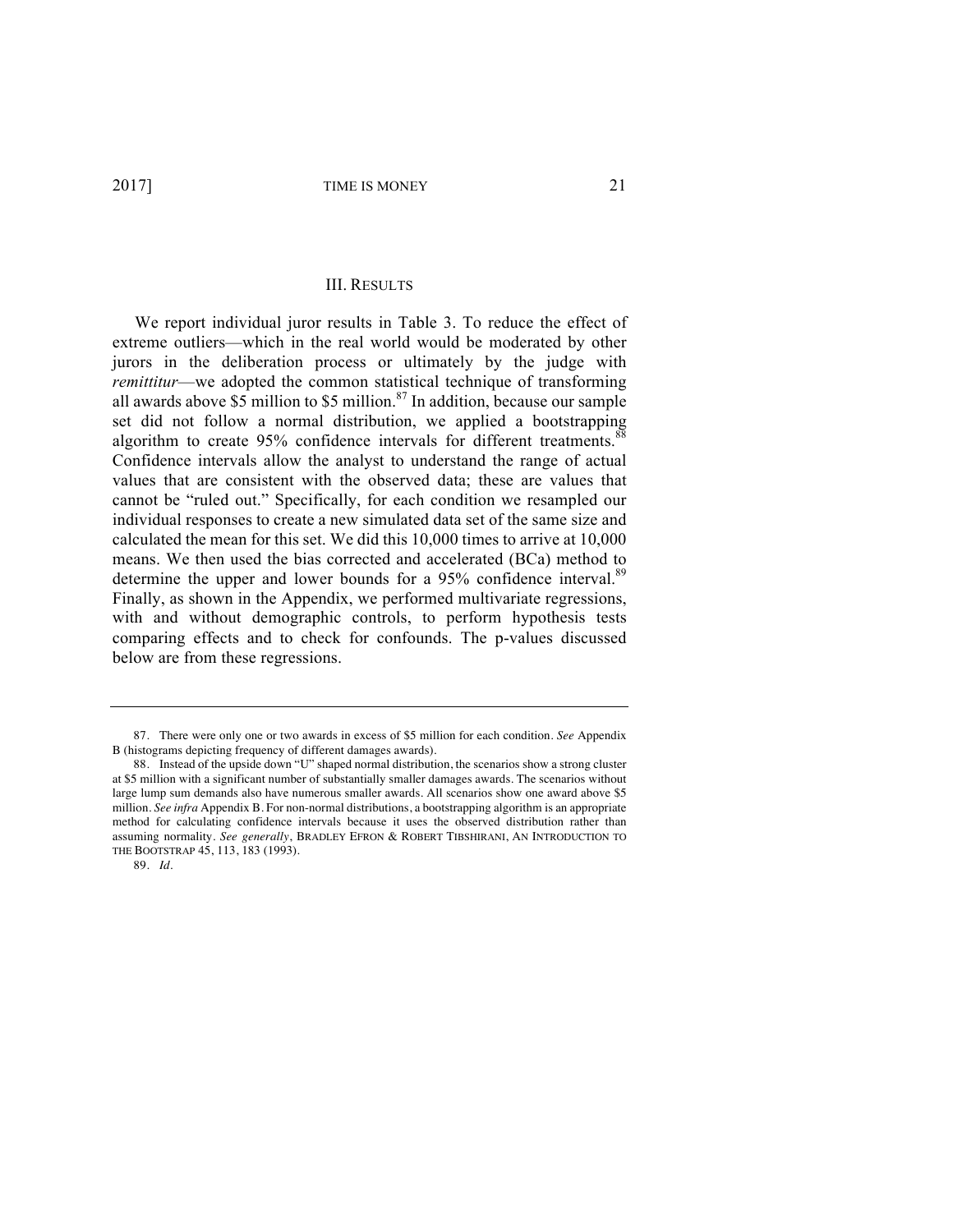#### III. RESULTS

We report individual juror results in Table 3. To reduce the effect of extreme outliers—which in the real world would be moderated by other jurors in the deliberation process or ultimately by the judge with *remittitur*—we adopted the common statistical technique of transforming all awards above  $$5$  million to  $$5$  million.<sup>87</sup> In addition, because our sample set did not follow a normal distribution, we applied a bootstrapping algorithm to create 95% confidence intervals for different treatments.<sup>88</sup> Confidence intervals allow the analyst to understand the range of actual values that are consistent with the observed data; these are values that cannot be "ruled out." Specifically, for each condition we resampled our individual responses to create a new simulated data set of the same size and calculated the mean for this set. We did this 10,000 times to arrive at 10,000 means. We then used the bias corrected and accelerated (BCa) method to determine the upper and lower bounds for a 95% confidence interval.<sup>89</sup> Finally, as shown in the Appendix, we performed multivariate regressions, with and without demographic controls, to perform hypothesis tests comparing effects and to check for confounds. The p-values discussed below are from these regressions.

<sup>87.</sup> There were only one or two awards in excess of \$5 million for each condition. *See* Appendix B (histograms depicting frequency of different damages awards).

<sup>88.</sup> Instead of the upside down "U" shaped normal distribution, the scenarios show a strong cluster at \$5 million with a significant number of substantially smaller damages awards. The scenarios without large lump sum demands also have numerous smaller awards. All scenarios show one award above \$5 million. *See infra* Appendix B. For non-normal distributions, a bootstrapping algorithm is an appropriate method for calculating confidence intervals because it uses the observed distribution rather than assuming normality. *See generally*, BRADLEY EFRON & ROBERT TIBSHIRANI, AN INTRODUCTION TO THE BOOTSTRAP 45, 113, 183 (1993).

<sup>89.</sup> *Id*.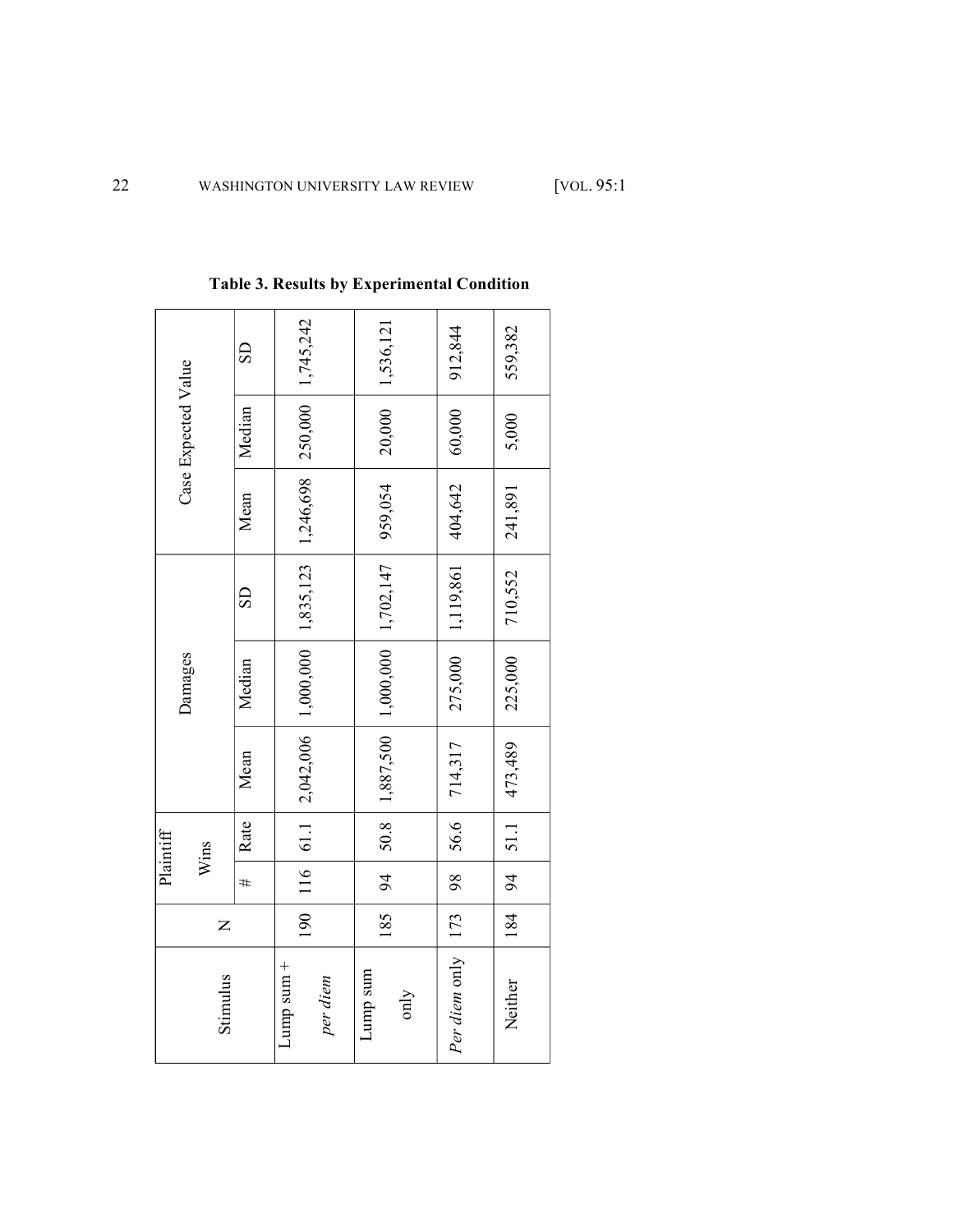|                     | $\overline{\text{CD}}$ | 250,000   1,745,242                                          | 1,536,121                              | 912,844               | 559,382   |
|---------------------|------------------------|--------------------------------------------------------------|----------------------------------------|-----------------------|-----------|
| Case Expected Value | Median                 |                                                              | 20,000                                 | 60,000                | 5,000     |
|                     | Mean                   |                                                              | 959,054                                | 404,642               | 241,891   |
|                     | $\overline{\text{SD}}$ |                                                              |                                        | 1,119,861             | 710,552   |
| Damages             | Median                 |                                                              |                                        | 275,000               | 225,000   |
|                     | Mean                   | $116$   61.1   2,042,006   1,000,000   1,835,123   1,246,698 | $50.8$   1,887,500   1,000   1,702,147 | 714,317               | 473,489   |
| Plaintiff<br>Wins   | Rate                   |                                                              |                                        | 56.6                  | 94   51.1 |
|                     | #                      |                                                              | $\frac{1}{2}$                          | 98                    |           |
| $\overline{z}$      |                        | 190                                                          | 185                                    |                       | 184       |
| Stimulus            |                        | $Lump$ sum $+$<br>per diem                                   | Lump sum<br>only                       | Per diem only   $173$ | Neither   |

**Table 3. Results by Experimental Condition**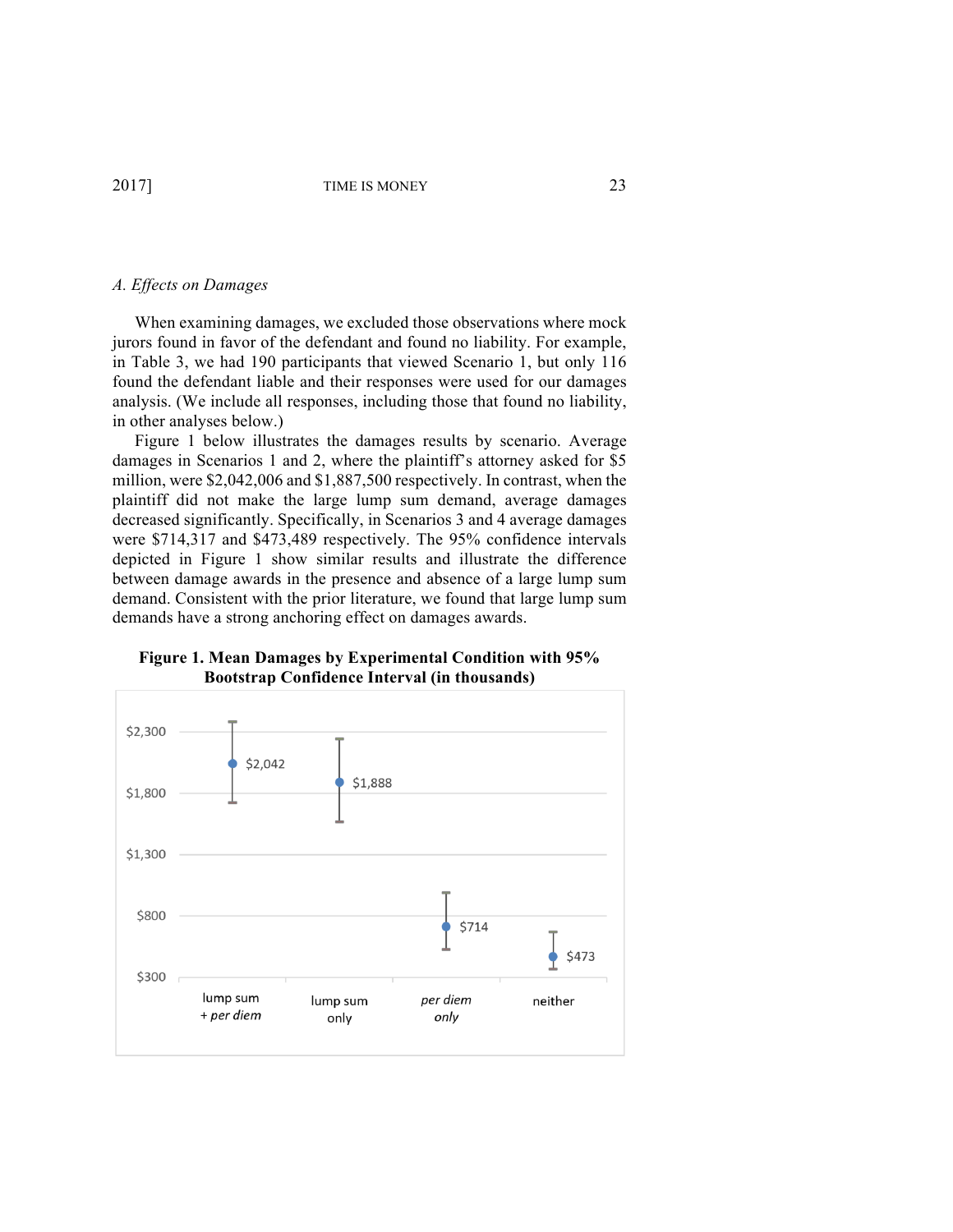#### *A. Effects on Damages*

When examining damages, we excluded those observations where mock jurors found in favor of the defendant and found no liability. For example, in Table 3, we had 190 participants that viewed Scenario 1, but only 116 found the defendant liable and their responses were used for our damages analysis. (We include all responses, including those that found no liability, in other analyses below.)

Figure 1 below illustrates the damages results by scenario. Average damages in Scenarios 1 and 2, where the plaintiff's attorney asked for \$5 million, were \$2,042,006 and \$1,887,500 respectively. In contrast, when the plaintiff did not make the large lump sum demand, average damages decreased significantly. Specifically, in Scenarios 3 and 4 average damages were \$714,317 and \$473,489 respectively. The 95% confidence intervals depicted in Figure 1 show similar results and illustrate the difference between damage awards in the presence and absence of a large lump sum demand. Consistent with the prior literature, we found that large lump sum demands have a strong anchoring effect on damages awards.



**Figure 1. Mean Damages by Experimental Condition with 95% Bootstrap Confidence Interval (in thousands)**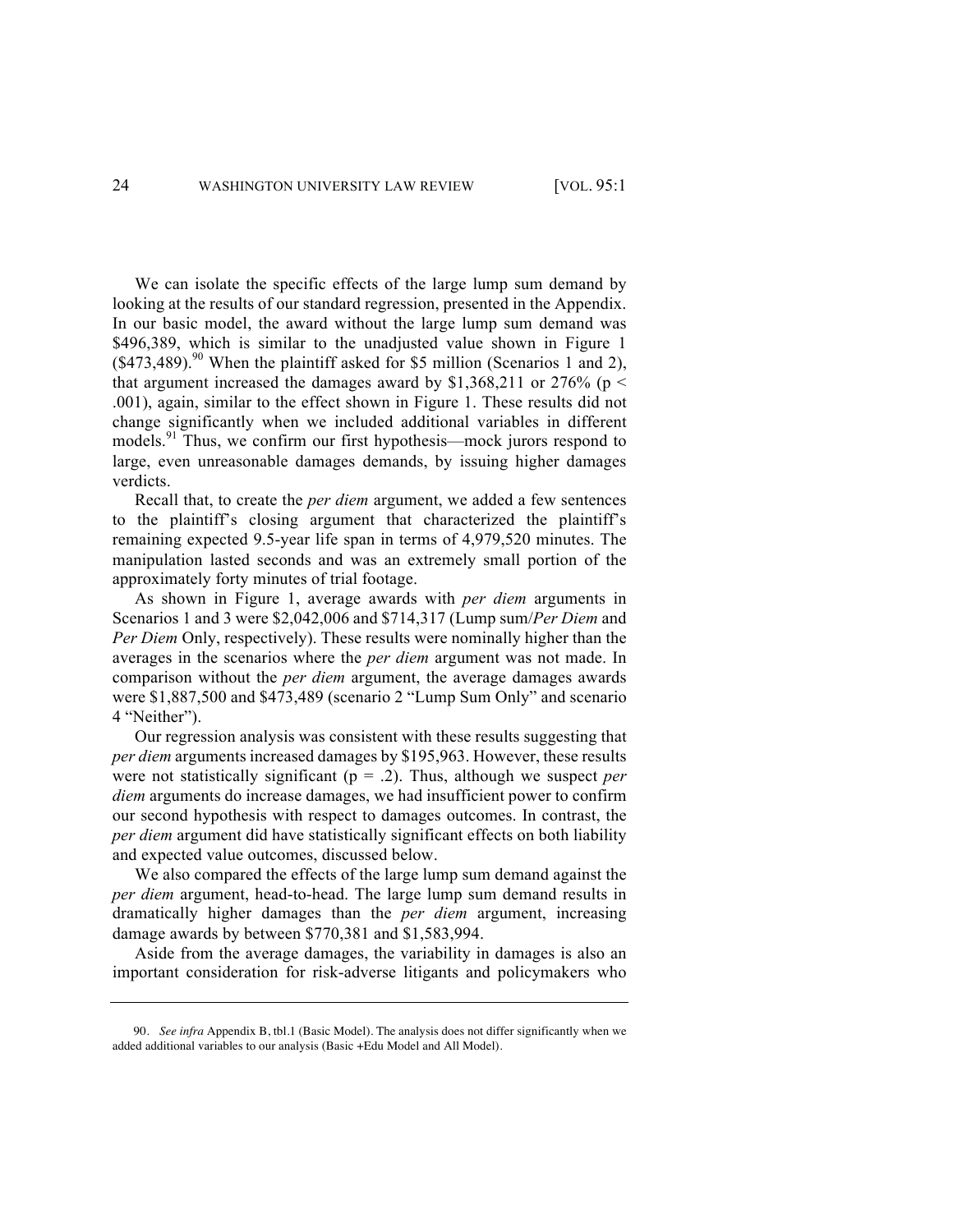We can isolate the specific effects of the large lump sum demand by looking at the results of our standard regression, presented in the Appendix. In our basic model, the award without the large lump sum demand was \$496,389, which is similar to the unadjusted value shown in Figure 1  $($ \$473,489).<sup>90</sup> When the plaintiff asked for \$5 million (Scenarios 1 and 2), that argument increased the damages award by \$1,368,211 or 276% ( $p \le$ .001), again, similar to the effect shown in Figure 1. These results did not change significantly when we included additional variables in different models.<sup>91</sup> Thus, we confirm our first hypothesis—mock jurors respond to large, even unreasonable damages demands, by issuing higher damages verdicts.

Recall that, to create the *per diem* argument, we added a few sentences to the plaintiff's closing argument that characterized the plaintiff's remaining expected 9.5-year life span in terms of 4,979,520 minutes. The manipulation lasted seconds and was an extremely small portion of the approximately forty minutes of trial footage.

As shown in Figure 1, average awards with *per diem* arguments in Scenarios 1 and 3 were \$2,042,006 and \$714,317 (Lump sum/*Per Diem* and *Per Diem* Only, respectively). These results were nominally higher than the averages in the scenarios where the *per diem* argument was not made. In comparison without the *per diem* argument, the average damages awards were \$1,887,500 and \$473,489 (scenario 2 "Lump Sum Only" and scenario 4 "Neither").

Our regression analysis was consistent with these results suggesting that *per diem* arguments increased damages by \$195,963. However, these results were not statistically significant (p = .2). Thus, although we suspect *per diem* arguments do increase damages, we had insufficient power to confirm our second hypothesis with respect to damages outcomes. In contrast, the *per diem* argument did have statistically significant effects on both liability and expected value outcomes, discussed below.

We also compared the effects of the large lump sum demand against the *per diem* argument, head-to-head. The large lump sum demand results in dramatically higher damages than the *per diem* argument, increasing damage awards by between \$770,381 and \$1,583,994.

Aside from the average damages, the variability in damages is also an important consideration for risk-adverse litigants and policymakers who

<sup>90.</sup> *See infra* Appendix B, tbl.1 (Basic Model). The analysis does not differ significantly when we added additional variables to our analysis (Basic +Edu Model and All Model).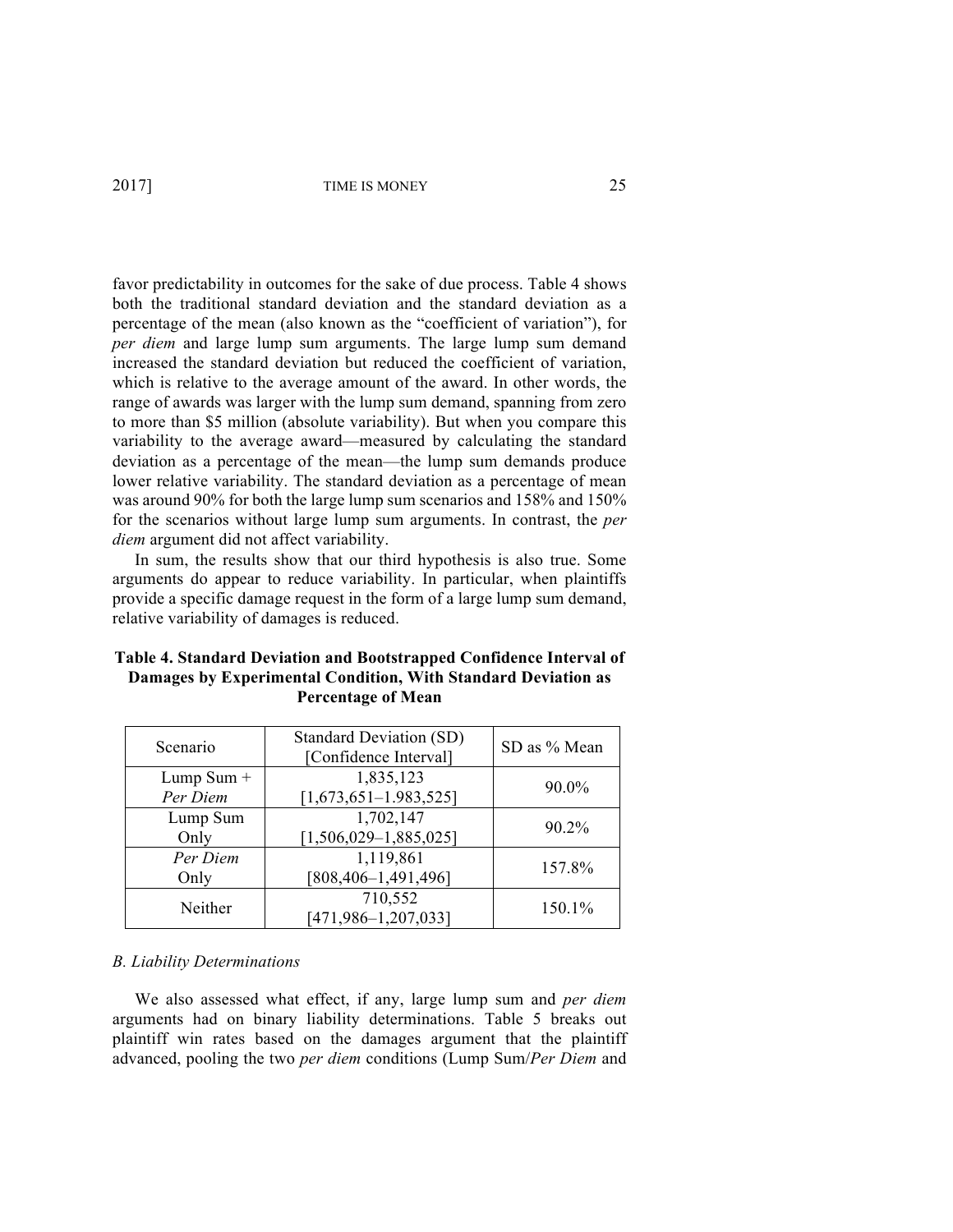favor predictability in outcomes for the sake of due process. Table 4 shows both the traditional standard deviation and the standard deviation as a percentage of the mean (also known as the "coefficient of variation"), for *per diem* and large lump sum arguments. The large lump sum demand increased the standard deviation but reduced the coefficient of variation, which is relative to the average amount of the award. In other words, the range of awards was larger with the lump sum demand, spanning from zero to more than \$5 million (absolute variability). But when you compare this variability to the average award—measured by calculating the standard deviation as a percentage of the mean—the lump sum demands produce lower relative variability. The standard deviation as a percentage of mean was around 90% for both the large lump sum scenarios and 158% and 150% for the scenarios without large lump sum arguments. In contrast, the *per diem* argument did not affect variability.

In sum, the results show that our third hypothesis is also true. Some arguments do appear to reduce variability. In particular, when plaintiffs provide a specific damage request in the form of a large lump sum demand, relative variability of damages is reduced.

| Scenario                 | <b>Standard Deviation (SD)</b><br>[Confidence Interval] | SD as % Mean |
|--------------------------|---------------------------------------------------------|--------------|
| Lump Sum $+$<br>Per Diem | 1,835,123<br>$[1,673,651-1.983,525]$                    | 90.0%        |
| Lump Sum<br>Only         | 1,702,147<br>$[1,506,029-1,885,025]$                    | $90.2\%$     |
| Per Diem<br>Only         | 1,119,861<br>$[808, 406 - 1, 491, 496]$                 | 157.8%       |
| Neither                  | 710,552<br>$[471, 986 - 1, 207, 033]$                   | 150.1%       |

# **Table 4. Standard Deviation and Bootstrapped Confidence Interval of Damages by Experimental Condition, With Standard Deviation as Percentage of Mean**

#### *B. Liability Determinations*

We also assessed what effect, if any, large lump sum and *per diem* arguments had on binary liability determinations. Table 5 breaks out plaintiff win rates based on the damages argument that the plaintiff advanced, pooling the two *per diem* conditions (Lump Sum/*Per Diem* and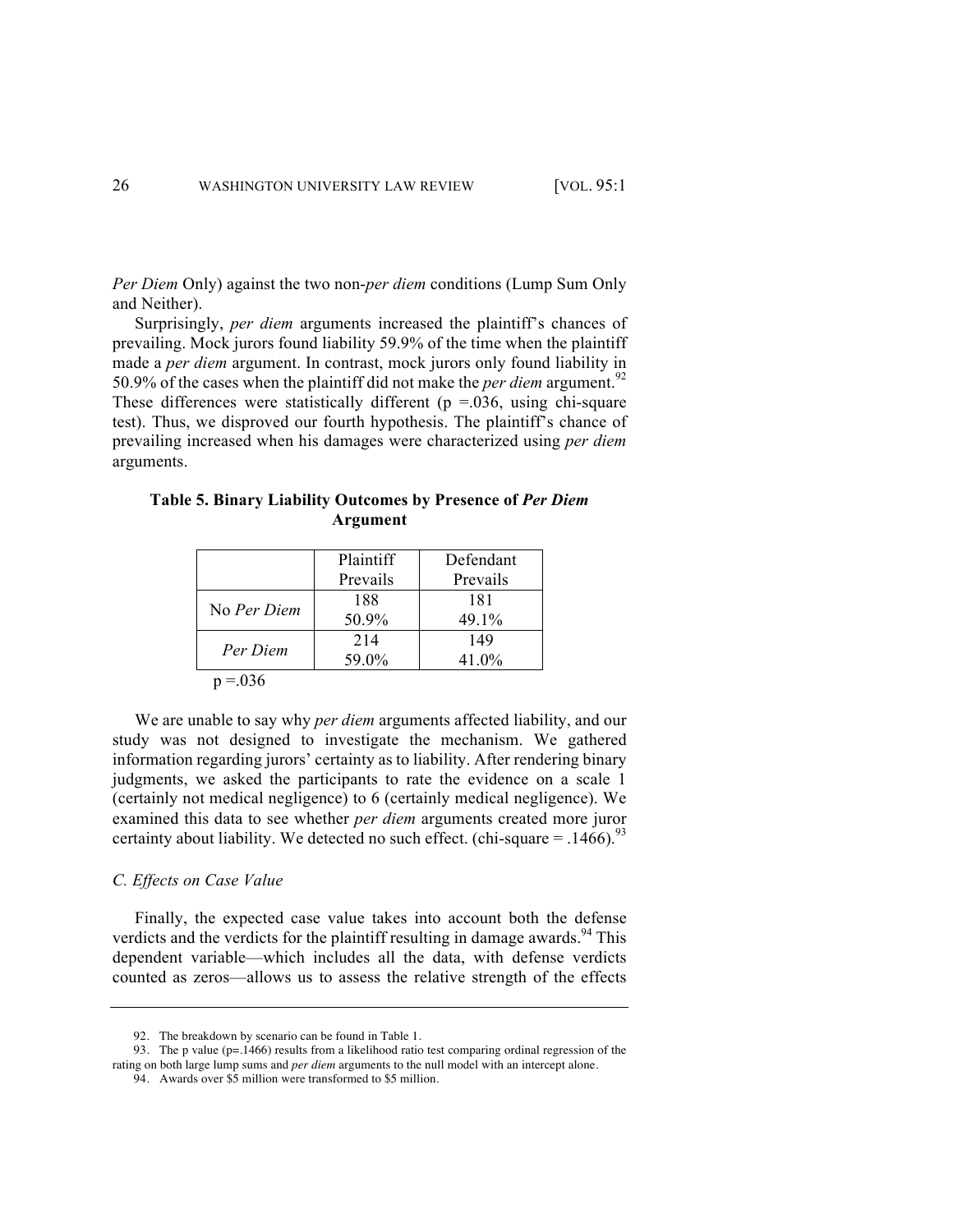*Per Diem* Only) against the two non-*per diem* conditions (Lump Sum Only and Neither).

Surprisingly, *per diem* arguments increased the plaintiff's chances of prevailing. Mock jurors found liability 59.9% of the time when the plaintiff made a *per diem* argument. In contrast, mock jurors only found liability in 50.9% of the cases when the plaintiff did not make the *per diem* argument.<sup>92</sup> These differences were statistically different ( $p = 0.036$ , using chi-square test). Thus, we disproved our fourth hypothesis. The plaintiff's chance of prevailing increased when his damages were characterized using *per diem*  arguments.

**Table 5. Binary Liability Outcomes by Presence of** *Per Diem* **Argument**

|             | Plaintiff | Defendant |
|-------------|-----------|-----------|
|             | Prevails  | Prevails  |
|             | 188       | 181       |
| No Per Diem | 50.9%     | 49.1%     |
|             | 214       | 149       |
| Per Diem    | 59.0%     | 41.0%     |
| $p = 0.036$ |           |           |

We are unable to say why *per diem* arguments affected liability, and our study was not designed to investigate the mechanism. We gathered information regarding jurors' certainty as to liability. After rendering binary judgments, we asked the participants to rate the evidence on a scale 1 (certainly not medical negligence) to 6 (certainly medical negligence). We examined this data to see whether *per diem* arguments created more juror certainty about liability. We detected no such effect. (chi-square  $=$  .1466).<sup>93</sup>

#### *C. Effects on Case Value*

Finally, the expected case value takes into account both the defense verdicts and the verdicts for the plaintiff resulting in damage awards.<sup>94</sup> This dependent variable—which includes all the data, with defense verdicts counted as zeros—allows us to assess the relative strength of the effects

<sup>92.</sup> The breakdown by scenario can be found in Table 1.

<sup>93.</sup> The p value (p=.1466) results from a likelihood ratio test comparing ordinal regression of the rating on both large lump sums and *per diem* arguments to the null model with an intercept alone.

<sup>94.</sup> Awards over \$5 million were transformed to \$5 million.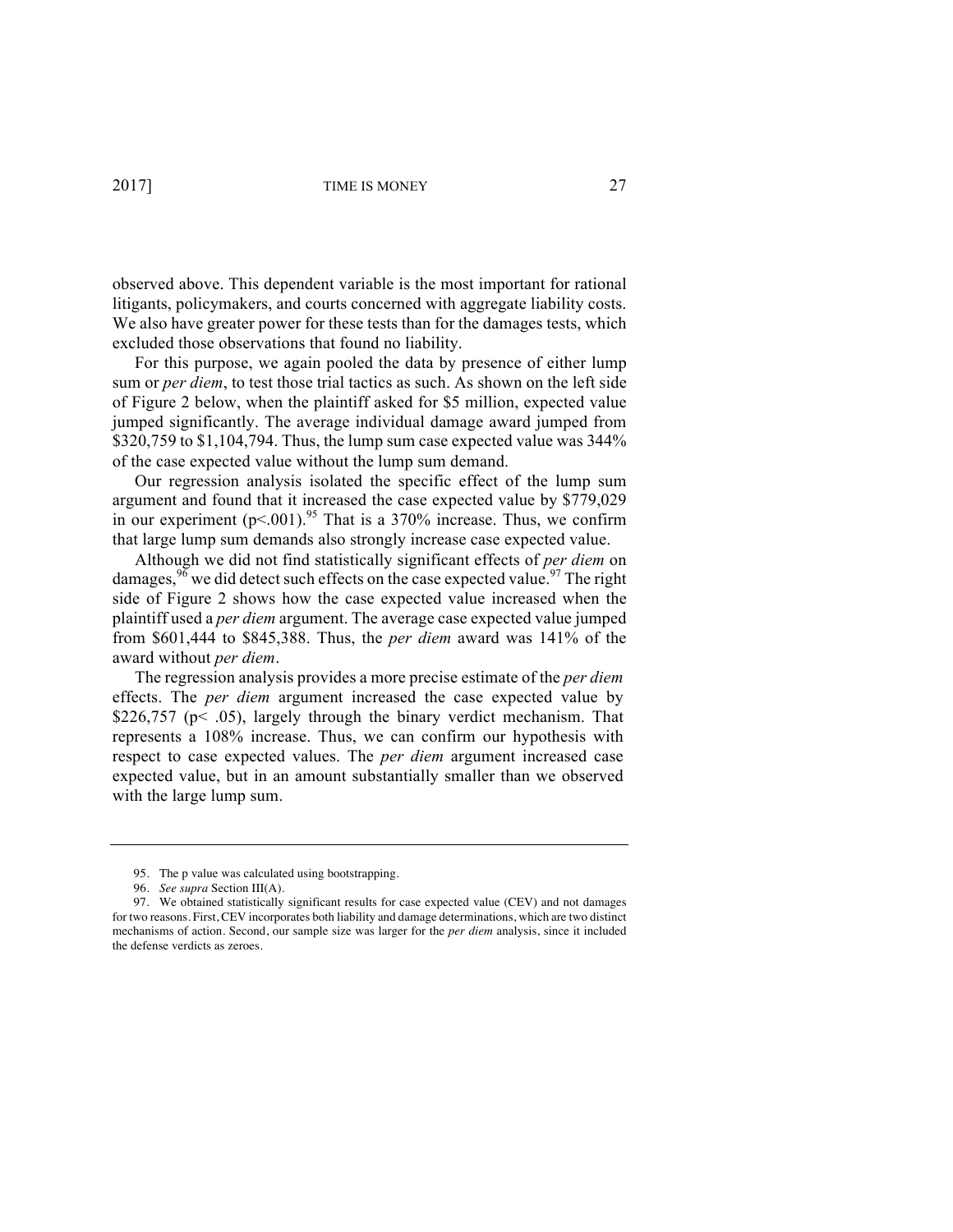observed above. This dependent variable is the most important for rational litigants, policymakers, and courts concerned with aggregate liability costs. We also have greater power for these tests than for the damages tests, which excluded those observations that found no liability.

For this purpose, we again pooled the data by presence of either lump sum or *per diem*, to test those trial tactics as such. As shown on the left side of Figure 2 below, when the plaintiff asked for \$5 million, expected value jumped significantly. The average individual damage award jumped from \$320,759 to \$1,104,794. Thus, the lump sum case expected value was 344% of the case expected value without the lump sum demand.

Our regression analysis isolated the specific effect of the lump sum argument and found that it increased the case expected value by \$779,029 in our experiment  $(p<.001)$ .<sup>95</sup> That is a 370% increase. Thus, we confirm that large lump sum demands also strongly increase case expected value.

Although we did not find statistically significant effects of *per diem* on damages,  $96$  we did detect such effects on the case expected value.  $97$  The right side of Figure 2 shows how the case expected value increased when the plaintiff used a *per diem* argument. The average case expected value jumped from \$601,444 to \$845,388. Thus, the *per diem* award was 141% of the award without *per diem*.

The regression analysis provides a more precise estimate of the *per diem* effects. The *per diem* argument increased the case expected value by \$226,757 ( $p$ < .05), largely through the binary verdict mechanism. That represents a 108% increase. Thus, we can confirm our hypothesis with respect to case expected values. The *per diem* argument increased case expected value, but in an amount substantially smaller than we observed with the large lump sum.

<sup>95.</sup> The p value was calculated using bootstrapping.

<sup>96.</sup> *See supra* Section III(A).

<sup>97.</sup> We obtained statistically significant results for case expected value (CEV) and not damages for two reasons. First, CEV incorporates both liability and damage determinations, which are two distinct mechanisms of action. Second, our sample size was larger for the *per diem* analysis, since it included the defense verdicts as zeroes.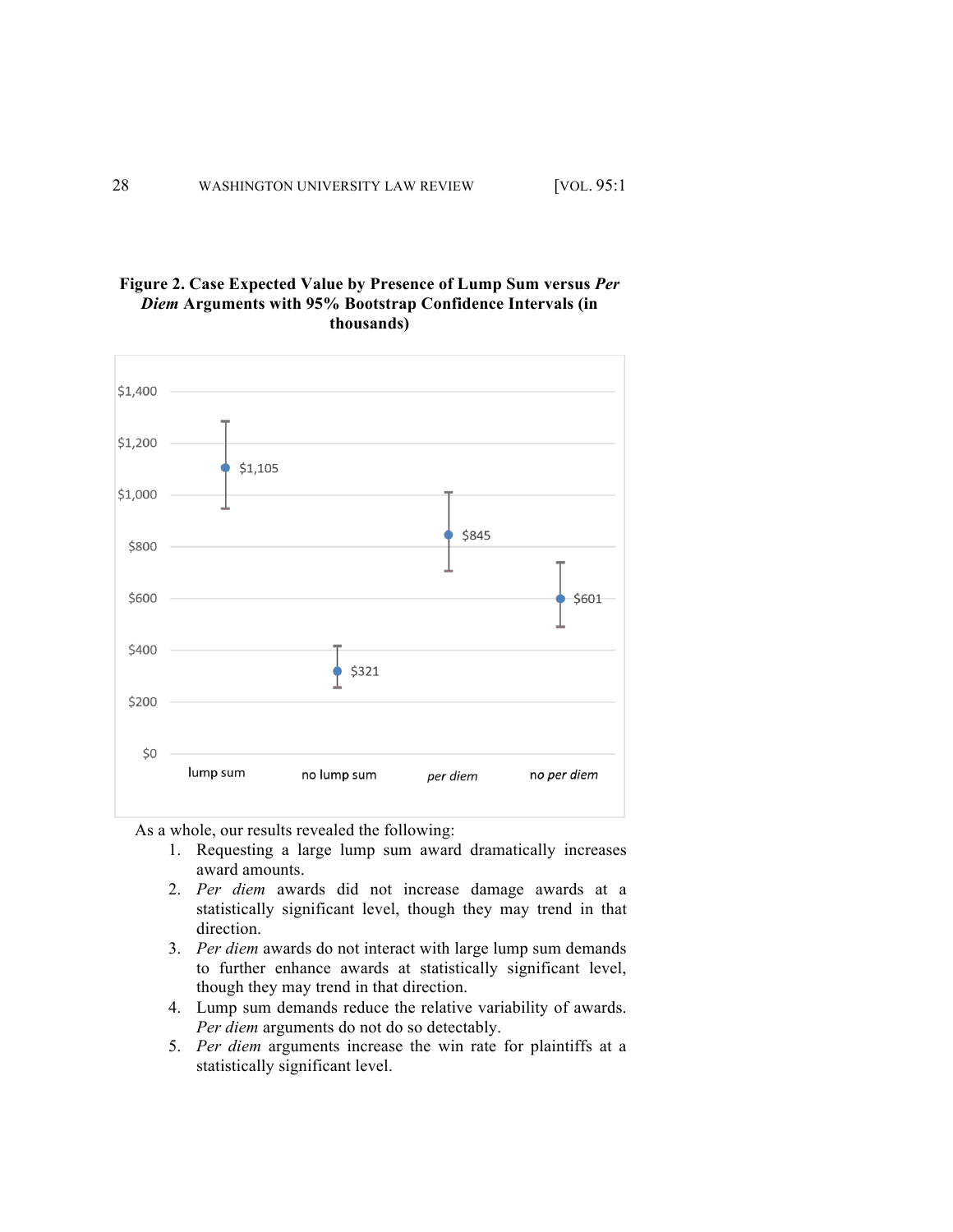# **Figure 2. Case Expected Value by Presence of Lump Sum versus** *Per Diem* **Arguments with 95% Bootstrap Confidence Intervals (in thousands)**



As a whole, our results revealed the following:

- 1. Requesting a large lump sum award dramatically increases award amounts.
- 2. *Per diem* awards did not increase damage awards at a statistically significant level, though they may trend in that direction.
- 3. *Per diem* awards do not interact with large lump sum demands to further enhance awards at statistically significant level, though they may trend in that direction.
- 4. Lump sum demands reduce the relative variability of awards. *Per diem* arguments do not do so detectably.
- 5. *Per diem* arguments increase the win rate for plaintiffs at a statistically significant level.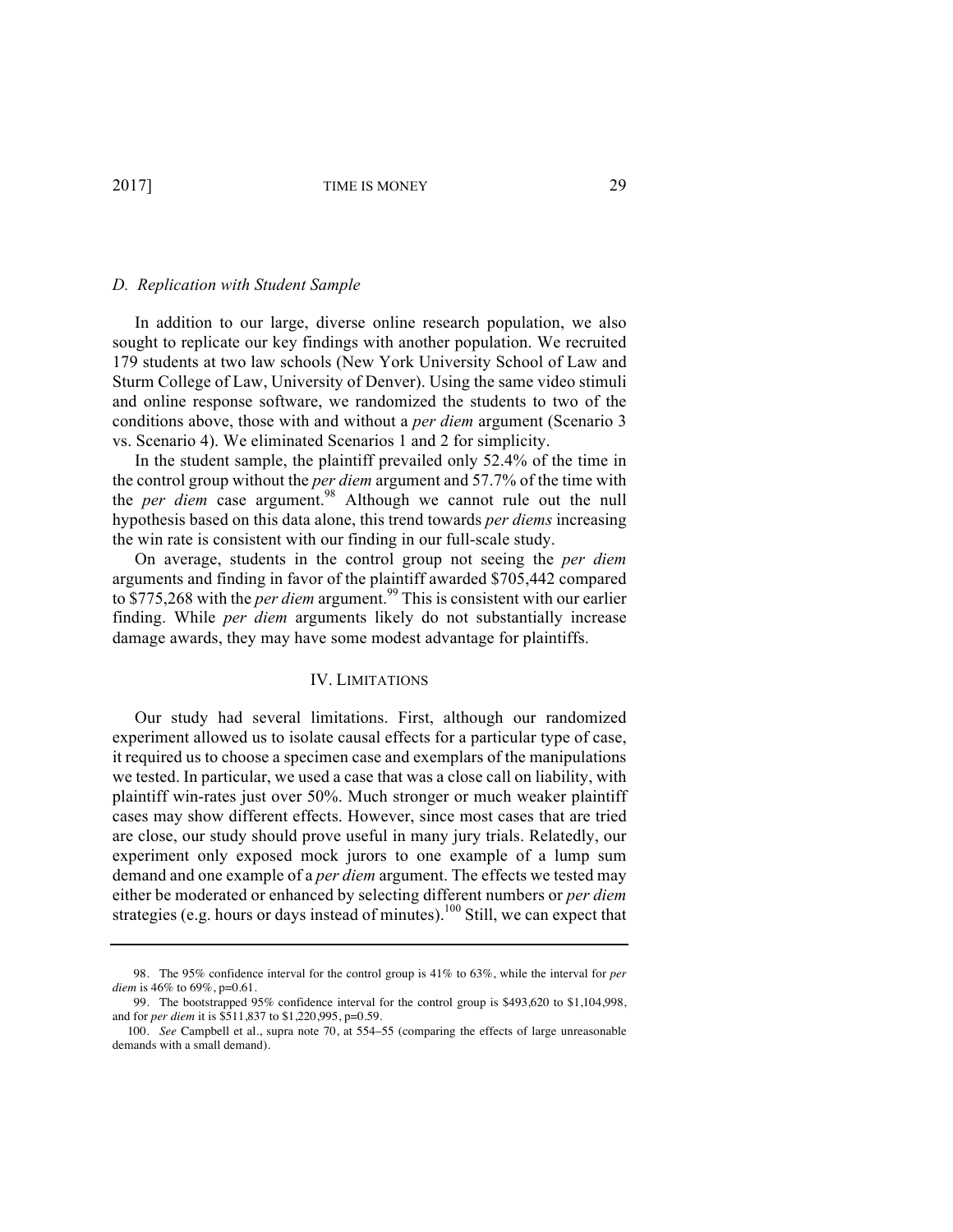#### *D. Replication with Student Sample*

In addition to our large, diverse online research population, we also sought to replicate our key findings with another population. We recruited 179 students at two law schools (New York University School of Law and Sturm College of Law, University of Denver). Using the same video stimuli and online response software, we randomized the students to two of the conditions above, those with and without a *per diem* argument (Scenario 3 vs. Scenario 4). We eliminated Scenarios 1 and 2 for simplicity.

In the student sample, the plaintiff prevailed only 52.4% of the time in the control group without the *per diem* argument and 57.7% of the time with the *per diem* case argument.<sup>98</sup> Although we cannot rule out the null hypothesis based on this data alone, this trend towards *per diems* increasing the win rate is consistent with our finding in our full-scale study.

On average, students in the control group not seeing the *per diem* arguments and finding in favor of the plaintiff awarded \$705,442 compared to \$775,268 with the *per diem* argument.<sup>99</sup> This is consistent with our earlier finding. While *per diem* arguments likely do not substantially increase damage awards, they may have some modest advantage for plaintiffs.

#### IV. LIMITATIONS

Our study had several limitations. First, although our randomized experiment allowed us to isolate causal effects for a particular type of case, it required us to choose a specimen case and exemplars of the manipulations we tested. In particular, we used a case that was a close call on liability, with plaintiff win-rates just over 50%. Much stronger or much weaker plaintiff cases may show different effects. However, since most cases that are tried are close, our study should prove useful in many jury trials. Relatedly, our experiment only exposed mock jurors to one example of a lump sum demand and one example of a *per diem* argument. The effects we tested may either be moderated or enhanced by selecting different numbers or *per diem* strategies (e.g. hours or days instead of minutes).<sup>100</sup> Still, we can expect that

<sup>98.</sup> The 95% confidence interval for the control group is 41% to 63%, while the interval for *per diem* is 46% to 69%, p=0.61.

<sup>99.</sup> The bootstrapped 95% confidence interval for the control group is \$493,620 to \$1,104,998, and for *per diem* it is \$511,837 to \$1,220,995, p=0.59.

<sup>100.</sup> *See* Campbell et al., supra note 70, at 554–55 (comparing the effects of large unreasonable demands with a small demand).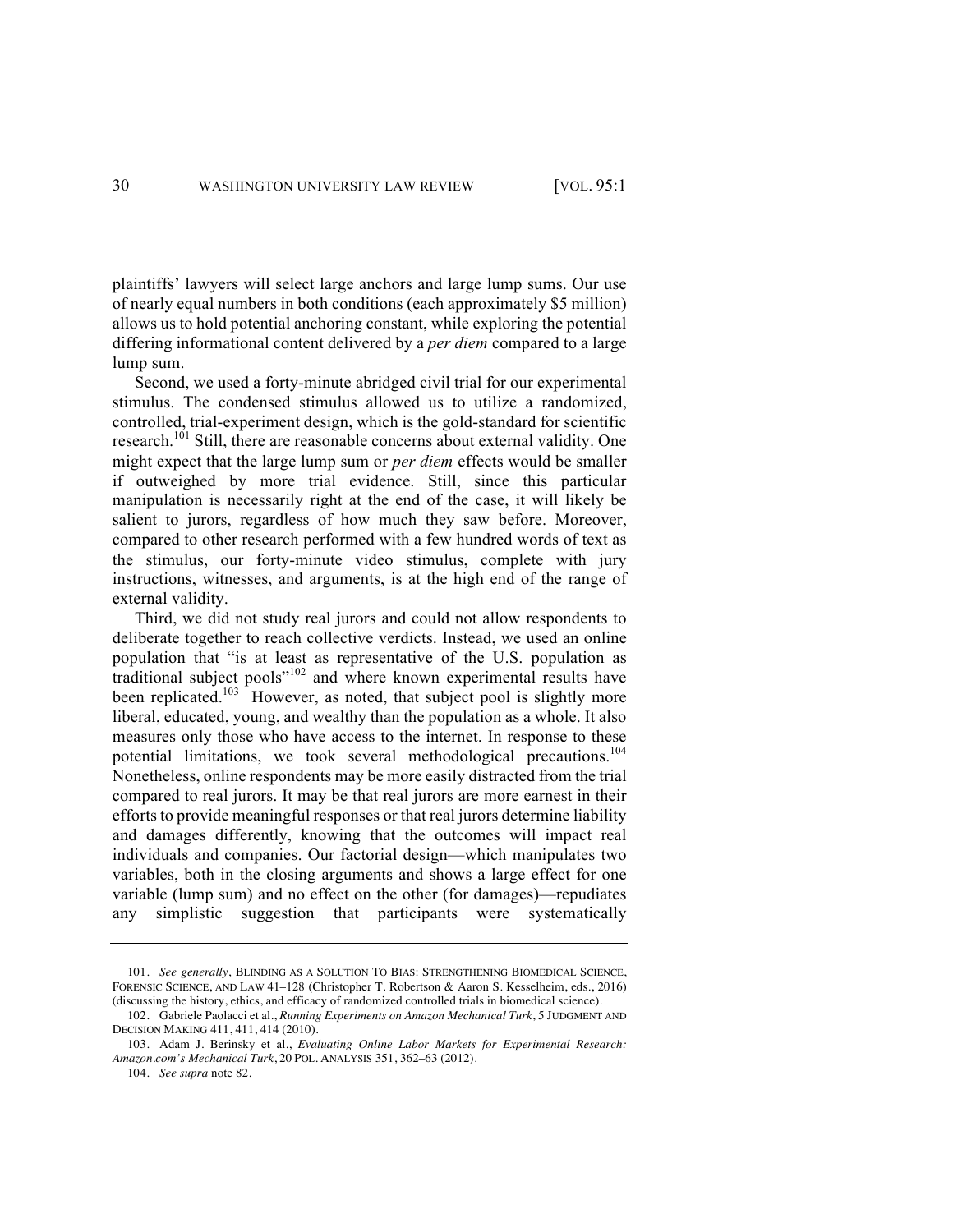plaintiffs' lawyers will select large anchors and large lump sums. Our use of nearly equal numbers in both conditions (each approximately \$5 million) allows us to hold potential anchoring constant, while exploring the potential differing informational content delivered by a *per diem* compared to a large lump sum.

Second, we used a forty-minute abridged civil trial for our experimental stimulus. The condensed stimulus allowed us to utilize a randomized, controlled, trial-experiment design, which is the gold-standard for scientific research.<sup>101</sup> Still, there are reasonable concerns about external validity. One might expect that the large lump sum or *per diem* effects would be smaller if outweighed by more trial evidence. Still, since this particular manipulation is necessarily right at the end of the case, it will likely be salient to jurors, regardless of how much they saw before. Moreover, compared to other research performed with a few hundred words of text as the stimulus, our forty-minute video stimulus, complete with jury instructions, witnesses, and arguments, is at the high end of the range of external validity.

Third, we did not study real jurors and could not allow respondents to deliberate together to reach collective verdicts. Instead, we used an online population that "is at least as representative of the U.S. population as traditional subject pools"<sup>102</sup> and where known experimental results have been replicated.<sup>103</sup> However, as noted, that subject pool is slightly more liberal, educated, young, and wealthy than the population as a whole. It also measures only those who have access to the internet. In response to these potential limitations, we took several methodological precautions.<sup>104</sup> Nonetheless, online respondents may be more easily distracted from the trial compared to real jurors. It may be that real jurors are more earnest in their efforts to provide meaningful responses or that real jurors determine liability and damages differently, knowing that the outcomes will impact real individuals and companies. Our factorial design—which manipulates two variables, both in the closing arguments and shows a large effect for one variable (lump sum) and no effect on the other (for damages)—repudiates any simplistic suggestion that participants were systematically

<sup>101.</sup> *See generally*, BLINDING AS A SOLUTION TO BIAS: STRENGTHENING BIOMEDICAL SCIENCE, FORENSIC SCIENCE, AND LAW 41–128 (Christopher T. Robertson & Aaron S. Kesselheim, eds., 2016) (discussing the history, ethics, and efficacy of randomized controlled trials in biomedical science).

<sup>102.</sup> Gabriele Paolacci et al., *Running Experiments on Amazon Mechanical Turk*, 5 JUDGMENT AND DECISION MAKING 411, 411, 414 (2010).

<sup>103.</sup> Adam J. Berinsky et al., *Evaluating Online Labor Markets for Experimental Research: Amazon.com's Mechanical Turk*, 20 POL. ANALYSIS 351, 362–63 (2012).

<sup>104.</sup> *See supra* note 82.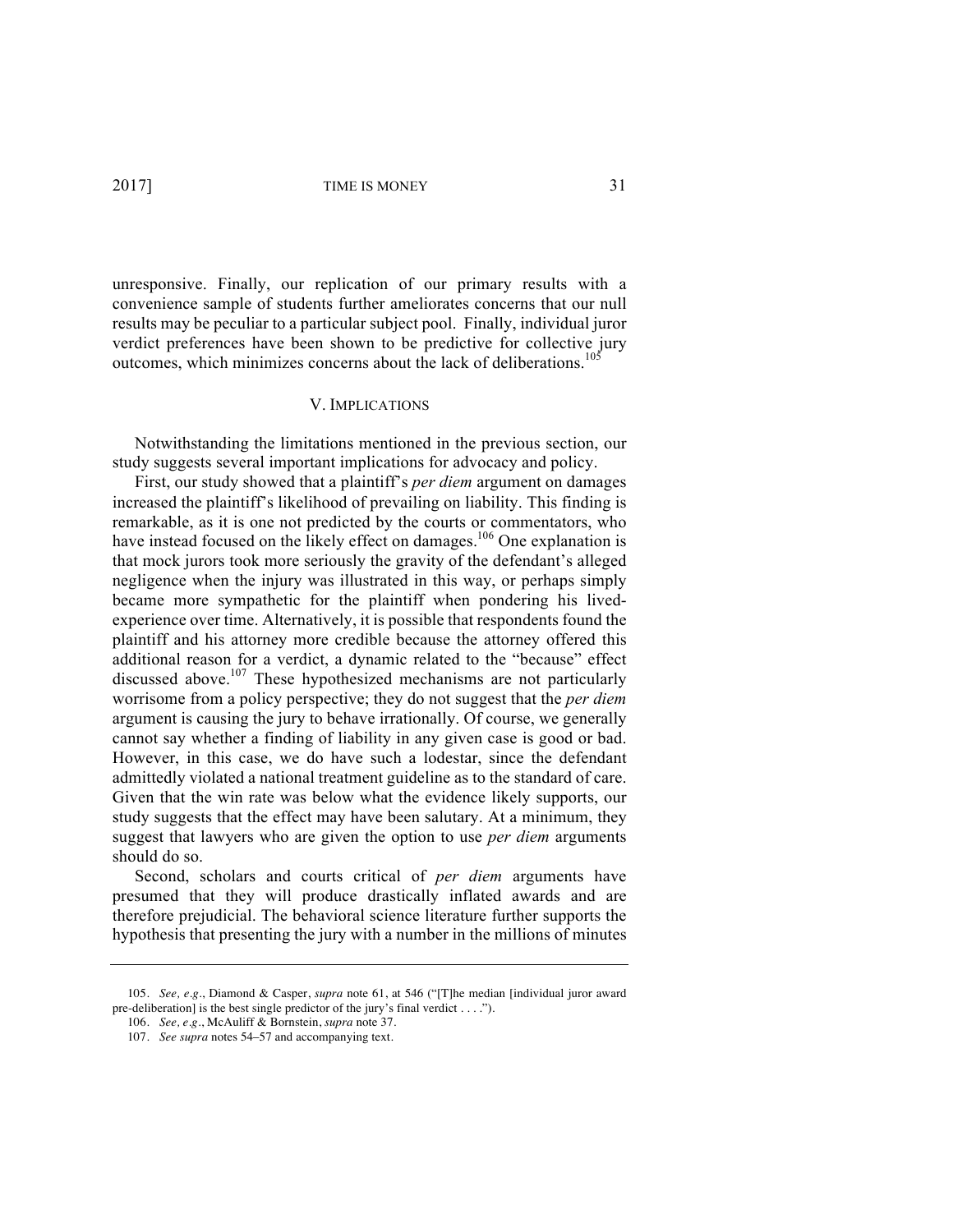unresponsive. Finally, our replication of our primary results with a convenience sample of students further ameliorates concerns that our null results may be peculiar to a particular subject pool. Finally, individual juror verdict preferences have been shown to be predictive for collective jury outcomes, which minimizes concerns about the lack of deliberations.<sup>105</sup>

#### V. IMPLICATIONS

Notwithstanding the limitations mentioned in the previous section, our study suggests several important implications for advocacy and policy.

First, our study showed that a plaintiff's *per diem* argument on damages increased the plaintiff's likelihood of prevailing on liability. This finding is remarkable, as it is one not predicted by the courts or commentators, who have instead focused on the likely effect on damages.<sup>106</sup> One explanation is that mock jurors took more seriously the gravity of the defendant's alleged negligence when the injury was illustrated in this way, or perhaps simply became more sympathetic for the plaintiff when pondering his livedexperience over time. Alternatively, it is possible that respondents found the plaintiff and his attorney more credible because the attorney offered this additional reason for a verdict, a dynamic related to the "because" effect discussed above.<sup>107</sup> These hypothesized mechanisms are not particularly worrisome from a policy perspective; they do not suggest that the *per diem* argument is causing the jury to behave irrationally. Of course, we generally cannot say whether a finding of liability in any given case is good or bad. However, in this case, we do have such a lodestar, since the defendant admittedly violated a national treatment guideline as to the standard of care. Given that the win rate was below what the evidence likely supports, our study suggests that the effect may have been salutary. At a minimum, they suggest that lawyers who are given the option to use *per diem* arguments should do so.

Second, scholars and courts critical of *per diem* arguments have presumed that they will produce drastically inflated awards and are therefore prejudicial. The behavioral science literature further supports the hypothesis that presenting the jury with a number in the millions of minutes

<sup>105.</sup> *See, e.g.*, Diamond & Casper, *supra* note 61, at 546 ("[T]he median [individual juror award pre-deliberation] is the best single predictor of the jury's final verdict . . . .").

<sup>106.</sup> *See, e.g.*, McAuliff & Bornstein, *supra* note 37.

<sup>107.</sup> *See supra* notes 54–57 and accompanying text.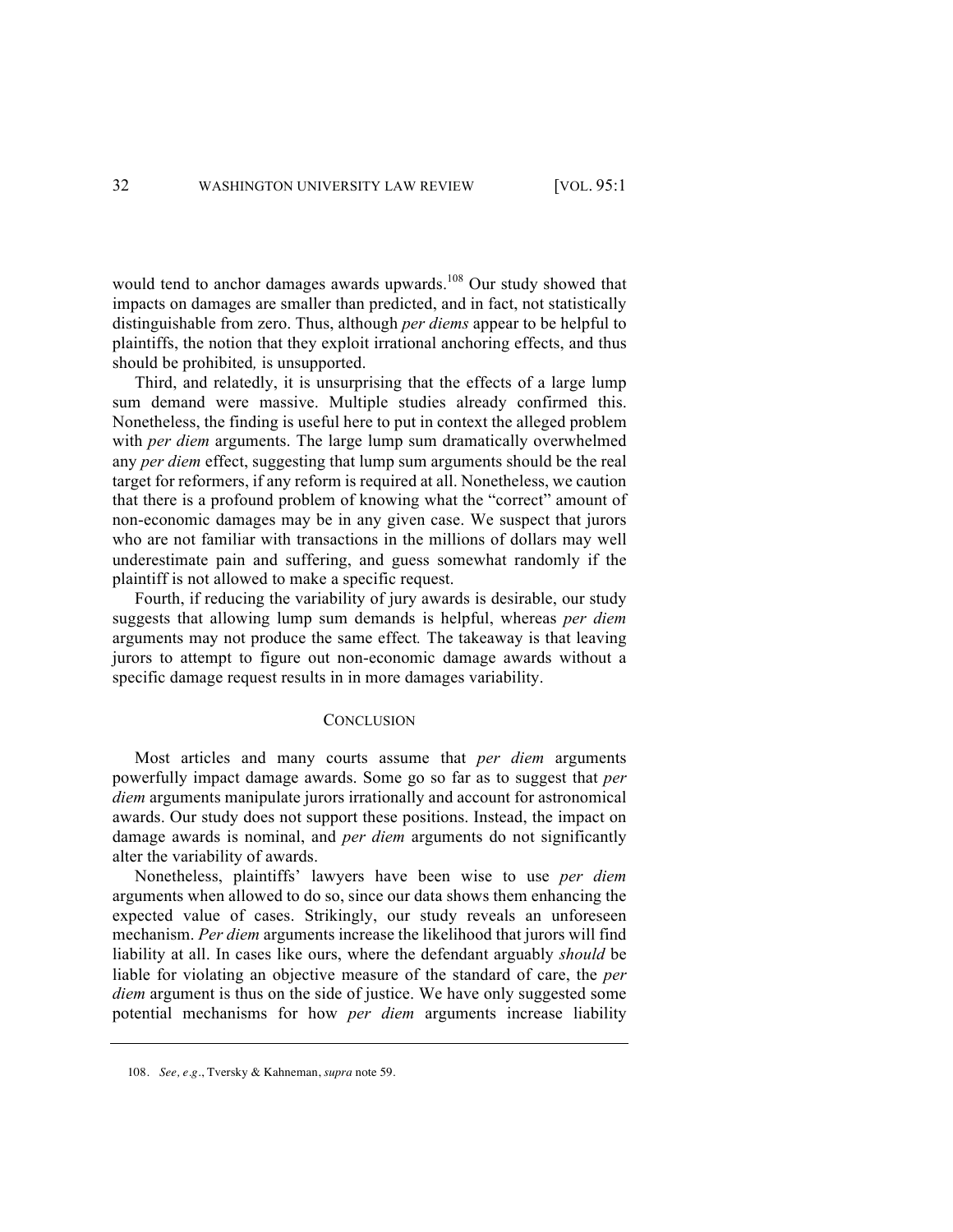would tend to anchor damages awards upwards.<sup>108</sup> Our study showed that impacts on damages are smaller than predicted, and in fact, not statistically distinguishable from zero. Thus, although *per diems* appear to be helpful to plaintiffs, the notion that they exploit irrational anchoring effects, and thus should be prohibited*,* is unsupported.

Third, and relatedly, it is unsurprising that the effects of a large lump sum demand were massive. Multiple studies already confirmed this. Nonetheless, the finding is useful here to put in context the alleged problem with *per diem* arguments. The large lump sum dramatically overwhelmed any *per diem* effect, suggesting that lump sum arguments should be the real target for reformers, if any reform is required at all. Nonetheless, we caution that there is a profound problem of knowing what the "correct" amount of non-economic damages may be in any given case. We suspect that jurors who are not familiar with transactions in the millions of dollars may well underestimate pain and suffering, and guess somewhat randomly if the plaintiff is not allowed to make a specific request.

Fourth, if reducing the variability of jury awards is desirable, our study suggests that allowing lump sum demands is helpful, whereas *per diem*  arguments may not produce the same effect*.* The takeaway is that leaving jurors to attempt to figure out non-economic damage awards without a specific damage request results in in more damages variability.

#### **CONCLUSION**

Most articles and many courts assume that *per diem* arguments powerfully impact damage awards. Some go so far as to suggest that *per diem* arguments manipulate jurors irrationally and account for astronomical awards. Our study does not support these positions. Instead, the impact on damage awards is nominal, and *per diem* arguments do not significantly alter the variability of awards.

Nonetheless, plaintiffs' lawyers have been wise to use *per diem* arguments when allowed to do so, since our data shows them enhancing the expected value of cases. Strikingly, our study reveals an unforeseen mechanism. *Per diem* arguments increase the likelihood that jurors will find liability at all. In cases like ours, where the defendant arguably *should* be liable for violating an objective measure of the standard of care, the *per diem* argument is thus on the side of justice. We have only suggested some potential mechanisms for how *per diem* arguments increase liability

<sup>108.</sup> *See, e.g.*, Tversky & Kahneman, *supra* note 59.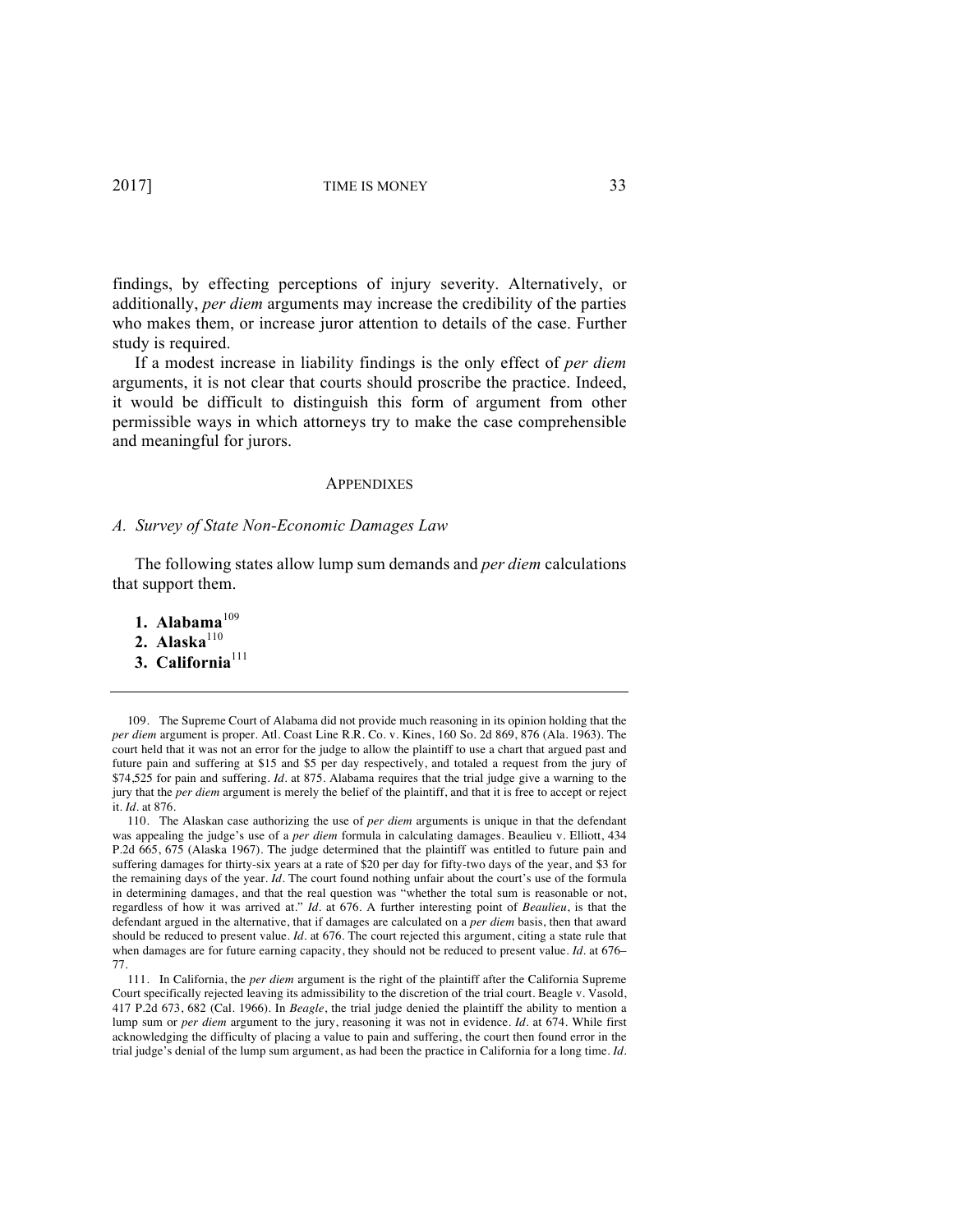findings, by effecting perceptions of injury severity. Alternatively, or additionally, *per diem* arguments may increase the credibility of the parties who makes them, or increase juror attention to details of the case. Further study is required.

If a modest increase in liability findings is the only effect of *per diem* arguments, it is not clear that courts should proscribe the practice. Indeed, it would be difficult to distinguish this form of argument from other permissible ways in which attorneys try to make the case comprehensible and meaningful for jurors.

#### **APPENDIXES**

#### *A. Survey of State Non-Economic Damages Law*

The following states allow lump sum demands and *per diem* calculations that support them.

- 1. Alabama $109$
- 2. Alaska $110$
- 3. California<sup>111</sup>

109. The Supreme Court of Alabama did not provide much reasoning in its opinion holding that the *per diem* argument is proper. Atl. Coast Line R.R. Co. v. Kines, 160 So. 2d 869, 876 (Ala. 1963). The court held that it was not an error for the judge to allow the plaintiff to use a chart that argued past and future pain and suffering at \$15 and \$5 per day respectively, and totaled a request from the jury of \$74,525 for pain and suffering. *Id.* at 875. Alabama requires that the trial judge give a warning to the jury that the *per diem* argument is merely the belief of the plaintiff, and that it is free to accept or reject it. *Id.* at 876.

110. The Alaskan case authorizing the use of *per diem* arguments is unique in that the defendant was appealing the judge's use of a *per diem* formula in calculating damages. Beaulieu v. Elliott, 434 P.2d 665, 675 (Alaska 1967). The judge determined that the plaintiff was entitled to future pain and suffering damages for thirty-six years at a rate of \$20 per day for fifty-two days of the year, and \$3 for the remaining days of the year. *Id.* The court found nothing unfair about the court's use of the formula in determining damages, and that the real question was "whether the total sum is reasonable or not, regardless of how it was arrived at." *Id.* at 676. A further interesting point of *Beaulieu*, is that the defendant argued in the alternative, that if damages are calculated on a *per diem* basis, then that award should be reduced to present value. *Id.* at 676. The court rejected this argument, citing a state rule that when damages are for future earning capacity, they should not be reduced to present value. *Id.* at 676– 77.

111. In California, the *per diem* argument is the right of the plaintiff after the California Supreme Court specifically rejected leaving its admissibility to the discretion of the trial court. Beagle v. Vasold, 417 P.2d 673, 682 (Cal. 1966). In *Beagle*, the trial judge denied the plaintiff the ability to mention a lump sum or *per diem* argument to the jury, reasoning it was not in evidence. *Id.* at 674. While first acknowledging the difficulty of placing a value to pain and suffering, the court then found error in the trial judge's denial of the lump sum argument, as had been the practice in California for a long time. *Id.*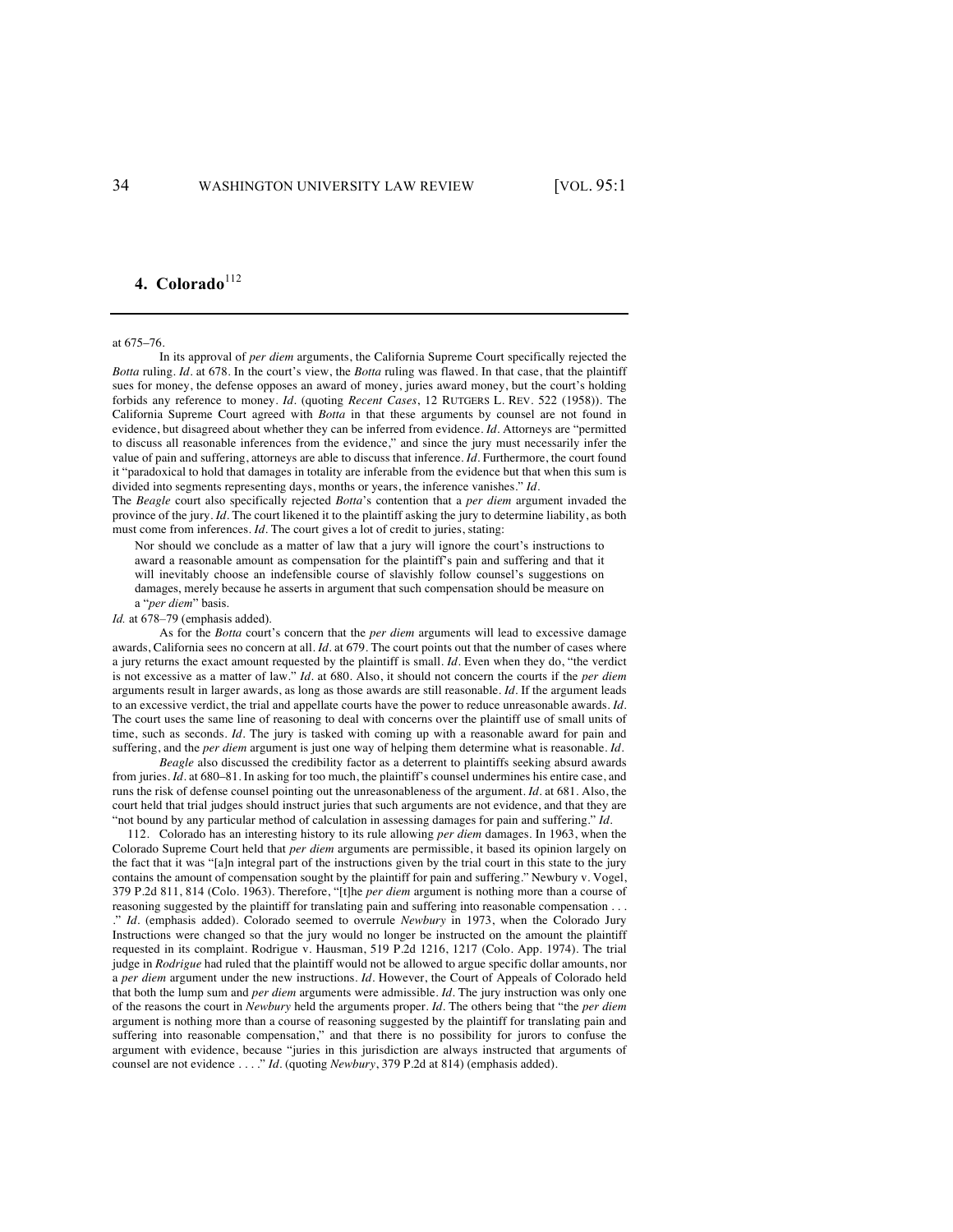# 4. Colorado<sup>112</sup>

at 675–76.

In its approval of *per diem* arguments, the California Supreme Court specifically rejected the *Botta* ruling. *Id.* at 678. In the court's view, the *Botta* ruling was flawed. In that case, that the plaintiff sues for money, the defense opposes an award of money, juries award money, but the court's holding forbids any reference to money. *Id.* (quoting *Recent Cases*, 12 RUTGERS L. REV. 522 (1958)). The California Supreme Court agreed with *Botta* in that these arguments by counsel are not found in evidence, but disagreed about whether they can be inferred from evidence. *Id.* Attorneys are "permitted to discuss all reasonable inferences from the evidence," and since the jury must necessarily infer the value of pain and suffering, attorneys are able to discuss that inference. *Id.* Furthermore, the court found it "paradoxical to hold that damages in totality are inferable from the evidence but that when this sum is divided into segments representing days, months or years, the inference vanishes." *Id.*

The *Beagle* court also specifically rejected *Botta*'s contention that a *per diem* argument invaded the province of the jury. *Id.* The court likened it to the plaintiff asking the jury to determine liability, as both must come from inferences. *Id.* The court gives a lot of credit to juries, stating:

Nor should we conclude as a matter of law that a jury will ignore the court's instructions to award a reasonable amount as compensation for the plaintiff's pain and suffering and that it will inevitably choose an indefensible course of slavishly follow counsel's suggestions on damages, merely because he asserts in argument that such compensation should be measure on a "*per diem*" basis.

*Id.* at 678–79 (emphasis added).

As for the *Botta* court's concern that the *per diem* arguments will lead to excessive damage awards, California sees no concern at all. *Id.* at 679. The court points out that the number of cases where a jury returns the exact amount requested by the plaintiff is small. *Id.* Even when they do, "the verdict is not excessive as a matter of law." *Id.* at 680. Also, it should not concern the courts if the *per diem*  arguments result in larger awards, as long as those awards are still reasonable. *Id.* If the argument leads to an excessive verdict, the trial and appellate courts have the power to reduce unreasonable awards. *Id.* The court uses the same line of reasoning to deal with concerns over the plaintiff use of small units of time, such as seconds. *Id*. The jury is tasked with coming up with a reasonable award for pain and suffering, and the *per diem* argument is just one way of helping them determine what is reasonable. *Id.*

*Beagle* also discussed the credibility factor as a deterrent to plaintiffs seeking absurd awards from juries. *Id.* at 680–81. In asking for too much, the plaintiff's counsel undermines his entire case, and runs the risk of defense counsel pointing out the unreasonableness of the argument. *Id.* at 681. Also, the court held that trial judges should instruct juries that such arguments are not evidence, and that they are "not bound by any particular method of calculation in assessing damages for pain and suffering." *Id.*

112. Colorado has an interesting history to its rule allowing *per diem* damages. In 1963, when the Colorado Supreme Court held that *per diem* arguments are permissible, it based its opinion largely on the fact that it was "[a]n integral part of the instructions given by the trial court in this state to the jury contains the amount of compensation sought by the plaintiff for pain and suffering." Newbury v. Vogel, 379 P.2d 811, 814 (Colo. 1963). Therefore, "[t]he *per diem* argument is nothing more than a course of reasoning suggested by the plaintiff for translating pain and suffering into reasonable compensation . . . ." *Id.* (emphasis added). Colorado seemed to overrule *Newbury* in 1973, when the Colorado Jury Instructions were changed so that the jury would no longer be instructed on the amount the plaintiff requested in its complaint. Rodrigue v. Hausman, 519 P.2d 1216, 1217 (Colo. App. 1974). The trial judge in *Rodrigue* had ruled that the plaintiff would not be allowed to argue specific dollar amounts, nor a *per diem* argument under the new instructions. *Id.* However, the Court of Appeals of Colorado held that both the lump sum and *per diem* arguments were admissible. *Id.* The jury instruction was only one of the reasons the court in *Newbury* held the arguments proper. *Id.* The others being that "the *per diem* argument is nothing more than a course of reasoning suggested by the plaintiff for translating pain and suffering into reasonable compensation," and that there is no possibility for jurors to confuse the argument with evidence, because "juries in this jurisdiction are always instructed that arguments of counsel are not evidence . . . ." *Id.* (quoting *Newbury*, 379 P.2d at 814) (emphasis added).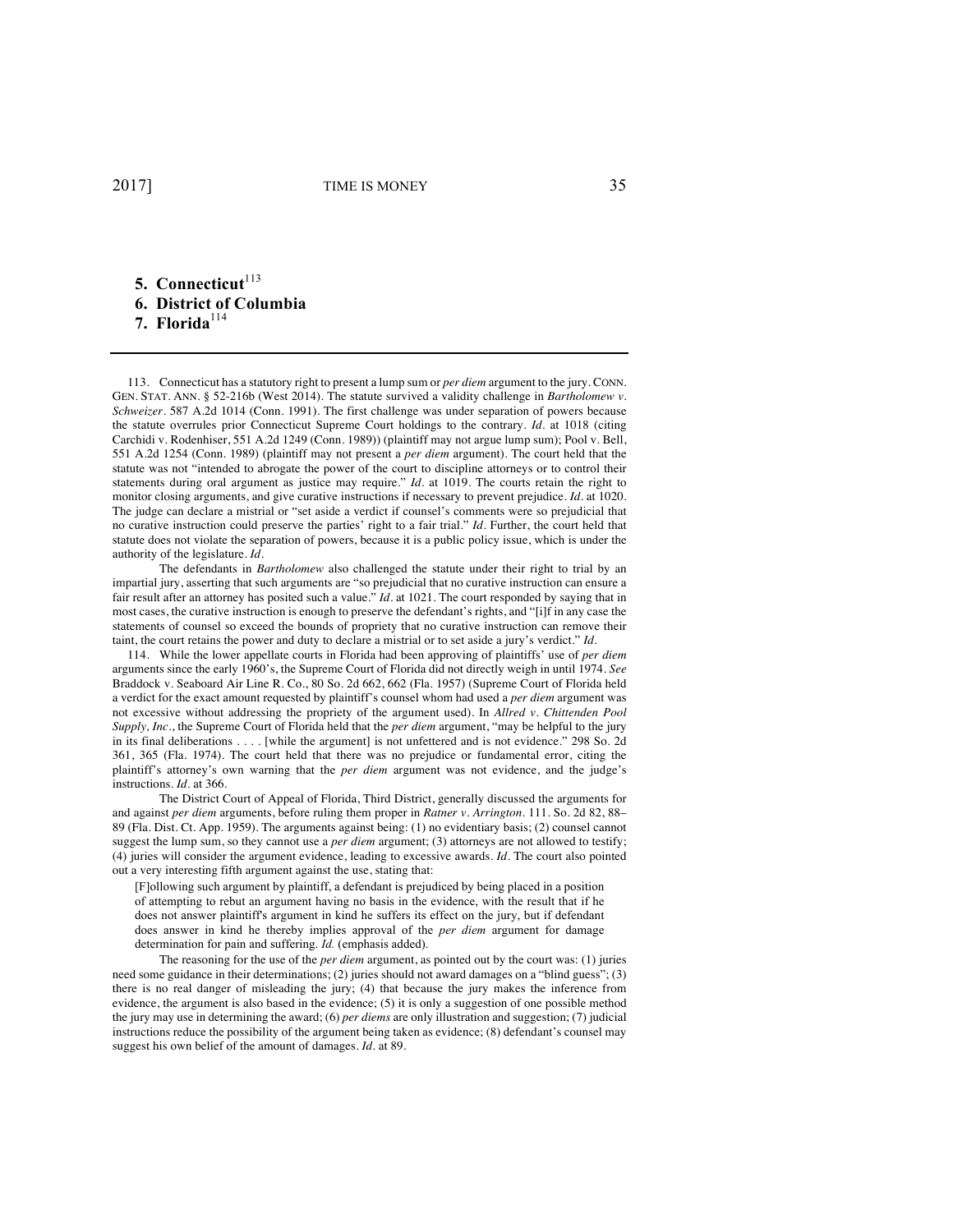# **5.** Connecticut<sup>113</sup> **6. District of Columbia** 7. Florida<sup>114</sup>

113. Connecticut has a statutory right to present a lump sum or *per diem* argument to the jury. CONN. GEN. STAT. ANN. § 52-216b (West 2014). The statute survived a validity challenge in *Bartholomew v. Schweizer*. 587 A.2d 1014 (Conn. 1991). The first challenge was under separation of powers because the statute overrules prior Connecticut Supreme Court holdings to the contrary. *Id.* at 1018 (citing Carchidi v. Rodenhiser, 551 A.2d 1249 (Conn. 1989)) (plaintiff may not argue lump sum); Pool v. Bell, 551 A.2d 1254 (Conn. 1989) (plaintiff may not present a *per diem* argument). The court held that the statute was not "intended to abrogate the power of the court to discipline attorneys or to control their statements during oral argument as justice may require." *Id.* at 1019. The courts retain the right to monitor closing arguments, and give curative instructions if necessary to prevent prejudice. *Id.* at 1020. The judge can declare a mistrial or "set aside a verdict if counsel's comments were so prejudicial that no curative instruction could preserve the parties' right to a fair trial." *Id.* Further, the court held that statute does not violate the separation of powers, because it is a public policy issue, which is under the authority of the legislature. *Id.*

The defendants in *Bartholomew* also challenged the statute under their right to trial by an impartial jury, asserting that such arguments are "so prejudicial that no curative instruction can ensure a fair result after an attorney has posited such a value." *Id.* at 1021. The court responded by saying that in most cases, the curative instruction is enough to preserve the defendant's rights, and "[i]f in any case the statements of counsel so exceed the bounds of propriety that no curative instruction can remove their taint, the court retains the power and duty to declare a mistrial or to set aside a jury's verdict." *Id.*

114. While the lower appellate courts in Florida had been approving of plaintiffs' use of *per diem*  arguments since the early 1960's, the Supreme Court of Florida did not directly weigh in until 1974. *See*  Braddock v*.* Seaboard Air Line R. Co., 80 So. 2d 662, 662 (Fla. 1957) (Supreme Court of Florida held a verdict for the exact amount requested by plaintiff's counsel whom had used a *per diem* argument was not excessive without addressing the propriety of the argument used). In *Allred v. Chittenden Pool Supply, Inc.*, the Supreme Court of Florida held that the *per diem* argument, "may be helpful to the jury in its final deliberations . . . . [while the argument] is not unfettered and is not evidence." 298 So. 2d 361, 365 (Fla. 1974). The court held that there was no prejudice or fundamental error, citing the plaintiff's attorney's own warning that the *per diem* argument was not evidence, and the judge's instructions. *Id.* at 366.

The District Court of Appeal of Florida, Third District, generally discussed the arguments for and against *per diem* arguments, before ruling them proper in *Ratner v. Arrington*. 111. So. 2d 82, 88– 89 (Fla. Dist. Ct. App. 1959). The arguments against being: (1) no evidentiary basis; (2) counsel cannot suggest the lump sum, so they cannot use a *per diem* argument; (3) attorneys are not allowed to testify; (4) juries will consider the argument evidence, leading to excessive awards. *Id.* The court also pointed out a very interesting fifth argument against the use, stating that:

[F]ollowing such argument by plaintiff, a defendant is prejudiced by being placed in a position of attempting to rebut an argument having no basis in the evidence, with the result that if he does not answer plaintiff's argument in kind he suffers its effect on the jury, but if defendant does answer in kind he thereby implies approval of the *per diem* argument for damage determination for pain and suffering. *Id.* (emphasis added).

The reasoning for the use of the *per diem* argument, as pointed out by the court was: (1) juries need some guidance in their determinations; (2) juries should not award damages on a "blind guess"; (3) there is no real danger of misleading the jury; (4) that because the jury makes the inference from evidence, the argument is also based in the evidence; (5) it is only a suggestion of one possible method the jury may use in determining the award; (6) *per diems* are only illustration and suggestion; (7) judicial instructions reduce the possibility of the argument being taken as evidence; (8) defendant's counsel may suggest his own belief of the amount of damages. *Id.* at 89.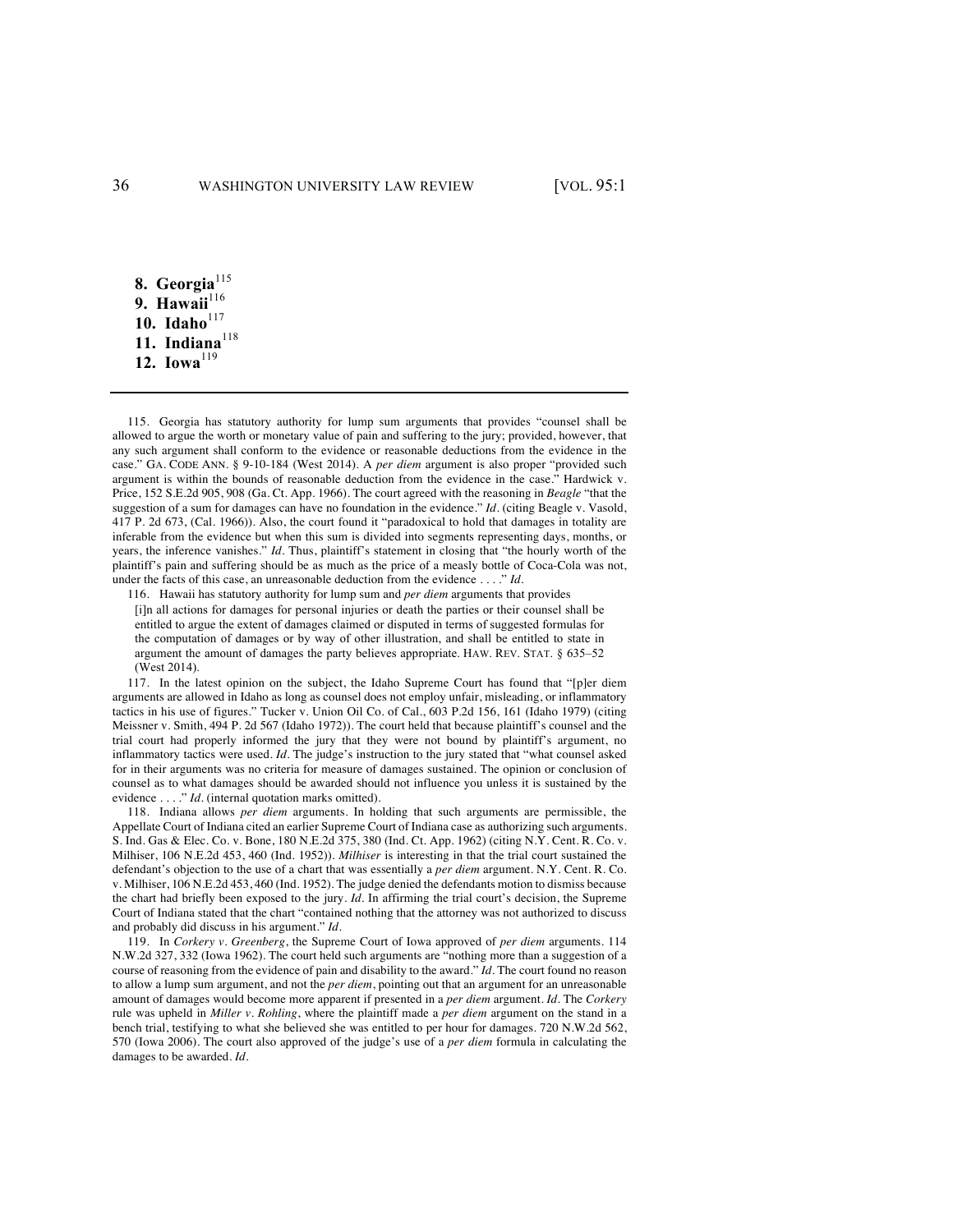8. Georgia<sup>115</sup> 9. Hawaii<sup>116</sup> 10. Idaho<sup>117</sup> **11.** Indiana<sup>118</sup> **12.** Iowa<sup>119</sup>

115. Georgia has statutory authority for lump sum arguments that provides "counsel shall be allowed to argue the worth or monetary value of pain and suffering to the jury; provided, however, that any such argument shall conform to the evidence or reasonable deductions from the evidence in the case." GA. CODE ANN. § 9-10-184 (West 2014). A *per diem* argument is also proper "provided such argument is within the bounds of reasonable deduction from the evidence in the case." Hardwick v. Price, 152 S.E.2d 905, 908 (Ga. Ct. App. 1966). The court agreed with the reasoning in *Beagle* "that the suggestion of a sum for damages can have no foundation in the evidence." *Id.* (citing Beagle v. Vasold, 417 P. 2d 673, (Cal. 1966)). Also, the court found it "paradoxical to hold that damages in totality are inferable from the evidence but when this sum is divided into segments representing days, months, or years, the inference vanishes." *Id.* Thus, plaintiff's statement in closing that "the hourly worth of the plaintiff's pain and suffering should be as much as the price of a measly bottle of Coca-Cola was not, under the facts of this case, an unreasonable deduction from the evidence . . . ." *Id.*

116. Hawaii has statutory authority for lump sum and *per diem* arguments that provides

[i]n all actions for damages for personal injuries or death the parties or their counsel shall be entitled to argue the extent of damages claimed or disputed in terms of suggested formulas for the computation of damages or by way of other illustration, and shall be entitled to state in argument the amount of damages the party believes appropriate. HAW. REV. STAT. § 635–52 (West 2014).

117. In the latest opinion on the subject, the Idaho Supreme Court has found that "[p]er diem arguments are allowed in Idaho as long as counsel does not employ unfair, misleading, or inflammatory tactics in his use of figures." Tucker v. Union Oil Co. of Cal*.*, 603 P.2d 156, 161 (Idaho 1979) (citing Meissner v. Smith, 494 P. 2d 567 (Idaho 1972)). The court held that because plaintiff's counsel and the trial court had properly informed the jury that they were not bound by plaintiff's argument, no inflammatory tactics were used. *Id.* The judge's instruction to the jury stated that "what counsel asked for in their arguments was no criteria for measure of damages sustained. The opinion or conclusion of counsel as to what damages should be awarded should not influence you unless it is sustained by the evidence . . . ." *Id.* (internal quotation marks omitted).

118. Indiana allows *per diem* arguments. In holding that such arguments are permissible, the Appellate Court of Indiana cited an earlier Supreme Court of Indiana case as authorizing such arguments. S. Ind. Gas & Elec. Co. v. Bone, 180 N.E.2d 375, 380 (Ind. Ct. App. 1962) (citing N.Y. Cent. R. Co. v. Milhiser, 106 N.E.2d 453, 460 (Ind. 1952)). *Milhiser* is interesting in that the trial court sustained the defendant's objection to the use of a chart that was essentially a *per diem* argument. N.Y. Cent. R. Co. v. Milhiser, 106 N.E.2d 453, 460 (Ind. 1952). The judge denied the defendants motion to dismiss because the chart had briefly been exposed to the jury. *Id.* In affirming the trial court's decision, the Supreme Court of Indiana stated that the chart "contained nothing that the attorney was not authorized to discuss and probably did discuss in his argument." *Id.*

119. In *Corkery v. Greenberg*, the Supreme Court of Iowa approved of *per diem* arguments. 114 N.W.2d 327, 332 (Iowa 1962). The court held such arguments are "nothing more than a suggestion of a course of reasoning from the evidence of pain and disability to the award." *Id.* The court found no reason to allow a lump sum argument, and not the *per diem*, pointing out that an argument for an unreasonable amount of damages would become more apparent if presented in a *per diem* argument. *Id.* The *Corkery* rule was upheld in *Miller v. Rohling*, where the plaintiff made a *per diem* argument on the stand in a bench trial, testifying to what she believed she was entitled to per hour for damages. 720 N.W.2d 562, 570 (Iowa 2006). The court also approved of the judge's use of a *per diem* formula in calculating the damages to be awarded. *Id.*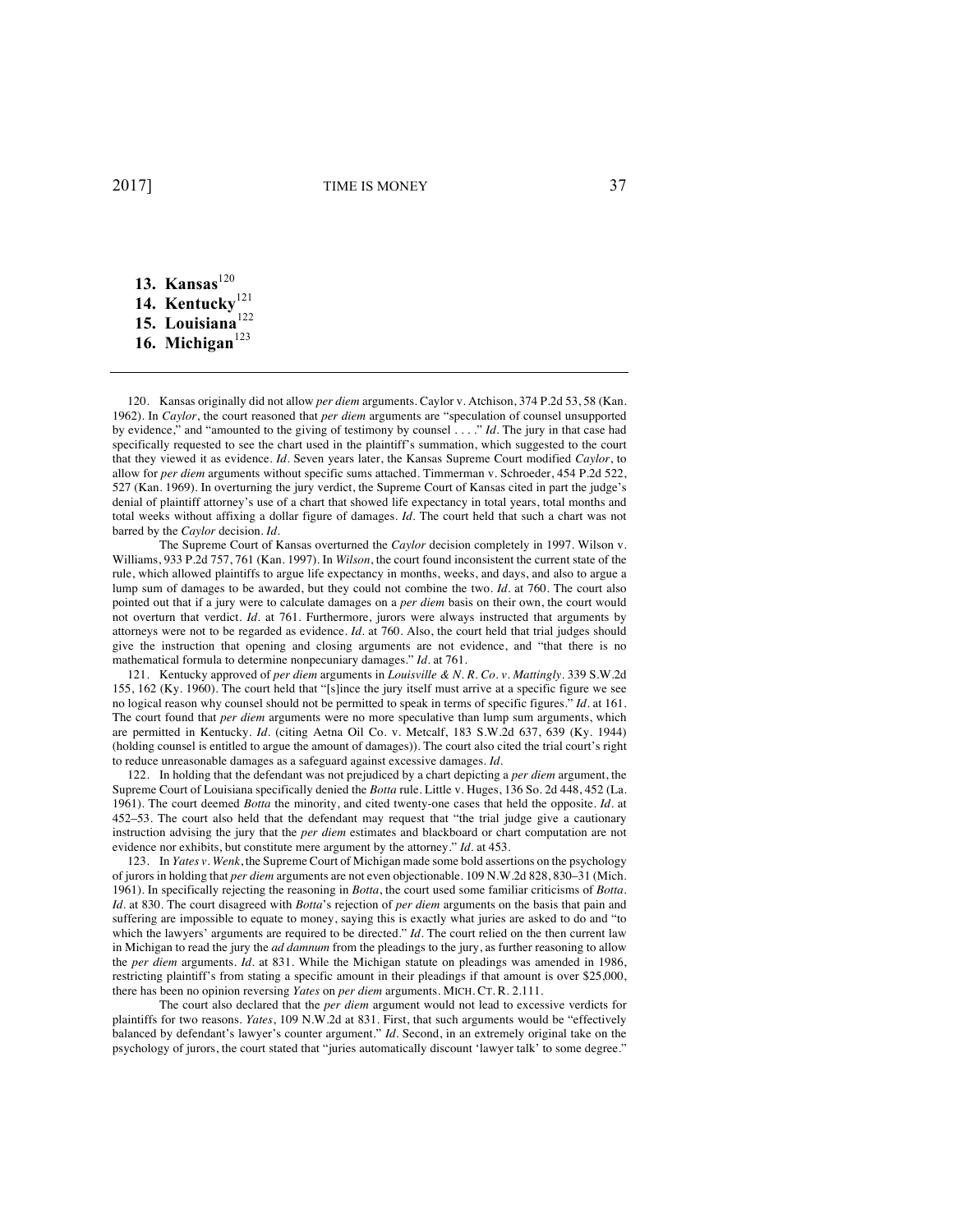- 13. Kansas<sup>120</sup>
- 14. Kentucky<sup>121</sup>
- **15. Louisiana**<sup>122</sup>
- 16. Michigan<sup>123</sup>

120. Kansas originally did not allow *per diem* arguments. Caylor v. Atchison, 374 P.2d 53, 58 (Kan. 1962). In *Caylor*, the court reasoned that *per diem* arguments are "speculation of counsel unsupported by evidence," and "amounted to the giving of testimony by counsel . . . ." *Id.* The jury in that case had specifically requested to see the chart used in the plaintiff's summation, which suggested to the court that they viewed it as evidence. *Id.* Seven years later, the Kansas Supreme Court modified *Caylor*, to allow for *per diem* arguments without specific sums attached. Timmerman v. Schroeder, 454 P.2d 522, 527 (Kan. 1969). In overturning the jury verdict, the Supreme Court of Kansas cited in part the judge's denial of plaintiff attorney's use of a chart that showed life expectancy in total years, total months and total weeks without affixing a dollar figure of damages. *Id.* The court held that such a chart was not barred by the *Caylor* decision. *Id.*

The Supreme Court of Kansas overturned the *Caylor* decision completely in 1997. Wilson v. Williams, 933 P.2d 757, 761 (Kan. 1997). In *Wilson*, the court found inconsistent the current state of the rule, which allowed plaintiffs to argue life expectancy in months, weeks, and days, and also to argue a lump sum of damages to be awarded, but they could not combine the two. *Id.* at 760. The court also pointed out that if a jury were to calculate damages on a *per diem* basis on their own, the court would not overturn that verdict. *Id.* at 761. Furthermore, jurors were always instructed that arguments by attorneys were not to be regarded as evidence. *Id.* at 760. Also, the court held that trial judges should give the instruction that opening and closing arguments are not evidence, and "that there is no mathematical formula to determine nonpecuniary damages." *Id.* at 761.

121. Kentucky approved of *per diem* arguments in *Louisville & N. R. Co. v. Mattingly*. 339 S.W.2d 155, 162 (Ky. 1960). The court held that "[s]ince the jury itself must arrive at a specific figure we see no logical reason why counsel should not be permitted to speak in terms of specific figures." *Id.* at 161. The court found that *per diem* arguments were no more speculative than lump sum arguments, which are permitted in Kentucky. *Id.* (citing Aetna Oil Co. v. Metcalf, 183 S.W.2d 637, 639 (Ky. 1944) (holding counsel is entitled to argue the amount of damages)). The court also cited the trial court's right to reduce unreasonable damages as a safeguard against excessive damages. *Id.*

122. In holding that the defendant was not prejudiced by a chart depicting a *per diem* argument, the Supreme Court of Louisiana specifically denied the *Botta* rule. Little v. Huges, 136 So. 2d 448, 452 (La. 1961). The court deemed *Botta* the minority, and cited twenty-one cases that held the opposite. *Id.* at 452–53. The court also held that the defendant may request that "the trial judge give a cautionary instruction advising the jury that the *per diem* estimates and blackboard or chart computation are not evidence nor exhibits, but constitute mere argument by the attorney." *Id.* at 453.

123. In *Yates v. Wenk*, the Supreme Court of Michigan made some bold assertions on the psychology of jurors in holding that *per diem* arguments are not even objectionable. 109 N.W.2d 828, 830–31 (Mich. 1961). In specifically rejecting the reasoning in *Botta*, the court used some familiar criticisms of *Botta*. *Id.* at 830. The court disagreed with *Botta*'s rejection of *per diem* arguments on the basis that pain and suffering are impossible to equate to money, saying this is exactly what juries are asked to do and "to which the lawyers' arguments are required to be directed." *Id*. The court relied on the then current law in Michigan to read the jury the *ad damnum* from the pleadings to the jury, as further reasoning to allow the *per diem* arguments. *Id.* at 831. While the Michigan statute on pleadings was amended in 1986, restricting plaintiff's from stating a specific amount in their pleadings if that amount is over \$25,000, there has been no opinion reversing *Yates* on *per diem* arguments. MICH. CT. R. 2.111.

The court also declared that the *per diem* argument would not lead to excessive verdicts for plaintiffs for two reasons. *Yates*, 109 N.W.2d at 831. First, that such arguments would be "effectively balanced by defendant's lawyer's counter argument." *Id.* Second, in an extremely original take on the psychology of jurors, the court stated that "juries automatically discount 'lawyer talk' to some degree."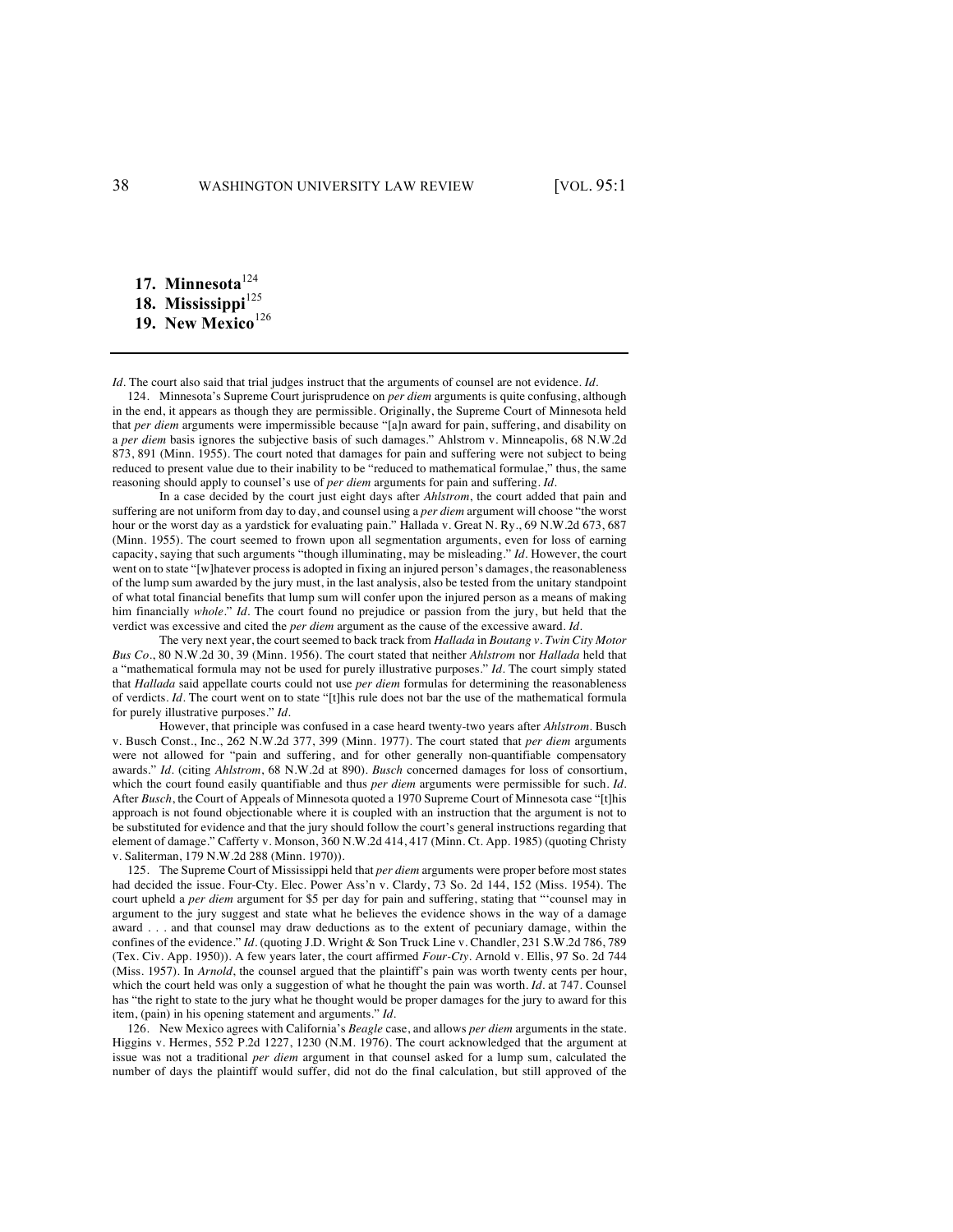**17. Minnesota**<sup>124</sup> 18. Mississippi<sup>125</sup> **19. New Mexico**<sup>126</sup>

*Id.* The court also said that trial judges instruct that the arguments of counsel are not evidence. *Id.*

124. Minnesota's Supreme Court jurisprudence on *per diem* arguments is quite confusing, although in the end, it appears as though they are permissible. Originally, the Supreme Court of Minnesota held that *per diem* arguments were impermissible because "[a]n award for pain, suffering, and disability on a *per diem* basis ignores the subjective basis of such damages." Ahlstrom v. Minneapolis, 68 N.W.2d 873, 891 (Minn. 1955). The court noted that damages for pain and suffering were not subject to being reduced to present value due to their inability to be "reduced to mathematical formulae," thus, the same reasoning should apply to counsel's use of *per diem* arguments for pain and suffering. *Id.*

In a case decided by the court just eight days after *Ahlstrom*, the court added that pain and suffering are not uniform from day to day, and counsel using a *per diem* argument will choose "the worst hour or the worst day as a yardstick for evaluating pain." Hallada v. Great N. Ry., 69 N.W.2d 673, 687 (Minn. 1955). The court seemed to frown upon all segmentation arguments, even for loss of earning capacity, saying that such arguments "though illuminating, may be misleading." *Id.* However, the court went on to state "[w]hatever process is adopted in fixing an injured person's damages, the reasonableness of the lump sum awarded by the jury must, in the last analysis, also be tested from the unitary standpoint of what total financial benefits that lump sum will confer upon the injured person as a means of making him financially *whole*." *Id.* The court found no prejudice or passion from the jury, but held that the verdict was excessive and cited the *per diem* argument as the cause of the excessive award. *Id.* 

The very next year, the court seemed to back track from *Hallada* in *Boutang v. Twin City Motor Bus Co.*, 80 N.W.2d 30, 39 (Minn. 1956). The court stated that neither *Ahlstrom* nor *Hallada* held that a "mathematical formula may not be used for purely illustrative purposes." *Id.* The court simply stated that *Hallada* said appellate courts could not use *per diem* formulas for determining the reasonableness of verdicts. *Id.* The court went on to state "[t]his rule does not bar the use of the mathematical formula for purely illustrative purposes." *Id.*

However, that principle was confused in a case heard twenty-two years after *Ahlstrom*. Busch v. Busch Const., Inc*.*, 262 N.W.2d 377, 399 (Minn. 1977). The court stated that *per diem* arguments were not allowed for "pain and suffering, and for other generally non-quantifiable compensatory awards." *Id.* (citing *Ahlstrom*, 68 N.W.2d at 890). *Busch* concerned damages for loss of consortium, which the court found easily quantifiable and thus *per diem* arguments were permissible for such. *Id.* After *Busch*, the Court of Appeals of Minnesota quoted a 1970 Supreme Court of Minnesota case "[t]his approach is not found objectionable where it is coupled with an instruction that the argument is not to be substituted for evidence and that the jury should follow the court's general instructions regarding that element of damage." Cafferty v. Monson, 360 N.W.2d 414, 417 (Minn. Ct. App. 1985) (quoting Christy v. Saliterman, 179 N.W.2d 288 (Minn. 1970)).

125. The Supreme Court of Mississippi held that *per diem* arguments were proper before most states had decided the issue. Four-Cty. Elec. Power Ass'n v. Clardy, 73 So. 2d 144, 152 (Miss. 1954). The court upheld a *per diem* argument for \$5 per day for pain and suffering, stating that "'counsel may in argument to the jury suggest and state what he believes the evidence shows in the way of a damage award . . . and that counsel may draw deductions as to the extent of pecuniary damage, within the confines of the evidence." *Id.* (quoting J.D. Wright & Son Truck Line v. Chandler, 231 S.W.2d 786, 789 (Tex. Civ. App. 1950)). A few years later, the court affirmed *Four-Cty*. Arnold v. Ellis, 97 So. 2d 744 (Miss. 1957). In *Arnold*, the counsel argued that the plaintiff's pain was worth twenty cents per hour, which the court held was only a suggestion of what he thought the pain was worth. *Id*. at 747. Counsel has "the right to state to the jury what he thought would be proper damages for the jury to award for this item, (pain) in his opening statement and arguments." *Id.*

126. New Mexico agrees with California's *Beagle* case, and allows *per diem* arguments in the state. Higgins v. Hermes, 552 P.2d 1227, 1230 (N.M. 1976). The court acknowledged that the argument at issue was not a traditional *per diem* argument in that counsel asked for a lump sum, calculated the number of days the plaintiff would suffer, did not do the final calculation, but still approved of the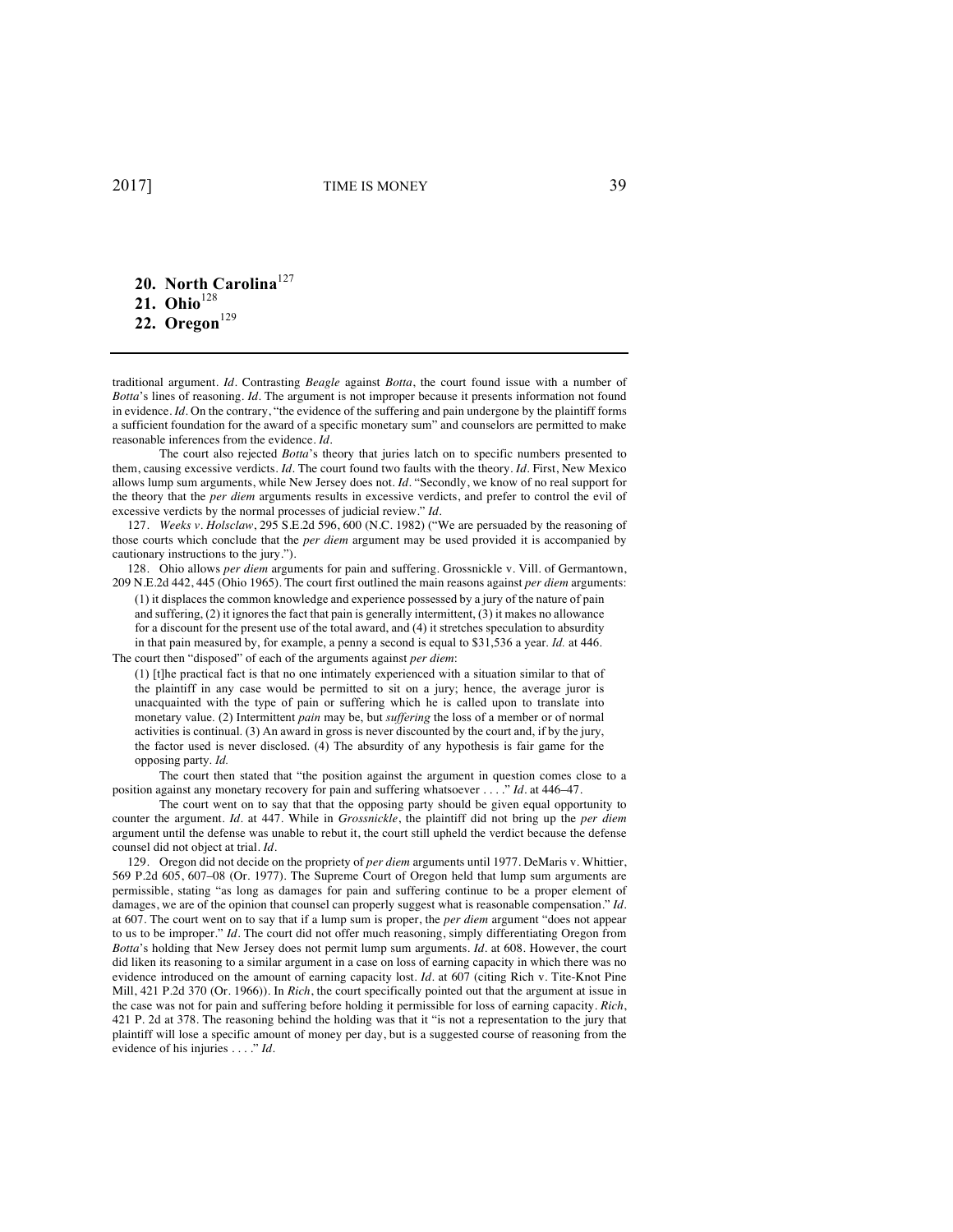**20. North Carolina**<sup>127</sup> 21. Ohio<sup>128</sup> 22. Oregon<sup>129</sup>

traditional argument. *Id.* Contrasting *Beagle* against *Botta*, the court found issue with a number of *Botta*'s lines of reasoning. *Id.* The argument is not improper because it presents information not found in evidence. *Id.* On the contrary, "the evidence of the suffering and pain undergone by the plaintiff forms a sufficient foundation for the award of a specific monetary sum" and counselors are permitted to make reasonable inferences from the evidence. *Id.*

The court also rejected *Botta*'s theory that juries latch on to specific numbers presented to them, causing excessive verdicts. *Id.* The court found two faults with the theory. *Id.* First, New Mexico allows lump sum arguments, while New Jersey does not. *Id.* "Secondly, we know of no real support for the theory that the *per diem* arguments results in excessive verdicts, and prefer to control the evil of excessive verdicts by the normal processes of judicial review." *Id.*

127. *Weeks v. Holsclaw*, 295 S.E.2d 596, 600 (N.C. 1982) ("We are persuaded by the reasoning of those courts which conclude that the *per diem* argument may be used provided it is accompanied by cautionary instructions to the jury.").

128. Ohio allows *per diem* arguments for pain and suffering. Grossnickle v. Vill. of Germantown, 209 N.E.2d 442, 445 (Ohio 1965). The court first outlined the main reasons against *per diem* arguments:

(1) it displaces the common knowledge and experience possessed by a jury of the nature of pain and suffering, (2) it ignores the fact that pain is generally intermittent, (3) it makes no allowance for a discount for the present use of the total award, and (4) it stretches speculation to absurdity in that pain measured by, for example, a penny a second is equal to \$31,536 a year. *Id.* at 446. The court then "disposed" of each of the arguments against *per diem*:

(1) [t]he practical fact is that no one intimately experienced with a situation similar to that of the plaintiff in any case would be permitted to sit on a jury; hence, the average juror is unacquainted with the type of pain or suffering which he is called upon to translate into monetary value. (2) Intermittent *pain* may be, but *suffering* the loss of a member or of normal activities is continual. (3) An award in gross is never discounted by the court and, if by the jury, the factor used is never disclosed. (4) The absurdity of any hypothesis is fair game for the opposing party. *Id.*

The court then stated that "the position against the argument in question comes close to a position against any monetary recovery for pain and suffering whatsoever . . . ." *Id.* at 446–47.

The court went on to say that that the opposing party should be given equal opportunity to counter the argument. *Id.* at 447. While in *Grossnickle*, the plaintiff did not bring up the *per diem* argument until the defense was unable to rebut it, the court still upheld the verdict because the defense counsel did not object at trial. *Id.*

129. Oregon did not decide on the propriety of *per diem* arguments until 1977. DeMaris v. Whittier, 569 P.2d 605, 607–08 (Or. 1977). The Supreme Court of Oregon held that lump sum arguments are permissible, stating "as long as damages for pain and suffering continue to be a proper element of damages, we are of the opinion that counsel can properly suggest what is reasonable compensation." *Id.*  at 607. The court went on to say that if a lump sum is proper, the *per diem* argument "does not appear to us to be improper." *Id.* The court did not offer much reasoning, simply differentiating Oregon from *Botta*'s holding that New Jersey does not permit lump sum arguments. *Id.* at 608. However, the court did liken its reasoning to a similar argument in a case on loss of earning capacity in which there was no evidence introduced on the amount of earning capacity lost. *Id.* at 607 (citing Rich v. Tite-Knot Pine Mill, 421 P.2d 370 (Or. 1966)). In *Rich*, the court specifically pointed out that the argument at issue in the case was not for pain and suffering before holding it permissible for loss of earning capacity. *Rich*, 421 P. 2d at 378. The reasoning behind the holding was that it "is not a representation to the jury that plaintiff will lose a specific amount of money per day, but is a suggested course of reasoning from the evidence of his injuries . . . ." *Id.*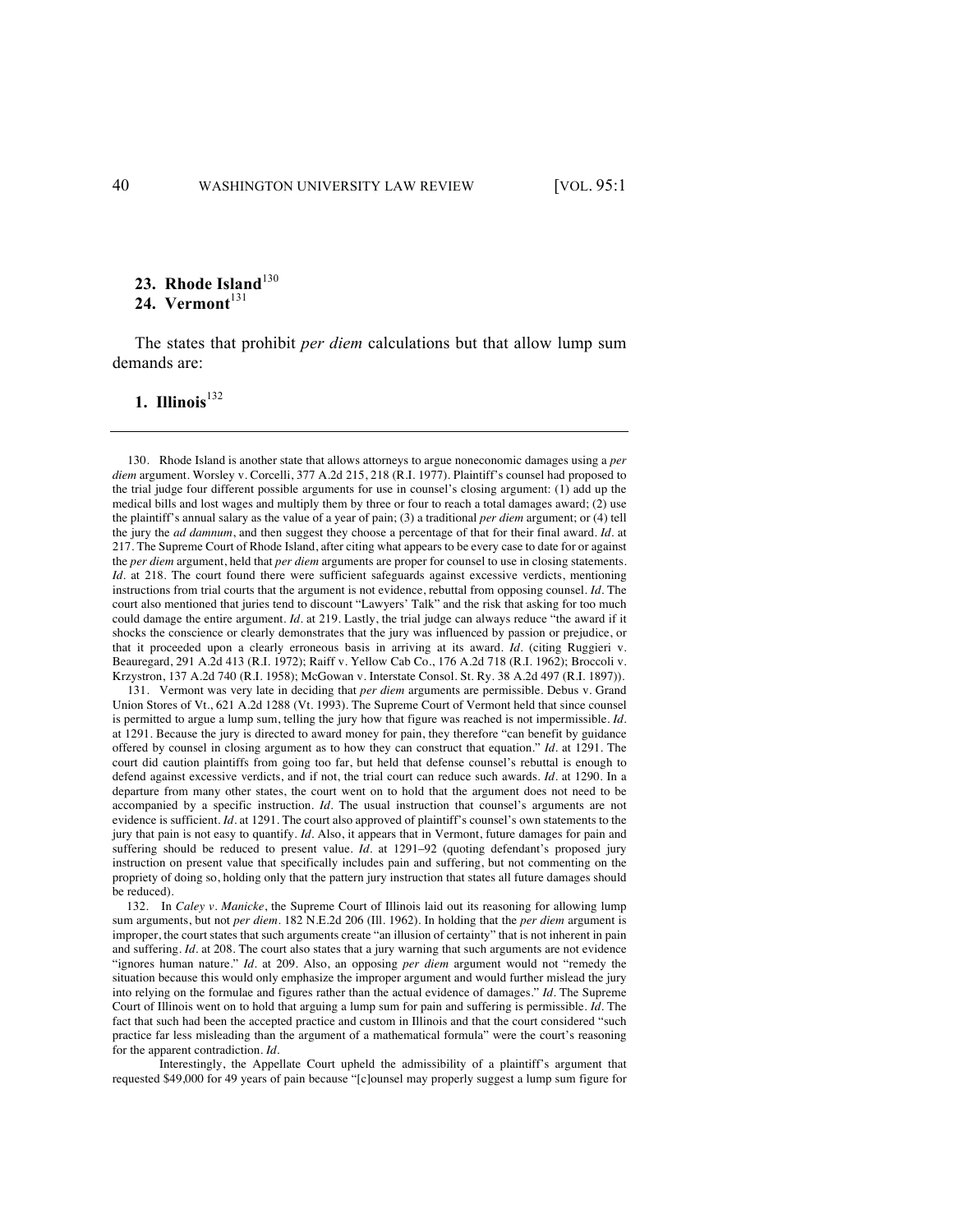#### 23. Rhode Island<sup>130</sup> 24. Vermont<sup>131</sup>

The states that prohibit *per diem* calculations but that allow lump sum demands are:

#### **1. Illinois**<sup>132</sup>

130. Rhode Island is another state that allows attorneys to argue noneconomic damages using a *per diem* argument. Worsley v. Corcelli, 377 A.2d 215, 218 (R.I. 1977). Plaintiff's counsel had proposed to the trial judge four different possible arguments for use in counsel's closing argument: (1) add up the medical bills and lost wages and multiply them by three or four to reach a total damages award; (2) use the plaintiff's annual salary as the value of a year of pain; (3) a traditional *per diem* argument; or (4) tell the jury the *ad damnum*, and then suggest they choose a percentage of that for their final award. *Id.* at 217. The Supreme Court of Rhode Island, after citing what appears to be every case to date for or against the *per diem* argument, held that *per diem* arguments are proper for counsel to use in closing statements. *Id.* at 218. The court found there were sufficient safeguards against excessive verdicts, mentioning instructions from trial courts that the argument is not evidence, rebuttal from opposing counsel. *Id.* The court also mentioned that juries tend to discount "Lawyers' Talk" and the risk that asking for too much could damage the entire argument. *Id.* at 219. Lastly, the trial judge can always reduce "the award if it shocks the conscience or clearly demonstrates that the jury was influenced by passion or prejudice, or that it proceeded upon a clearly erroneous basis in arriving at its award. *Id.* (citing Ruggieri v. Beauregard, 291 A.2d 413 (R.I. 1972); Raiff v. Yellow Cab Co., 176 A.2d 718 (R.I. 1962); Broccoli v. Krzystron, 137 A.2d 740 (R.I. 1958); McGowan v. Interstate Consol. St. Ry. 38 A.2d 497 (R.I. 1897)).

131. Vermont was very late in deciding that *per diem* arguments are permissible. Debus v. Grand Union Stores of Vt., 621 A.2d 1288 (Vt. 1993). The Supreme Court of Vermont held that since counsel is permitted to argue a lump sum, telling the jury how that figure was reached is not impermissible. *Id.*  at 1291. Because the jury is directed to award money for pain, they therefore "can benefit by guidance offered by counsel in closing argument as to how they can construct that equation." *Id.* at 1291. The court did caution plaintiffs from going too far, but held that defense counsel's rebuttal is enough to defend against excessive verdicts, and if not, the trial court can reduce such awards. *Id.* at 1290. In a departure from many other states, the court went on to hold that the argument does not need to be accompanied by a specific instruction. *Id.* The usual instruction that counsel's arguments are not evidence is sufficient. *Id.* at 1291. The court also approved of plaintiff's counsel's own statements to the jury that pain is not easy to quantify. *Id.* Also, it appears that in Vermont, future damages for pain and suffering should be reduced to present value. *Id.* at 1291–92 (quoting defendant's proposed jury instruction on present value that specifically includes pain and suffering, but not commenting on the propriety of doing so, holding only that the pattern jury instruction that states all future damages should be reduced).

132. In *Caley v. Manicke*, the Supreme Court of Illinois laid out its reasoning for allowing lump sum arguments, but not *per diem*. 182 N.E.2d 206 (Ill. 1962). In holding that the *per diem* argument is improper, the court states that such arguments create "an illusion of certainty" that is not inherent in pain and suffering. *Id.* at 208. The court also states that a jury warning that such arguments are not evidence "ignores human nature." *Id.* at 209. Also, an opposing *per diem* argument would not "remedy the situation because this would only emphasize the improper argument and would further mislead the jury into relying on the formulae and figures rather than the actual evidence of damages." *Id.* The Supreme Court of Illinois went on to hold that arguing a lump sum for pain and suffering is permissible. *Id.* The fact that such had been the accepted practice and custom in Illinois and that the court considered "such practice far less misleading than the argument of a mathematical formula" were the court's reasoning for the apparent contradiction. *Id.*

Interestingly, the Appellate Court upheld the admissibility of a plaintiff's argument that requested \$49,000 for 49 years of pain because "[c]ounsel may properly suggest a lump sum figure for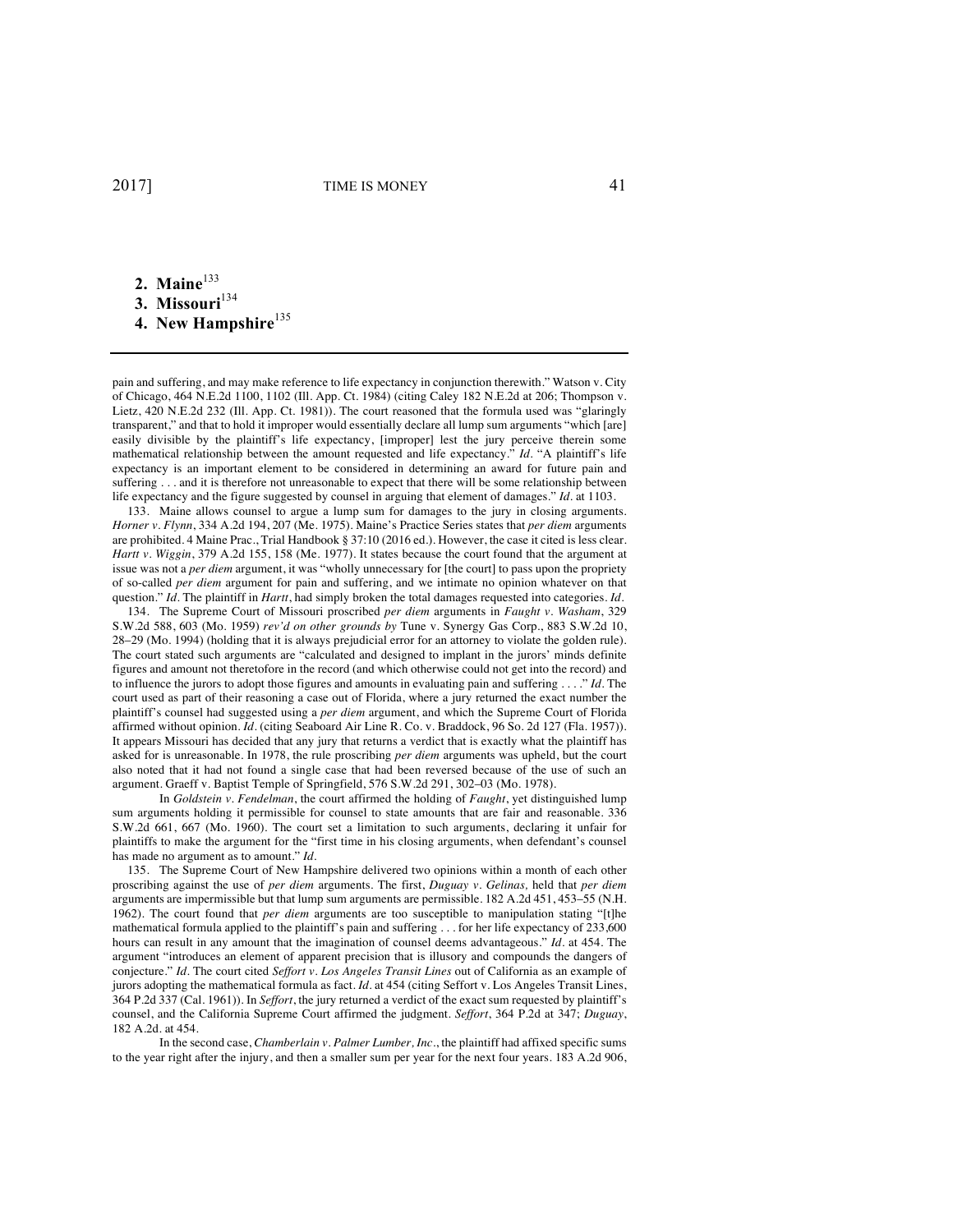**2.** Maine<sup>133</sup> 3. Missouri<sup>134</sup> **4. New Hampshire**<sup>135</sup>

pain and suffering, and may make reference to life expectancy in conjunction therewith." Watson v. City of Chicago, 464 N.E.2d 1100, 1102 (Ill. App. Ct. 1984) (citing Caley 182 N.E.2d at 206; Thompson v. Lietz, 420 N.E.2d 232 (Ill. App. Ct. 1981)). The court reasoned that the formula used was "glaringly transparent," and that to hold it improper would essentially declare all lump sum arguments "which [are] easily divisible by the plaintiff's life expectancy, [improper] lest the jury perceive therein some mathematical relationship between the amount requested and life expectancy." *Id.* "A plaintiff's life expectancy is an important element to be considered in determining an award for future pain and suffering . . . and it is therefore not unreasonable to expect that there will be some relationship between life expectancy and the figure suggested by counsel in arguing that element of damages." *Id.* at 1103.

133. Maine allows counsel to argue a lump sum for damages to the jury in closing arguments. *Horner v. Flynn*, 334 A.2d 194, 207 (Me. 1975). Maine's Practice Series states that *per diem* arguments are prohibited. 4 Maine Prac., Trial Handbook § 37:10 (2016 ed.). However, the case it cited is less clear. *Hartt v. Wiggin*, 379 A.2d 155, 158 (Me. 1977). It states because the court found that the argument at issue was not a *per diem* argument, it was "wholly unnecessary for [the court] to pass upon the propriety of so-called *per diem* argument for pain and suffering, and we intimate no opinion whatever on that question." *Id.* The plaintiff in *Hartt*, had simply broken the total damages requested into categories. *Id.* 

134. The Supreme Court of Missouri proscribed *per diem* arguments in *Faught v. Washam*, 329 S.W.2d 588, 603 (Mo. 1959) *rev'd on other grounds by* Tune v. Synergy Gas Corp*.*, 883 S.W.2d 10, 28–29 (Mo. 1994) (holding that it is always prejudicial error for an attorney to violate the golden rule). The court stated such arguments are "calculated and designed to implant in the jurors' minds definite figures and amount not theretofore in the record (and which otherwise could not get into the record) and to influence the jurors to adopt those figures and amounts in evaluating pain and suffering . . . ." *Id.* The court used as part of their reasoning a case out of Florida, where a jury returned the exact number the plaintiff's counsel had suggested using a *per diem* argument, and which the Supreme Court of Florida affirmed without opinion. *Id.* (citing Seaboard Air Line R. Co. v. Braddock, 96 So. 2d 127 (Fla. 1957)). It appears Missouri has decided that any jury that returns a verdict that is exactly what the plaintiff has asked for is unreasonable. In 1978, the rule proscribing *per diem* arguments was upheld, but the court also noted that it had not found a single case that had been reversed because of the use of such an argument. Graeff v. Baptist Temple of Springfield, 576 S.W.2d 291, 302–03 (Mo. 1978).

In *Goldstein v. Fendelman*, the court affirmed the holding of *Faught*, yet distinguished lump sum arguments holding it permissible for counsel to state amounts that are fair and reasonable. 336 S.W.2d 661, 667 (Mo. 1960). The court set a limitation to such arguments, declaring it unfair for plaintiffs to make the argument for the "first time in his closing arguments, when defendant's counsel has made no argument as to amount." *Id.*

135. The Supreme Court of New Hampshire delivered two opinions within a month of each other proscribing against the use of *per diem* arguments. The first, *Duguay v. Gelinas,* held that *per diem* arguments are impermissible but that lump sum arguments are permissible. 182 A.2d 451, 453–55 (N.H. 1962). The court found that *per diem* arguments are too susceptible to manipulation stating "[t]he mathematical formula applied to the plaintiff's pain and suffering . . . for her life expectancy of 233,600 hours can result in any amount that the imagination of counsel deems advantageous." *Id.* at 454. The argument "introduces an element of apparent precision that is illusory and compounds the dangers of conjecture." *Id.* The court cited *Seffort v. Los Angeles Transit Lines* out of California as an example of jurors adopting the mathematical formula as fact. *Id.* at 454 (citing Seffort v. Los Angeles Transit Lines, 364 P.2d 337 (Cal. 1961)). In *Seffort*, the jury returned a verdict of the exact sum requested by plaintiff's counsel, and the California Supreme Court affirmed the judgment. *Seffort*, 364 P.2d at 347; *Duguay*, 182 A.2d. at 454.

In the second case, *Chamberlain v. Palmer Lumber, Inc.*, the plaintiff had affixed specific sums to the year right after the injury, and then a smaller sum per year for the next four years. 183 A.2d 906,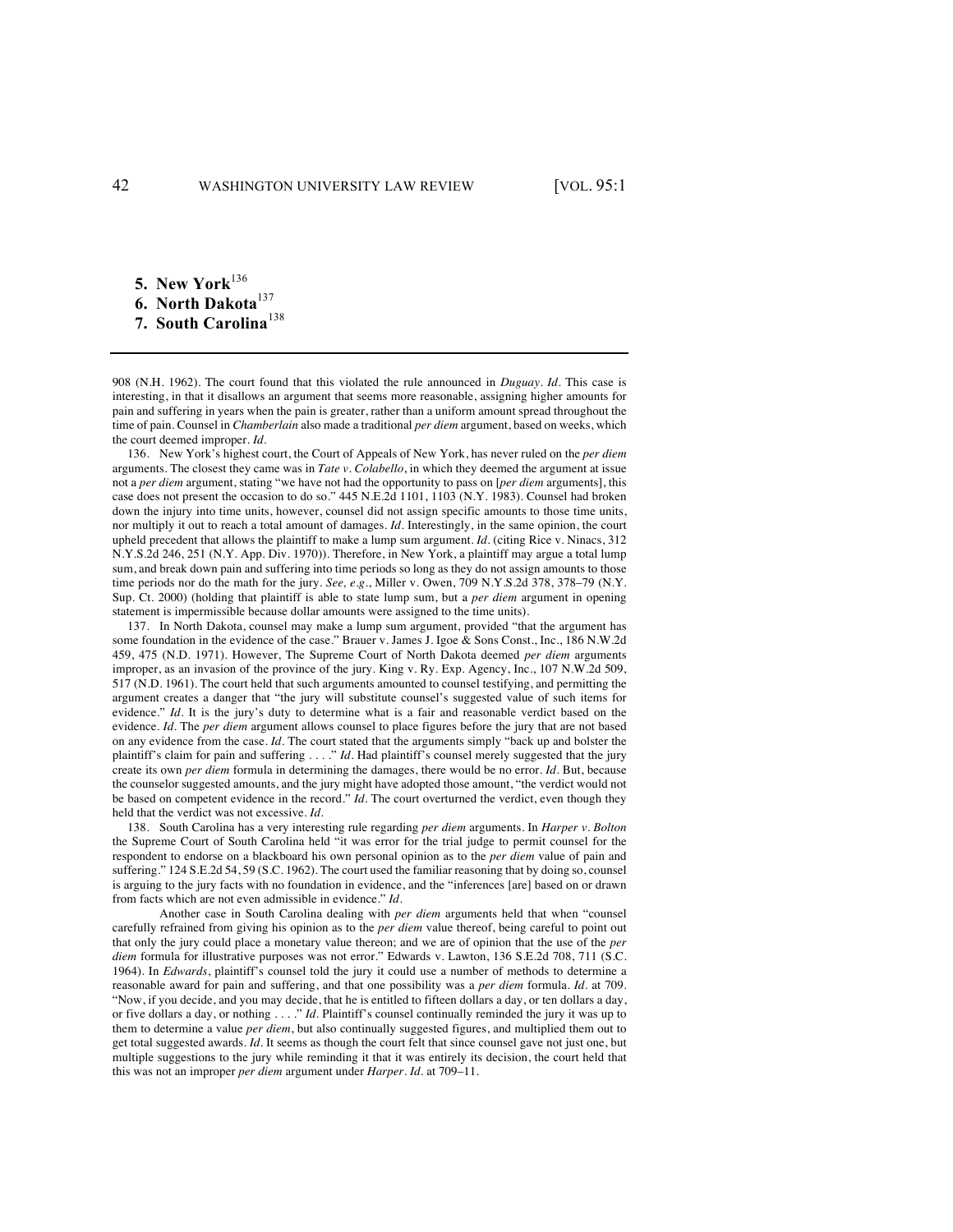**5. New York**<sup>136</sup> **6. North Dakota**<sup>137</sup> **7. South Carolina**<sup>138</sup>

908 (N.H. 1962). The court found that this violated the rule announced in *Duguay*. *Id.* This case is interesting, in that it disallows an argument that seems more reasonable, assigning higher amounts for pain and suffering in years when the pain is greater, rather than a uniform amount spread throughout the time of pain. Counsel in *Chamberlain* also made a traditional *per diem* argument, based on weeks, which the court deemed improper. *Id.*

136. New York's highest court, the Court of Appeals of New York, has never ruled on the *per diem* arguments. The closest they came was in *Tate v. Colabello*, in which they deemed the argument at issue not a *per diem* argument, stating "we have not had the opportunity to pass on [*per diem* arguments], this case does not present the occasion to do so." 445 N.E.2d 1101, 1103 (N.Y. 1983). Counsel had broken down the injury into time units, however, counsel did not assign specific amounts to those time units, nor multiply it out to reach a total amount of damages. *Id.* Interestingly, in the same opinion, the court upheld precedent that allows the plaintiff to make a lump sum argument. *Id.* (citing Rice v. Ninacs, 312 N.Y.S.2d 246, 251 (N.Y. App. Div. 1970)). Therefore, in New York, a plaintiff may argue a total lump sum, and break down pain and suffering into time periods so long as they do not assign amounts to those time periods nor do the math for the jury. *See, e.g.*, Miller v. Owen, 709 N.Y.S.2d 378, 378–79 (N.Y. Sup. Ct. 2000) (holding that plaintiff is able to state lump sum, but a *per diem* argument in opening statement is impermissible because dollar amounts were assigned to the time units).

137. In North Dakota, counsel may make a lump sum argument, provided "that the argument has some foundation in the evidence of the case." Brauer v. James J. Igoe & Sons Const., Inc., 186 N.W.2d 459, 475 (N.D. 1971). However, The Supreme Court of North Dakota deemed *per diem* arguments improper, as an invasion of the province of the jury. King v. Ry. Exp. Agency, Inc., 107 N.W.2d 509, 517 (N.D. 1961). The court held that such arguments amounted to counsel testifying, and permitting the argument creates a danger that "the jury will substitute counsel's suggested value of such items for evidence." *Id.* It is the jury's duty to determine what is a fair and reasonable verdict based on the evidence. *Id.* The *per diem* argument allows counsel to place figures before the jury that are not based on any evidence from the case. *Id.* The court stated that the arguments simply "back up and bolster the plaintiff's claim for pain and suffering . . . ." *Id.* Had plaintiff's counsel merely suggested that the jury create its own *per diem* formula in determining the damages, there would be no error. *Id.* But, because the counselor suggested amounts, and the jury might have adopted those amount, "the verdict would not be based on competent evidence in the record." *Id.* The court overturned the verdict, even though they held that the verdict was not excessive. *Id.*

138. South Carolina has a very interesting rule regarding *per diem* arguments. In *Harper v. Bolton* the Supreme Court of South Carolina held "it was error for the trial judge to permit counsel for the respondent to endorse on a blackboard his own personal opinion as to the *per diem* value of pain and suffering." 124 S.E.2d 54, 59 (S.C. 1962). The court used the familiar reasoning that by doing so, counsel is arguing to the jury facts with no foundation in evidence, and the "inferences [are] based on or drawn from facts which are not even admissible in evidence." *Id.* 

Another case in South Carolina dealing with *per diem* arguments held that when "counsel carefully refrained from giving his opinion as to the *per diem* value thereof, being careful to point out that only the jury could place a monetary value thereon; and we are of opinion that the use of the *per diem* formula for illustrative purposes was not error." Edwards v. Lawton, 136 S.E.2d 708, 711 (S.C. 1964). In *Edwards*, plaintiff's counsel told the jury it could use a number of methods to determine a reasonable award for pain and suffering, and that one possibility was a *per diem* formula. *Id.* at 709. "Now, if you decide, and you may decide, that he is entitled to fifteen dollars a day, or ten dollars a day, or five dollars a day, or nothing . . . ." *Id.* Plaintiff's counsel continually reminded the jury it was up to them to determine a value *per diem*, but also continually suggested figures, and multiplied them out to get total suggested awards. *Id.* It seems as though the court felt that since counsel gave not just one, but multiple suggestions to the jury while reminding it that it was entirely its decision, the court held that this was not an improper *per diem* argument under *Harper*. *Id.* at 709–11.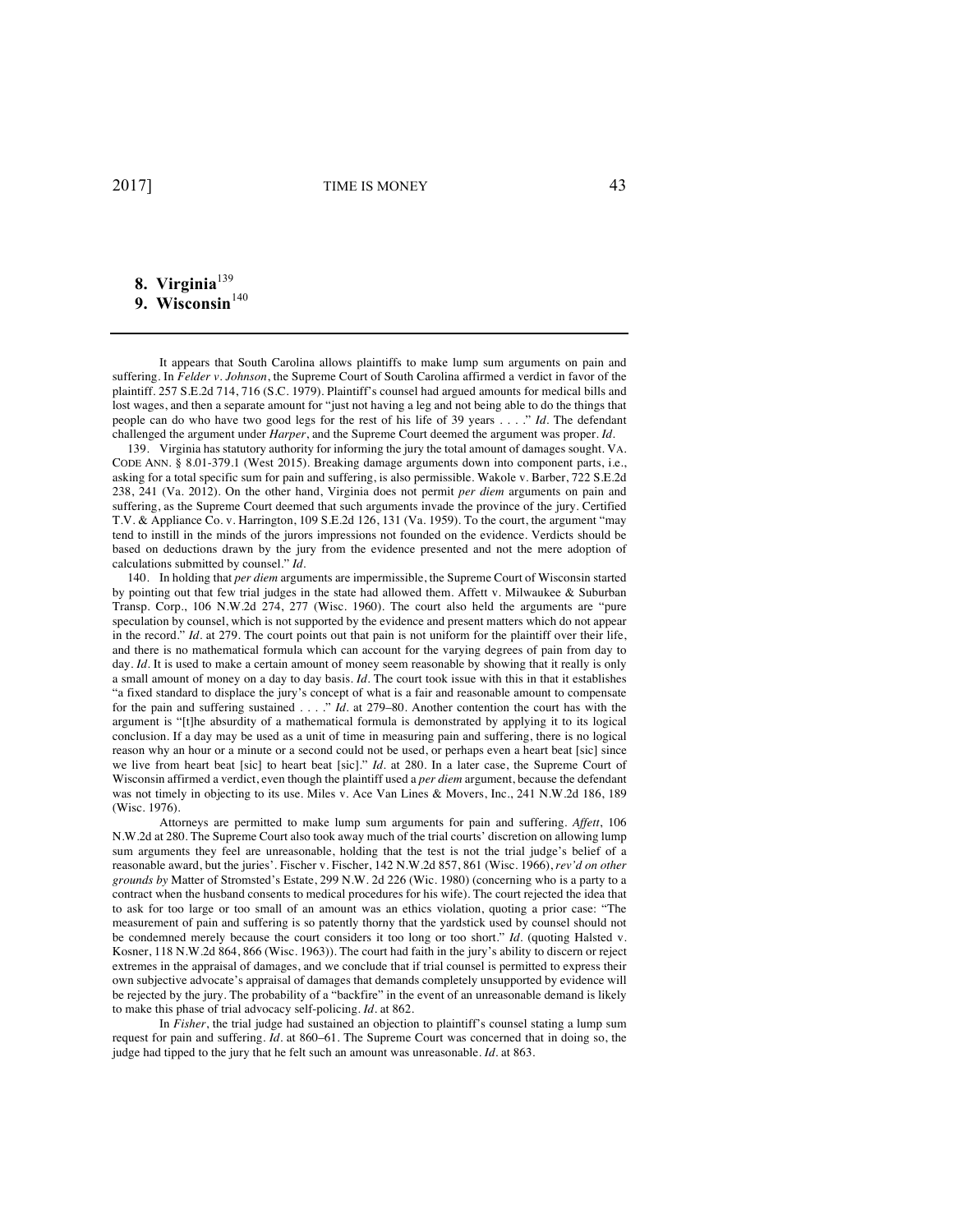# 8. Virginia<sup>139</sup>

# 9. Wisconsin<sup>140</sup>

It appears that South Carolina allows plaintiffs to make lump sum arguments on pain and suffering. In *Felder v. Johnson*, the Supreme Court of South Carolina affirmed a verdict in favor of the plaintiff. 257 S.E.2d 714, 716 (S.C. 1979). Plaintiff's counsel had argued amounts for medical bills and lost wages, and then a separate amount for "just not having a leg and not being able to do the things that people can do who have two good legs for the rest of his life of 39 years . . . ." *Id.* The defendant challenged the argument under *Harper*, and the Supreme Court deemed the argument was proper. *Id.*

139. Virginia has statutory authority for informing the jury the total amount of damages sought. VA. CODE ANN. § 8.01-379.1 (West 2015). Breaking damage arguments down into component parts, i.e., asking for a total specific sum for pain and suffering, is also permissible. Wakole v. Barber, 722 S.E.2d 238, 241 (Va. 2012). On the other hand, Virginia does not permit *per diem* arguments on pain and suffering, as the Supreme Court deemed that such arguments invade the province of the jury. Certified T.V. & Appliance Co. v. Harrington, 109 S.E.2d 126, 131 (Va. 1959). To the court, the argument "may tend to instill in the minds of the jurors impressions not founded on the evidence. Verdicts should be based on deductions drawn by the jury from the evidence presented and not the mere adoption of calculations submitted by counsel." *Id.*

140. In holding that *per diem* arguments are impermissible, the Supreme Court of Wisconsin started by pointing out that few trial judges in the state had allowed them. Affett v. Milwaukee & Suburban Transp. Corp., 106 N.W.2d 274, 277 (Wisc. 1960). The court also held the arguments are "pure speculation by counsel, which is not supported by the evidence and present matters which do not appear in the record." *Id.* at 279. The court points out that pain is not uniform for the plaintiff over their life, and there is no mathematical formula which can account for the varying degrees of pain from day to day. *Id.* It is used to make a certain amount of money seem reasonable by showing that it really is only a small amount of money on a day to day basis. *Id.* The court took issue with this in that it establishes "a fixed standard to displace the jury's concept of what is a fair and reasonable amount to compensate for the pain and suffering sustained . . . ." *Id.* at 279–80. Another contention the court has with the argument is "[t]he absurdity of a mathematical formula is demonstrated by applying it to its logical conclusion. If a day may be used as a unit of time in measuring pain and suffering, there is no logical reason why an hour or a minute or a second could not be used, or perhaps even a heart beat [sic] since we live from heart beat [sic] to heart beat [sic]." *Id.* at 280. In a later case, the Supreme Court of Wisconsin affirmed a verdict, even though the plaintiff used a *per diem* argument, because the defendant was not timely in objecting to its use. Miles v. Ace Van Lines & Movers, Inc., 241 N.W.2d 186, 189 (Wisc. 1976).

Attorneys are permitted to make lump sum arguments for pain and suffering. *Affett*, 106 N.W.2d at 280. The Supreme Court also took away much of the trial courts' discretion on allowing lump sum arguments they feel are unreasonable, holding that the test is not the trial judge's belief of a reasonable award, but the juries'. Fischer v. Fischer, 142 N.W.2d 857, 861 (Wisc. 1966), *rev'd on other grounds by* Matter of Stromsted's Estate, 299 N.W. 2d 226 (Wic. 1980) (concerning who is a party to a contract when the husband consents to medical procedures for his wife). The court rejected the idea that to ask for too large or too small of an amount was an ethics violation, quoting a prior case: "The measurement of pain and suffering is so patently thorny that the yardstick used by counsel should not be condemned merely because the court considers it too long or too short." *Id.* (quoting Halsted v. Kosner, 118 N.W.2d 864, 866 (Wisc. 1963)). The court had faith in the jury's ability to discern or reject extremes in the appraisal of damages, and we conclude that if trial counsel is permitted to express their own subjective advocate's appraisal of damages that demands completely unsupported by evidence will be rejected by the jury. The probability of a "backfire" in the event of an unreasonable demand is likely to make this phase of trial advocacy self-policing. *Id.* at 862.

In *Fisher*, the trial judge had sustained an objection to plaintiff's counsel stating a lump sum request for pain and suffering. *Id.* at 860–61. The Supreme Court was concerned that in doing so, the judge had tipped to the jury that he felt such an amount was unreasonable. *Id.* at 863.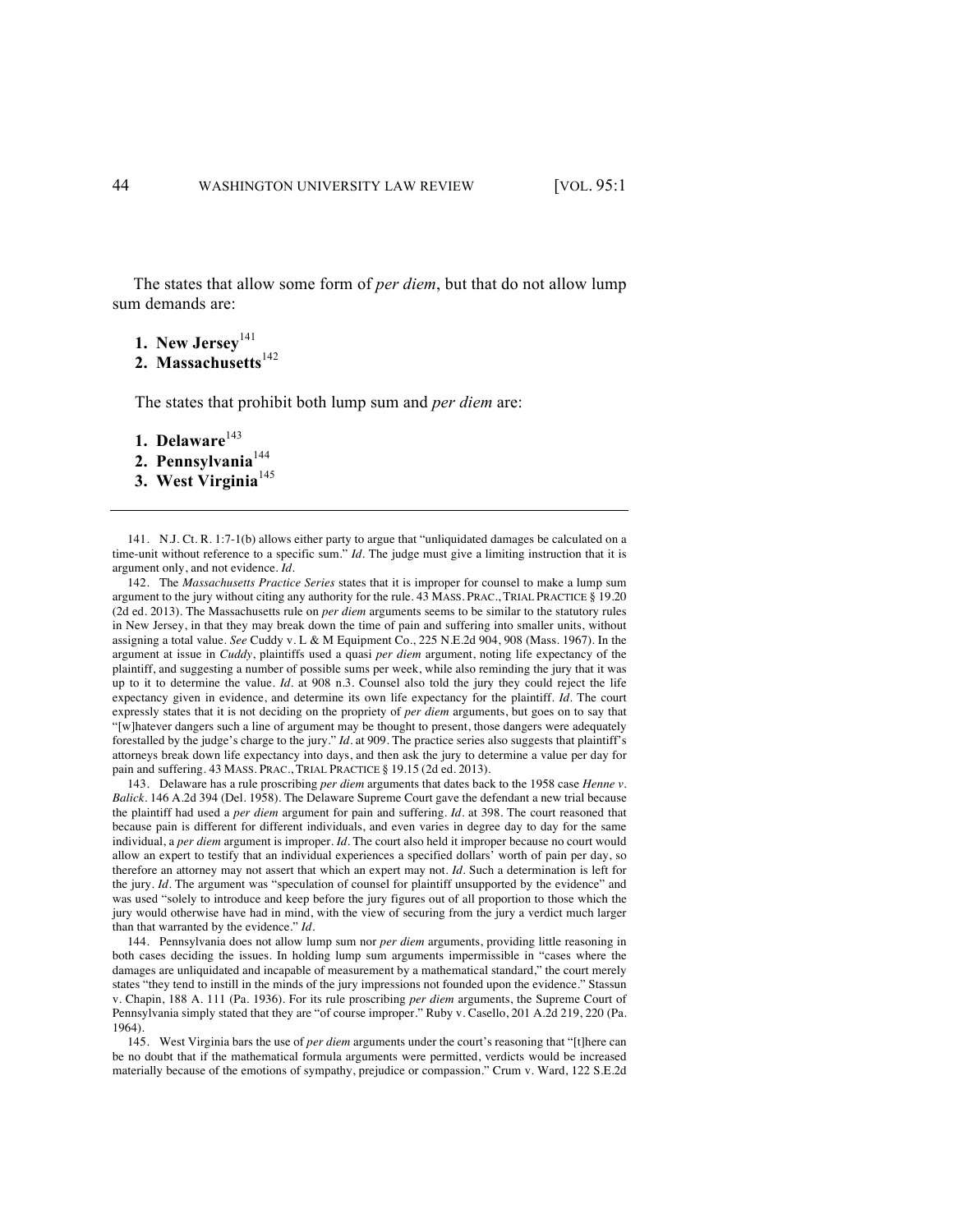The states that allow some form of *per diem*, but that do not allow lump sum demands are:

- **1. New Jersey**<sup>141</sup>
- 2. Massachusetts<sup>142</sup>

The states that prohibit both lump sum and *per diem* are:

- 1. Delaware<sup>143</sup>
- 2. Pennsylvania<sup>144</sup>
- **3. West Virginia**<sup>145</sup>

141. N.J. Ct. R. 1:7-1(b) allows either party to argue that "unliquidated damages be calculated on a time-unit without reference to a specific sum." *Id.* The judge must give a limiting instruction that it is argument only, and not evidence. *Id.*

142. The *Massachusetts Practice Series* states that it is improper for counsel to make a lump sum argument to the jury without citing any authority for the rule. 43 MASS. PRAC., TRIAL PRACTICE § 19.20 (2d ed. 2013). The Massachusetts rule on *per diem* arguments seems to be similar to the statutory rules in New Jersey, in that they may break down the time of pain and suffering into smaller units, without assigning a total value. *See* Cuddy v. L & M Equipment Co., 225 N.E.2d 904, 908 (Mass. 1967). In the argument at issue in *Cuddy*, plaintiffs used a quasi *per diem* argument, noting life expectancy of the plaintiff, and suggesting a number of possible sums per week, while also reminding the jury that it was up to it to determine the value. *Id.* at 908 n.3. Counsel also told the jury they could reject the life expectancy given in evidence, and determine its own life expectancy for the plaintiff. *Id.* The court expressly states that it is not deciding on the propriety of *per diem* arguments, but goes on to say that "[w]hatever dangers such a line of argument may be thought to present, those dangers were adequately forestalled by the judge's charge to the jury." *Id.* at 909. The practice series also suggests that plaintiff's attorneys break down life expectancy into days, and then ask the jury to determine a value per day for pain and suffering. 43 MASS. PRAC., TRIAL PRACTICE § 19.15 (2d ed. 2013).

143. Delaware has a rule proscribing *per diem* arguments that dates back to the 1958 case *Henne v. Balick*. 146 A.2d 394 (Del. 1958). The Delaware Supreme Court gave the defendant a new trial because the plaintiff had used a *per diem* argument for pain and suffering. *Id.* at 398. The court reasoned that because pain is different for different individuals, and even varies in degree day to day for the same individual, a *per diem* argument is improper. *Id.* The court also held it improper because no court would allow an expert to testify that an individual experiences a specified dollars' worth of pain per day, so therefore an attorney may not assert that which an expert may not. *Id.* Such a determination is left for the jury. *Id.* The argument was "speculation of counsel for plaintiff unsupported by the evidence" and was used "solely to introduce and keep before the jury figures out of all proportion to those which the jury would otherwise have had in mind, with the view of securing from the jury a verdict much larger than that warranted by the evidence." *Id.*

144. Pennsylvania does not allow lump sum nor *per diem* arguments, providing little reasoning in both cases deciding the issues. In holding lump sum arguments impermissible in "cases where the damages are unliquidated and incapable of measurement by a mathematical standard," the court merely states "they tend to instill in the minds of the jury impressions not founded upon the evidence." Stassun v. Chapin, 188 A. 111 (Pa. 1936). For its rule proscribing *per diem* arguments, the Supreme Court of Pennsylvania simply stated that they are "of course improper." Ruby v. Casello, 201 A.2d 219, 220 (Pa. 1964).

145. West Virginia bars the use of *per diem* arguments under the court's reasoning that "[t]here can be no doubt that if the mathematical formula arguments were permitted, verdicts would be increased materially because of the emotions of sympathy, prejudice or compassion." Crum v. Ward, 122 S.E.2d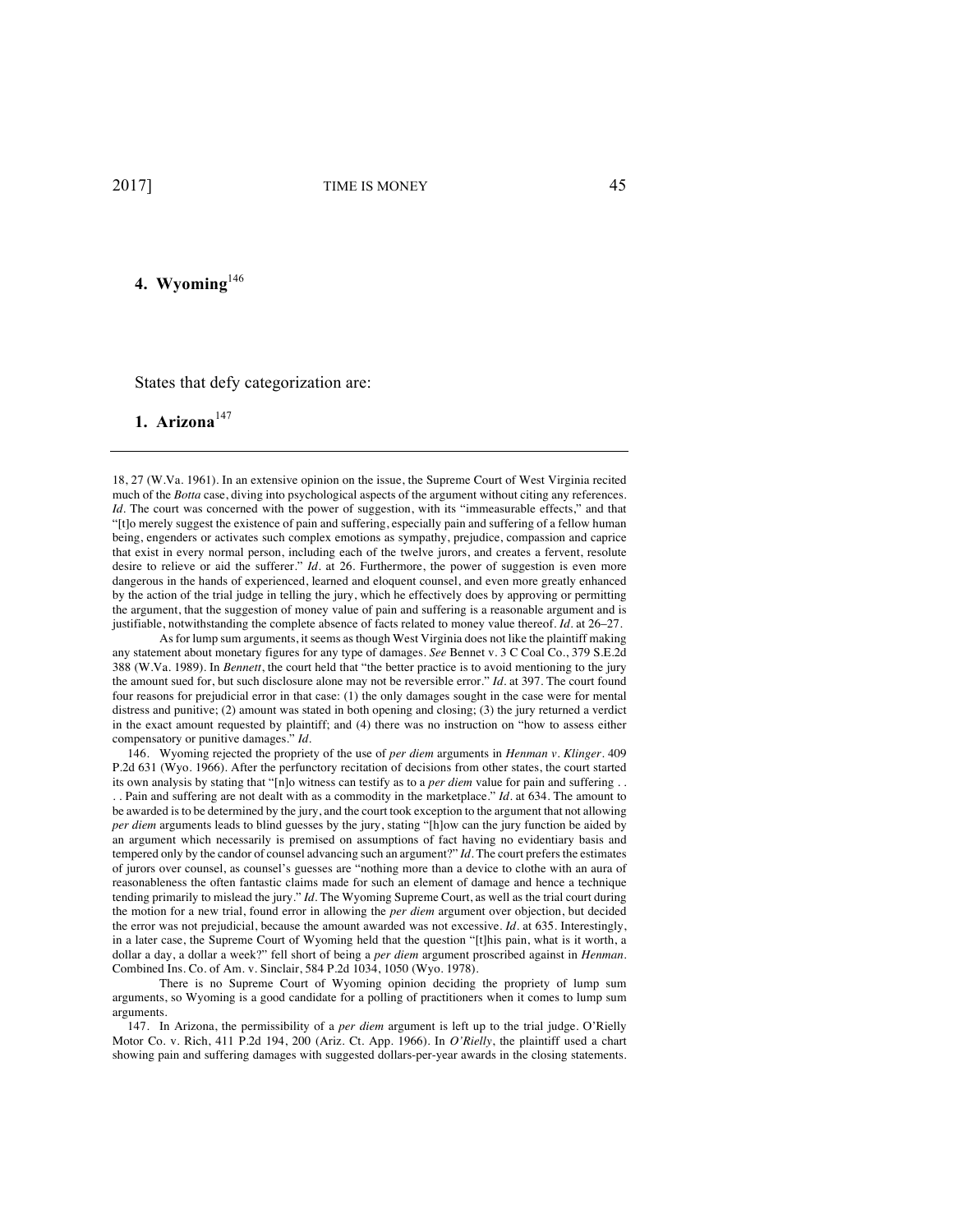# **4. Wyoming**<sup>146</sup>

States that defy categorization are:

**1. Arizona**<sup>147</sup>

18, 27 (W.Va. 1961). In an extensive opinion on the issue, the Supreme Court of West Virginia recited much of the *Botta* case, diving into psychological aspects of the argument without citing any references. *Id.* The court was concerned with the power of suggestion, with its "immeasurable effects," and that "[t]o merely suggest the existence of pain and suffering, especially pain and suffering of a fellow human being, engenders or activates such complex emotions as sympathy, prejudice, compassion and caprice that exist in every normal person, including each of the twelve jurors, and creates a fervent, resolute desire to relieve or aid the sufferer." *Id.* at 26. Furthermore, the power of suggestion is even more dangerous in the hands of experienced, learned and eloquent counsel, and even more greatly enhanced by the action of the trial judge in telling the jury, which he effectively does by approving or permitting the argument, that the suggestion of money value of pain and suffering is a reasonable argument and is justifiable, notwithstanding the complete absence of facts related to money value thereof. *Id.* at 26–27.

As for lump sum arguments, it seems as though West Virginia does not like the plaintiff making any statement about monetary figures for any type of damages. *See* Bennet v. 3 C Coal Co., 379 S.E.2d 388 (W.Va. 1989). In *Bennett*, the court held that "the better practice is to avoid mentioning to the jury the amount sued for, but such disclosure alone may not be reversible error." *Id.* at 397. The court found four reasons for prejudicial error in that case: (1) the only damages sought in the case were for mental distress and punitive; (2) amount was stated in both opening and closing; (3) the jury returned a verdict in the exact amount requested by plaintiff; and (4) there was no instruction on "how to assess either compensatory or punitive damages." *Id.*

146. Wyoming rejected the propriety of the use of *per diem* arguments in *Henman v. Klinger*. 409 P.2d 631 (Wyo. 1966). After the perfunctory recitation of decisions from other states, the court started its own analysis by stating that "[n]o witness can testify as to a *per diem* value for pain and suffering . . . . Pain and suffering are not dealt with as a commodity in the marketplace." *Id.* at 634. The amount to be awarded is to be determined by the jury, and the court took exception to the argument that not allowing *per diem* arguments leads to blind guesses by the jury, stating "[h]ow can the jury function be aided by an argument which necessarily is premised on assumptions of fact having no evidentiary basis and tempered only by the candor of counsel advancing such an argument?" *Id.* The court prefers the estimates of jurors over counsel, as counsel's guesses are "nothing more than a device to clothe with an aura of reasonableness the often fantastic claims made for such an element of damage and hence a technique tending primarily to mislead the jury." *Id.* The Wyoming Supreme Court, as well as the trial court during the motion for a new trial, found error in allowing the *per diem* argument over objection, but decided the error was not prejudicial, because the amount awarded was not excessive. *Id.* at 635. Interestingly, in a later case, the Supreme Court of Wyoming held that the question "[t]his pain, what is it worth, a dollar a day, a dollar a week?" fell short of being a *per diem* argument proscribed against in *Henman*. Combined Ins. Co. of Am. v. Sinclair, 584 P.2d 1034, 1050 (Wyo. 1978).

There is no Supreme Court of Wyoming opinion deciding the propriety of lump sum arguments, so Wyoming is a good candidate for a polling of practitioners when it comes to lump sum arguments.

147. In Arizona, the permissibility of a *per diem* argument is left up to the trial judge. O'Rielly Motor Co. v. Rich, 411 P.2d 194, 200 (Ariz. Ct. App. 1966). In *O'Rielly*, the plaintiff used a chart showing pain and suffering damages with suggested dollars-per-year awards in the closing statements.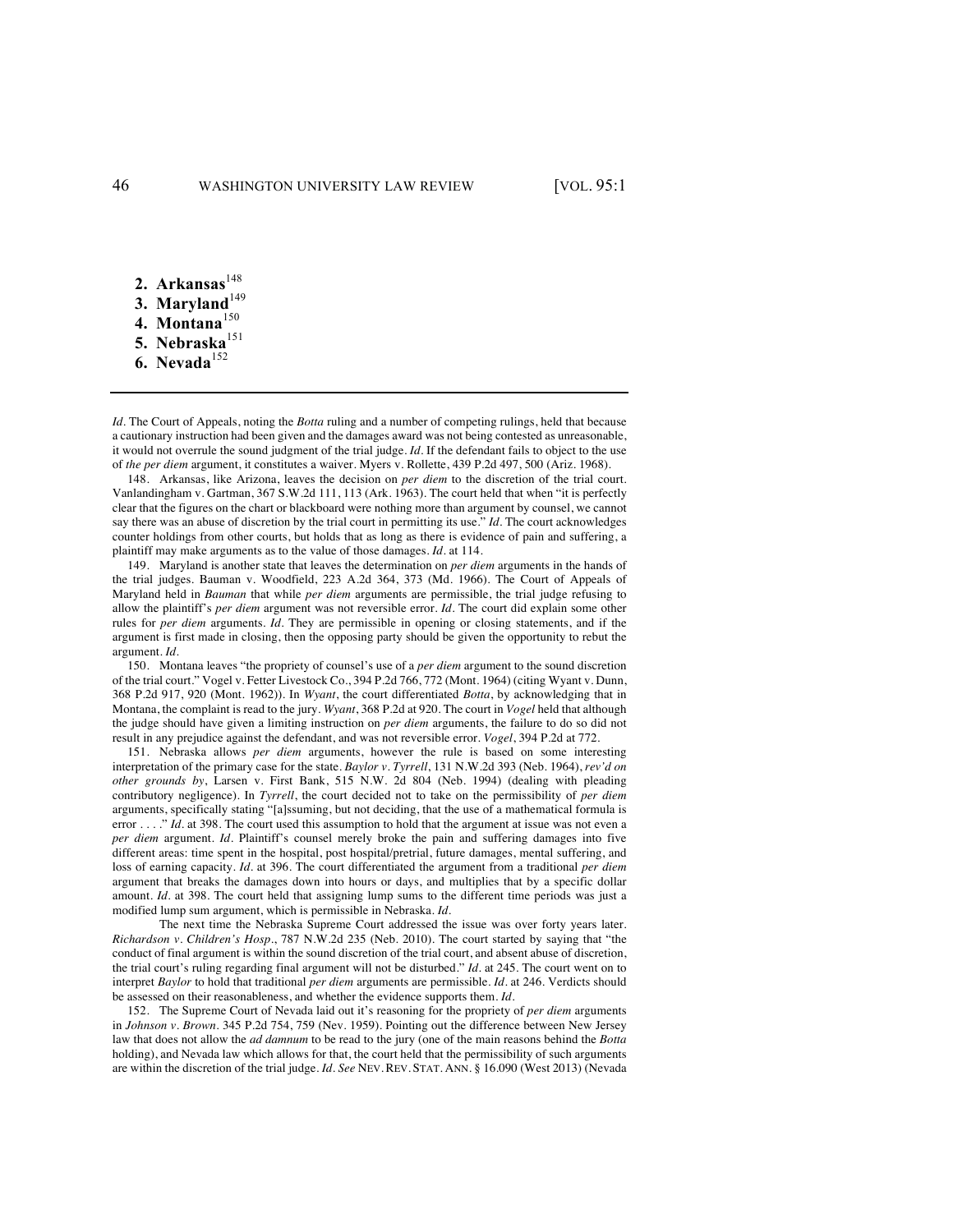- 2. Arkansas<sup>148</sup>
- 3. Maryland<sup>149</sup>
- **4. Montana**<sup>150</sup>
- 5. Nebraska<sup>151</sup>
- **6. Nevada**<sup>152</sup>

*Id.* The Court of Appeals, noting the *Botta* ruling and a number of competing rulings, held that because a cautionary instruction had been given and the damages award was not being contested as unreasonable, it would not overrule the sound judgment of the trial judge. *Id.* If the defendant fails to object to the use of *the per diem* argument, it constitutes a waiver. Myers v. Rollette, 439 P.2d 497, 500 (Ariz. 1968).

148. Arkansas, like Arizona, leaves the decision on *per diem* to the discretion of the trial court. Vanlandingham v. Gartman, 367 S.W.2d 111, 113 (Ark. 1963). The court held that when "it is perfectly clear that the figures on the chart or blackboard were nothing more than argument by counsel, we cannot say there was an abuse of discretion by the trial court in permitting its use." *Id.* The court acknowledges counter holdings from other courts, but holds that as long as there is evidence of pain and suffering, a plaintiff may make arguments as to the value of those damages. *Id.* at 114.

149. Maryland is another state that leaves the determination on *per diem* arguments in the hands of the trial judges. Bauman v. Woodfield, 223 A.2d 364, 373 (Md. 1966). The Court of Appeals of Maryland held in *Bauman* that while *per diem* arguments are permissible, the trial judge refusing to allow the plaintiff's *per diem* argument was not reversible error. *Id.* The court did explain some other rules for *per diem* arguments. *Id.* They are permissible in opening or closing statements, and if the argument is first made in closing, then the opposing party should be given the opportunity to rebut the argument. *Id.*

150. Montana leaves "the propriety of counsel's use of a *per diem* argument to the sound discretion of the trial court." Vogel v. Fetter Livestock Co*.*, 394 P.2d 766, 772 (Mont. 1964) (citing Wyant v. Dunn, 368 P.2d 917, 920 (Mont. 1962)). In *Wyant*, the court differentiated *Botta*, by acknowledging that in Montana, the complaint is read to the jury. *Wyant*, 368 P.2d at 920. The court in *Vogel* held that although the judge should have given a limiting instruction on *per diem* arguments, the failure to do so did not result in any prejudice against the defendant, and was not reversible error. *Vogel*, 394 P.2d at 772.

151. Nebraska allows *per diem* arguments, however the rule is based on some interesting interpretation of the primary case for the state. *Baylor v. Tyrrell*, 131 N.W.2d 393 (Neb. 1964), *rev'd on other grounds by*, Larsen v. First Bank, 515 N.W. 2d 804 (Neb. 1994) (dealing with pleading contributory negligence). In *Tyrrell*, the court decided not to take on the permissibility of *per diem* arguments, specifically stating "[a]ssuming, but not deciding, that the use of a mathematical formula is error . . . . " *Id.* at 398. The court used this assumption to hold that the argument at issue was not even a *per diem* argument. *Id.* Plaintiff's counsel merely broke the pain and suffering damages into five different areas: time spent in the hospital, post hospital/pretrial, future damages, mental suffering, and loss of earning capacity. *Id.* at 396. The court differentiated the argument from a traditional *per diem* argument that breaks the damages down into hours or days, and multiplies that by a specific dollar amount. *Id.* at 398. The court held that assigning lump sums to the different time periods was just a modified lump sum argument, which is permissible in Nebraska. *Id.*

The next time the Nebraska Supreme Court addressed the issue was over forty years later. *Richardson v. Children's Hosp.*, 787 N.W.2d 235 (Neb. 2010). The court started by saying that "the conduct of final argument is within the sound discretion of the trial court, and absent abuse of discretion, the trial court's ruling regarding final argument will not be disturbed." *Id.* at 245. The court went on to interpret *Baylor* to hold that traditional *per diem* arguments are permissible. *Id.* at 246. Verdicts should be assessed on their reasonableness, and whether the evidence supports them. *Id.*

152. The Supreme Court of Nevada laid out it's reasoning for the propriety of *per diem* arguments in *Johnson v. Brown*. 345 P.2d 754, 759 (Nev. 1959). Pointing out the difference between New Jersey law that does not allow the *ad damnum* to be read to the jury (one of the main reasons behind the *Botta* holding), and Nevada law which allows for that, the court held that the permissibility of such arguments are within the discretion of the trial judge. *Id. See* NEV. REV. STAT. ANN. § 16.090 (West 2013) (Nevada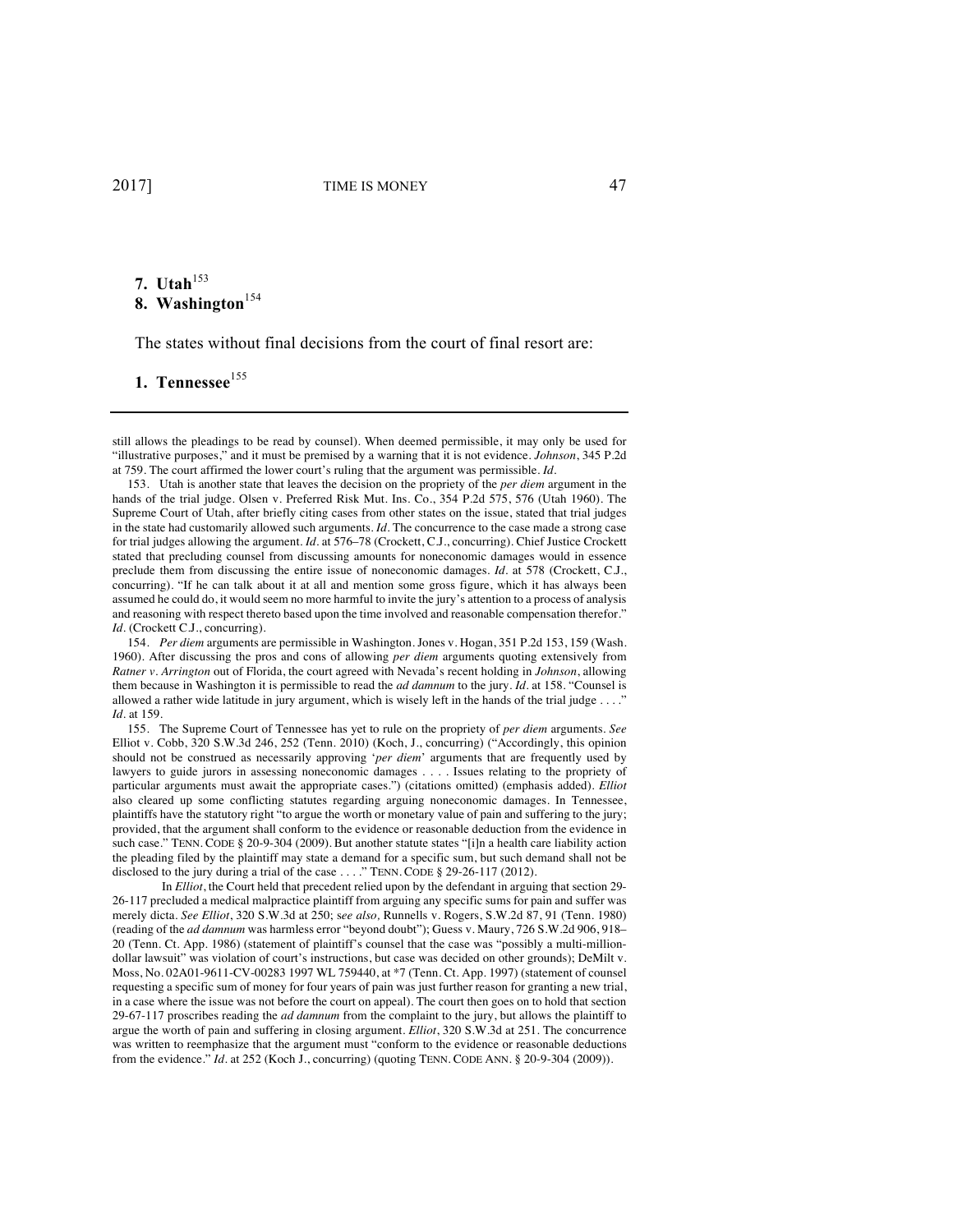# **7.** Utah<sup>153</sup> 8. Washington<sup>154</sup>

The states without final decisions from the court of final resort are:

# 1. Tennessee<sup>155</sup>

154. *Per diem* arguments are permissible in Washington. Jones v. Hogan, 351 P.2d 153, 159 (Wash. 1960). After discussing the pros and cons of allowing *per diem* arguments quoting extensively from *Ratner v. Arrington* out of Florida, the court agreed with Nevada's recent holding in *Johnson*, allowing them because in Washington it is permissible to read the *ad damnum* to the jury. *Id.* at 158. "Counsel is allowed a rather wide latitude in jury argument, which is wisely left in the hands of the trial judge . . . ." *Id*. at 159.

155. The Supreme Court of Tennessee has yet to rule on the propriety of *per diem* arguments. *See* Elliot v. Cobb, 320 S.W.3d 246, 252 (Tenn. 2010) (Koch, J., concurring) ("Accordingly, this opinion should not be construed as necessarily approving '*per diem*' arguments that are frequently used by lawyers to guide jurors in assessing noneconomic damages . . . . Issues relating to the propriety of particular arguments must await the appropriate cases.") (citations omitted) (emphasis added). *Elliot* also cleared up some conflicting statutes regarding arguing noneconomic damages. In Tennessee, plaintiffs have the statutory right "to argue the worth or monetary value of pain and suffering to the jury; provided, that the argument shall conform to the evidence or reasonable deduction from the evidence in such case." TENN. CODE § 20-9-304 (2009). But another statute states "[i]n a health care liability action the pleading filed by the plaintiff may state a demand for a specific sum, but such demand shall not be disclosed to the jury during a trial of the case . . . ." TENN. CODE § 29-26-117 (2012).

In *Elliot*, the Court held that precedent relied upon by the defendant in arguing that section 29- 26-117 precluded a medical malpractice plaintiff from arguing any specific sums for pain and suffer was merely dicta. *See Elliot*, 320 S.W.3d at 250; s*ee also,* Runnells v. Rogers, S.W.2d 87, 91 (Tenn. 1980) (reading of the *ad damnum* was harmless error "beyond doubt"); Guess v. Maury, 726 S.W.2d 906, 918– 20 (Tenn. Ct. App. 1986) (statement of plaintiff's counsel that the case was "possibly a multi-milliondollar lawsuit" was violation of court's instructions, but case was decided on other grounds); DeMilt v. Moss, No. 02A01-9611-CV-00283 1997 WL 759440, at \*7 (Tenn. Ct. App. 1997) (statement of counsel requesting a specific sum of money for four years of pain was just further reason for granting a new trial, in a case where the issue was not before the court on appeal). The court then goes on to hold that section 29-67-117 proscribes reading the *ad damnum* from the complaint to the jury, but allows the plaintiff to argue the worth of pain and suffering in closing argument. *Elliot*, 320 S.W.3d at 251. The concurrence was written to reemphasize that the argument must "conform to the evidence or reasonable deductions from the evidence." *Id.* at 252 (Koch J., concurring) (quoting TENN. CODE ANN. § 20-9-304 (2009)).

still allows the pleadings to be read by counsel). When deemed permissible, it may only be used for "illustrative purposes," and it must be premised by a warning that it is not evidence. *Johnson*, 345 P.2d at 759. The court affirmed the lower court's ruling that the argument was permissible. *Id.*

<sup>153.</sup> Utah is another state that leaves the decision on the propriety of the *per diem* argument in the hands of the trial judge. Olsen v. Preferred Risk Mut. Ins. Co., 354 P.2d 575, 576 (Utah 1960). The Supreme Court of Utah, after briefly citing cases from other states on the issue, stated that trial judges in the state had customarily allowed such arguments. *Id.* The concurrence to the case made a strong case for trial judges allowing the argument. *Id.* at 576–78 (Crockett, C.J., concurring). Chief Justice Crockett stated that precluding counsel from discussing amounts for noneconomic damages would in essence preclude them from discussing the entire issue of noneconomic damages. *Id.* at 578 (Crockett, C.J., concurring). "If he can talk about it at all and mention some gross figure, which it has always been assumed he could do, it would seem no more harmful to invite the jury's attention to a process of analysis and reasoning with respect thereto based upon the time involved and reasonable compensation therefor." *Id.* (Crockett C.J., concurring).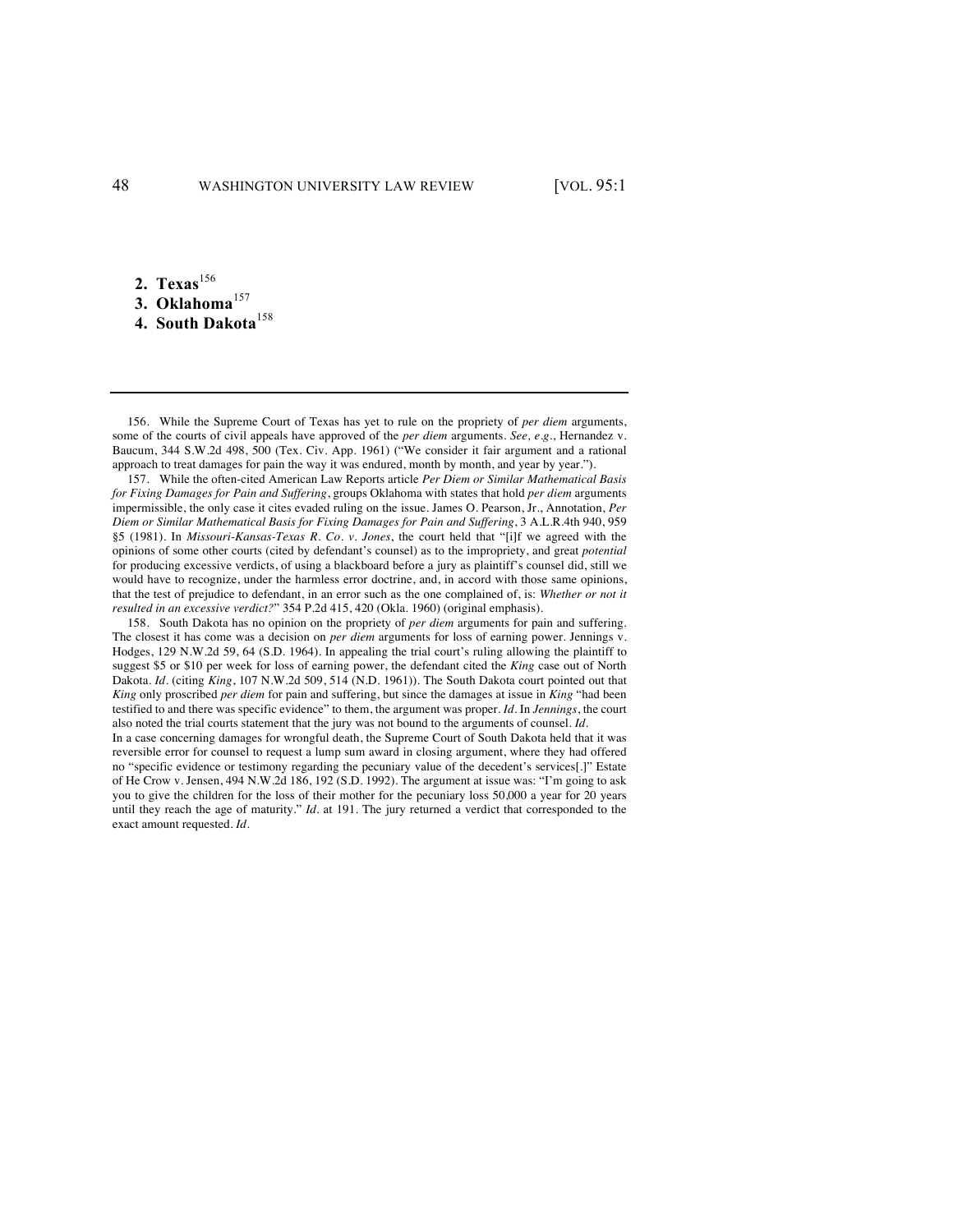**2.** Texas<sup>156</sup>

- 3. Oklahoma<sup>157</sup>
- **4. South Dakota**<sup>158</sup>

156. While the Supreme Court of Texas has yet to rule on the propriety of *per diem* arguments, some of the courts of civil appeals have approved of the *per diem* arguments. *See, e.g.*, Hernandez v. Baucum, 344 S.W.2d 498, 500 (Tex. Civ. App. 1961) ("We consider it fair argument and a rational approach to treat damages for pain the way it was endured, month by month, and year by year.").

157. While the often-cited American Law Reports article *Per Diem or Similar Mathematical Basis for Fixing Damages for Pain and Suffering*, groups Oklahoma with states that hold *per diem* arguments impermissible, the only case it cites evaded ruling on the issue. James O. Pearson, Jr., Annotation, *Per Diem or Similar Mathematical Basis for Fixing Damages for Pain and Suffering*, 3 A.L.R.4th 940, 959 §5 (1981). In *Missouri-Kansas-Texas R. Co. v. Jones*, the court held that "[i]f we agreed with the opinions of some other courts (cited by defendant's counsel) as to the impropriety, and great *potential* for producing excessive verdicts, of using a blackboard before a jury as plaintiff's counsel did, still we would have to recognize, under the harmless error doctrine, and, in accord with those same opinions, that the test of prejudice to defendant, in an error such as the one complained of, is: *Whether or not it resulted in an excessive verdict?*" 354 P.2d 415, 420 (Okla. 1960) (original emphasis).

158. South Dakota has no opinion on the propriety of *per diem* arguments for pain and suffering. The closest it has come was a decision on *per diem* arguments for loss of earning power. Jennings v. Hodges, 129 N.W.2d 59, 64 (S.D. 1964). In appealing the trial court's ruling allowing the plaintiff to suggest \$5 or \$10 per week for loss of earning power, the defendant cited the *King* case out of North Dakota. *Id.* (citing *King*, 107 N.W.2d 509, 514 (N.D. 1961)). The South Dakota court pointed out that *King* only proscribed *per diem* for pain and suffering, but since the damages at issue in *King* "had been testified to and there was specific evidence" to them, the argument was proper. *Id.* In *Jennings*, the court also noted the trial courts statement that the jury was not bound to the arguments of counsel. *Id.*

In a case concerning damages for wrongful death, the Supreme Court of South Dakota held that it was reversible error for counsel to request a lump sum award in closing argument, where they had offered no "specific evidence or testimony regarding the pecuniary value of the decedent's services[.]" Estate of He Crow v. Jensen, 494 N.W.2d 186, 192 (S.D. 1992). The argument at issue was: "I'm going to ask you to give the children for the loss of their mother for the pecuniary loss 50,000 a year for 20 years until they reach the age of maturity." *Id.* at 191. The jury returned a verdict that corresponded to the exact amount requested. *Id.*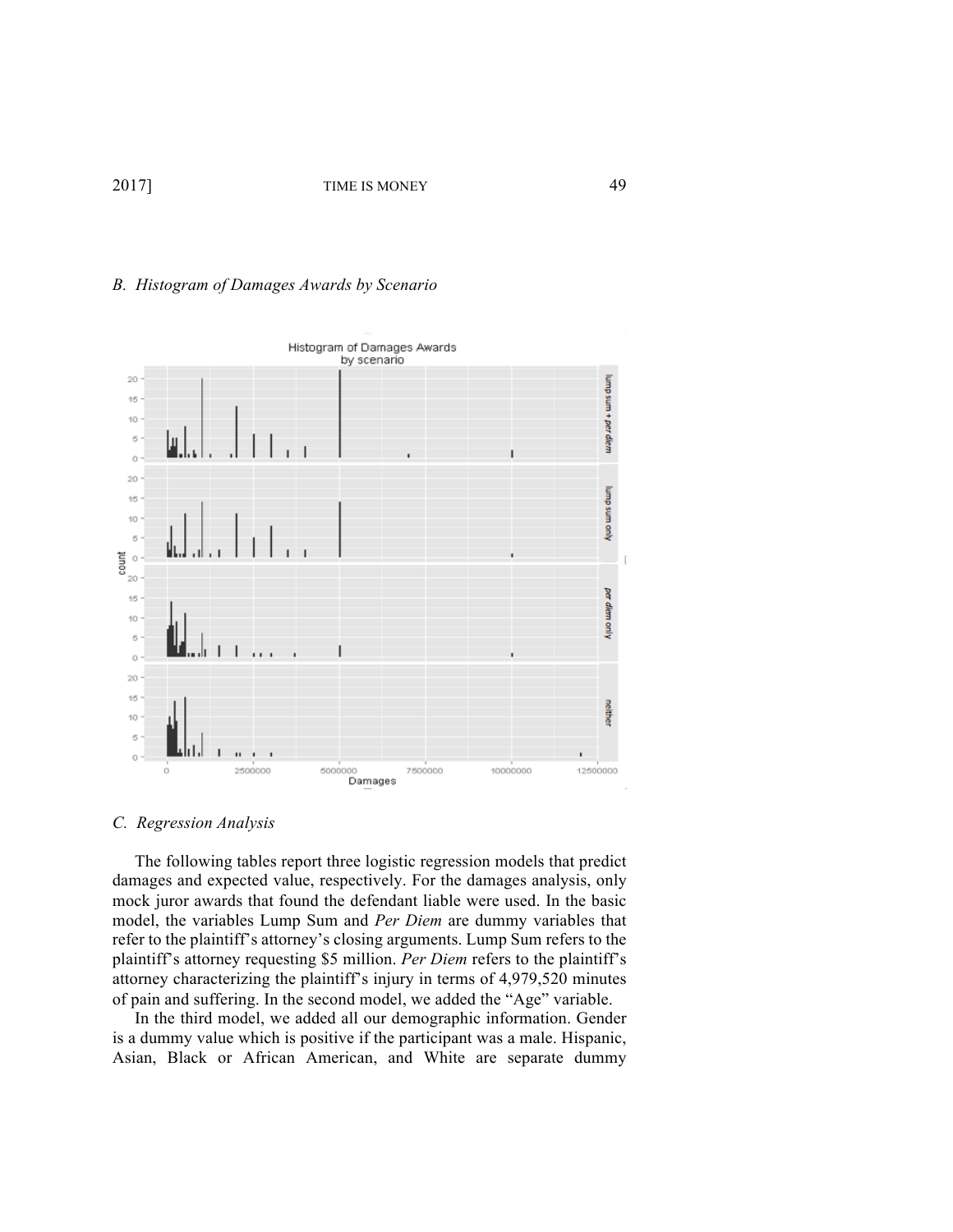### *B. Histogram of Damages Awards by Scenario*



*C. Regression Analysis*

The following tables report three logistic regression models that predict damages and expected value, respectively. For the damages analysis, only mock juror awards that found the defendant liable were used. In the basic model, the variables Lump Sum and *Per Diem* are dummy variables that refer to the plaintiff's attorney's closing arguments. Lump Sum refers to the plaintiff's attorney requesting \$5 million. *Per Diem* refers to the plaintiff's attorney characterizing the plaintiff's injury in terms of 4,979,520 minutes of pain and suffering. In the second model, we added the "Age" variable.

In the third model, we added all our demographic information. Gender is a dummy value which is positive if the participant was a male. Hispanic, Asian, Black or African American, and White are separate dummy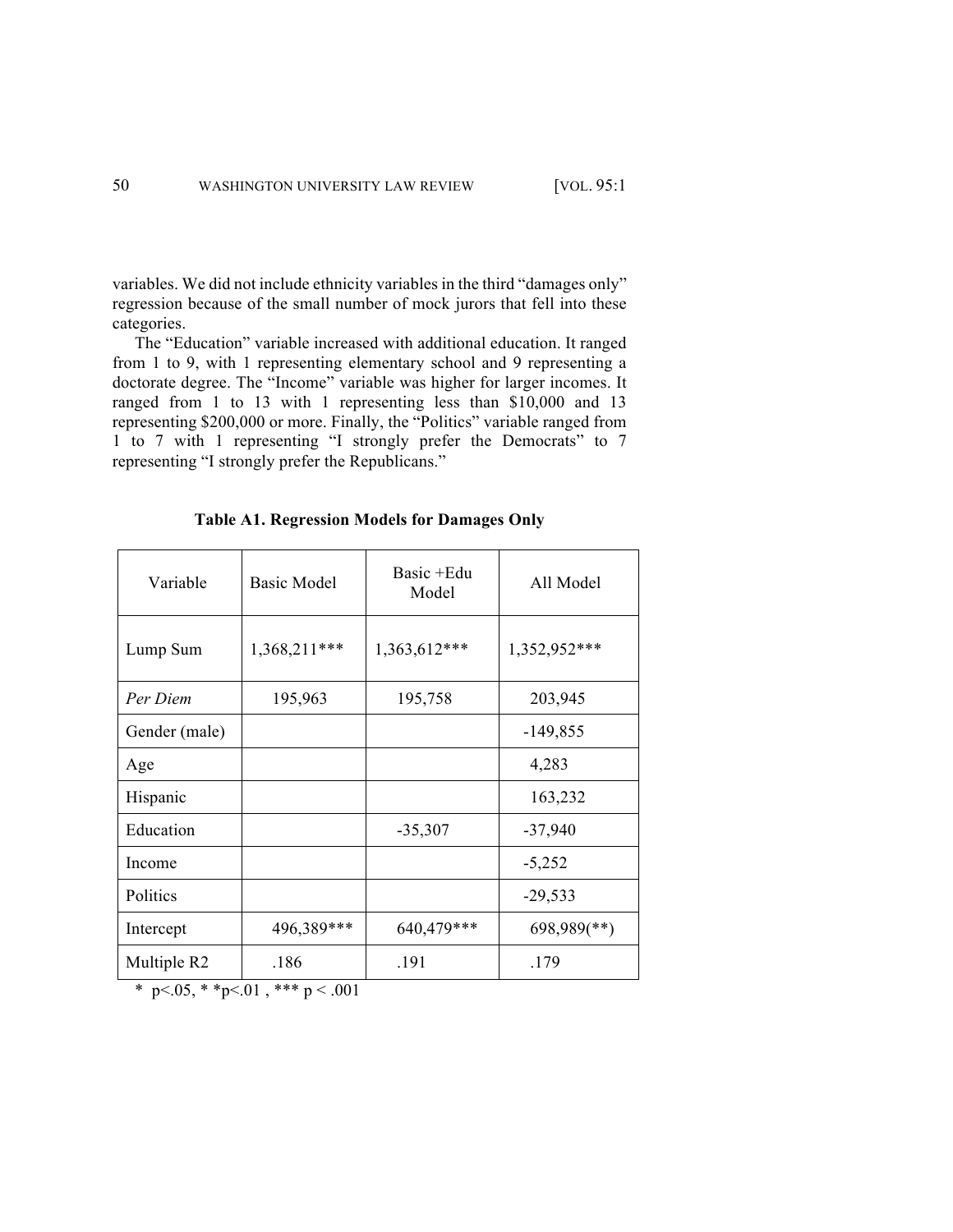variables. We did not include ethnicity variables in the third "damages only" regression because of the small number of mock jurors that fell into these categories.

The "Education" variable increased with additional education. It ranged from 1 to 9, with 1 representing elementary school and 9 representing a doctorate degree. The "Income" variable was higher for larger incomes. It ranged from 1 to 13 with 1 representing less than \$10,000 and 13 representing \$200,000 or more. Finally, the "Politics" variable ranged from 1 to 7 with 1 representing "I strongly prefer the Democrats" to 7 representing "I strongly prefer the Republicans."

| Variable      | <b>Basic Model</b> | Basic + Edu<br>Model | All Model                 |
|---------------|--------------------|----------------------|---------------------------|
| Lump Sum      | 1,368,211***       | 1,363,612***         | 1,352,952***              |
| Per Diem      | 195,963            | 195,758              | 203,945                   |
| Gender (male) |                    |                      | $-149,855$                |
| Age           |                    |                      | 4,283                     |
| Hispanic      |                    |                      | 163,232                   |
| Education     |                    | $-35,307$            | $-37,940$                 |
| Income        |                    |                      | $-5,252$                  |
| Politics      |                    |                      | $-29,533$                 |
| Intercept     | 496,389***         | 640,479***           | $698,989$ <sup>**</sup> ) |
| Multiple R2   | .186               | .191                 | .179                      |

**Table A1. Regression Models for Damages Only**

\* p<.05, \* \*p<.01, \*\*\* p <.001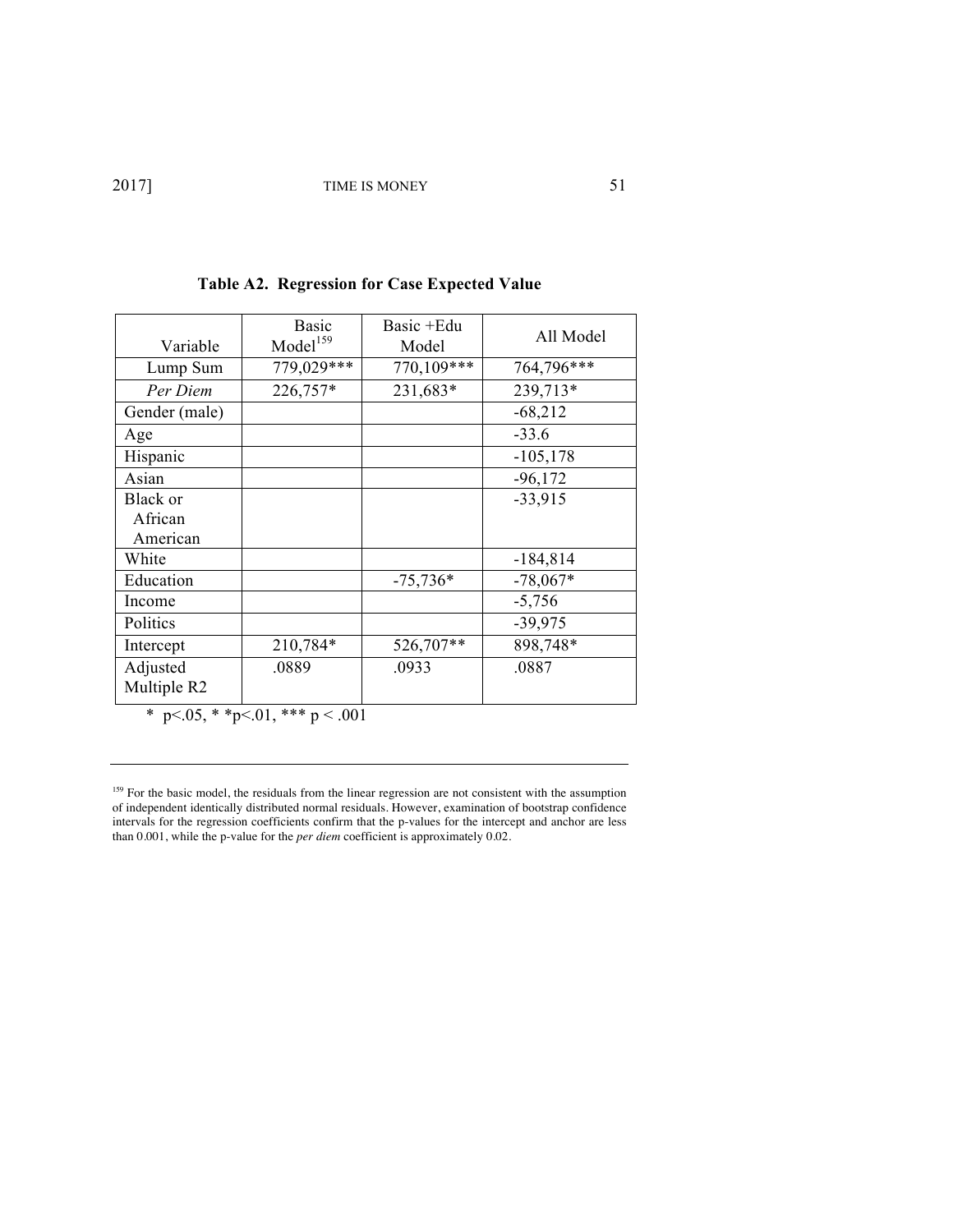| Variable        | <b>Basic</b><br>Model <sup>159</sup> | Basic +Edu<br>Model | All Model   |
|-----------------|--------------------------------------|---------------------|-------------|
| Lump Sum        | 779,029***                           | 770,109***          | 764,796***  |
| Per Diem        | 226,757*                             | 231,683*            | 239,713*    |
| Gender (male)   |                                      |                     | $-68,212$   |
| Age             |                                      |                     | $-33.6$     |
| Hispanic        |                                      |                     | $-105, 178$ |
| Asian           |                                      |                     | $-96,172$   |
| <b>Black</b> or |                                      |                     | $-33,915$   |
| African         |                                      |                     |             |
| American        |                                      |                     |             |
| White           |                                      |                     | $-184,814$  |
| Education       |                                      | $-75,736*$          | $-78,067*$  |
| Income          |                                      |                     | $-5,756$    |
| Politics        |                                      |                     | $-39,975$   |
| Intercept       | 210,784*                             | 526,707**           | 898,748*    |
| Adjusted        | .0889                                | .0933               | .0887       |
| Multiple R2     |                                      |                     |             |

\* p <.05, \* \* p <.01, \* \* \* p < .001

<sup>159</sup> For the basic model, the residuals from the linear regression are not consistent with the assumption of independent identically distributed normal residuals. However, examination of bootstrap confidence intervals for the regression coefficients confirm that the p-values for the intercept and anchor are less than 0.001, while the p-value for the *per diem* coefficient is approximately 0.02.